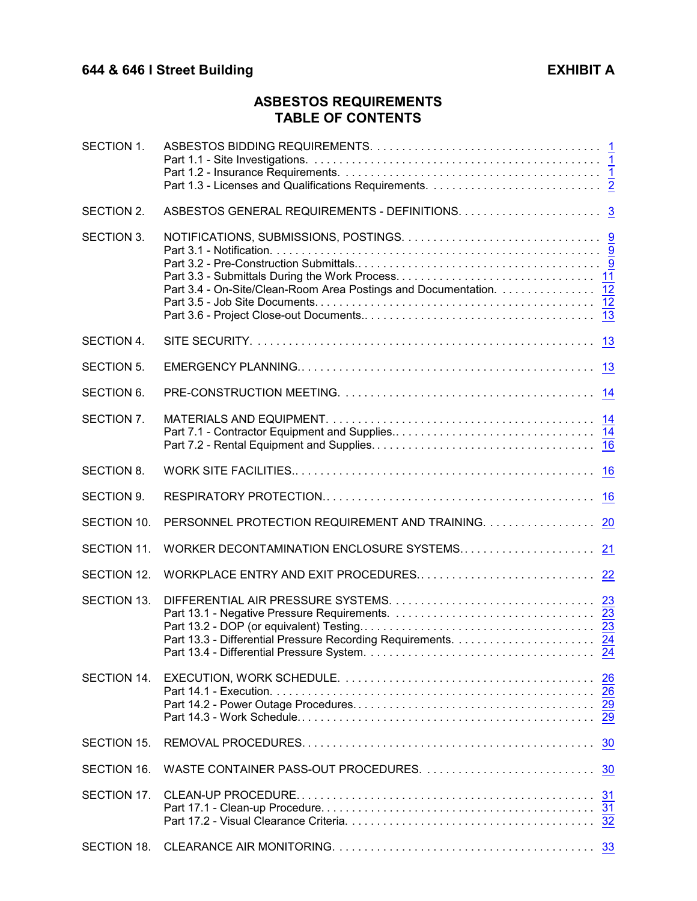# **ASBESTOS REQUIREMENTS TABLE OF CONTENTS**

| SECTION 1.        |                                                                   |           |
|-------------------|-------------------------------------------------------------------|-----------|
| SECTION 2.        |                                                                   |           |
| SECTION 3.        | Part 3.4 - On-Site/Clean-Room Area Postings and Documentation. 12 |           |
| SECTION 4.        |                                                                   | 13        |
| <b>SECTION 5.</b> |                                                                   | 13        |
| SECTION 6.        |                                                                   |           |
| SECTION 7.        |                                                                   |           |
| <b>SECTION 8.</b> |                                                                   | 16        |
| SECTION 9.        |                                                                   | 16        |
| SECTION 10.       | PERSONNEL PROTECTION REQUIREMENT AND TRAINING.                    | <b>20</b> |
| SECTION 11.       | WORKER DECONTAMINATION ENCLOSURE SYSTEMS                          | 21        |
| SECTION 12.       |                                                                   |           |
| SECTION 13.       |                                                                   |           |
| SECTION 14.       |                                                                   |           |
| SECTION 15.       |                                                                   | 30        |
| SECTION 16.       |                                                                   |           |
| SECTION 17.       |                                                                   |           |
|                   |                                                                   |           |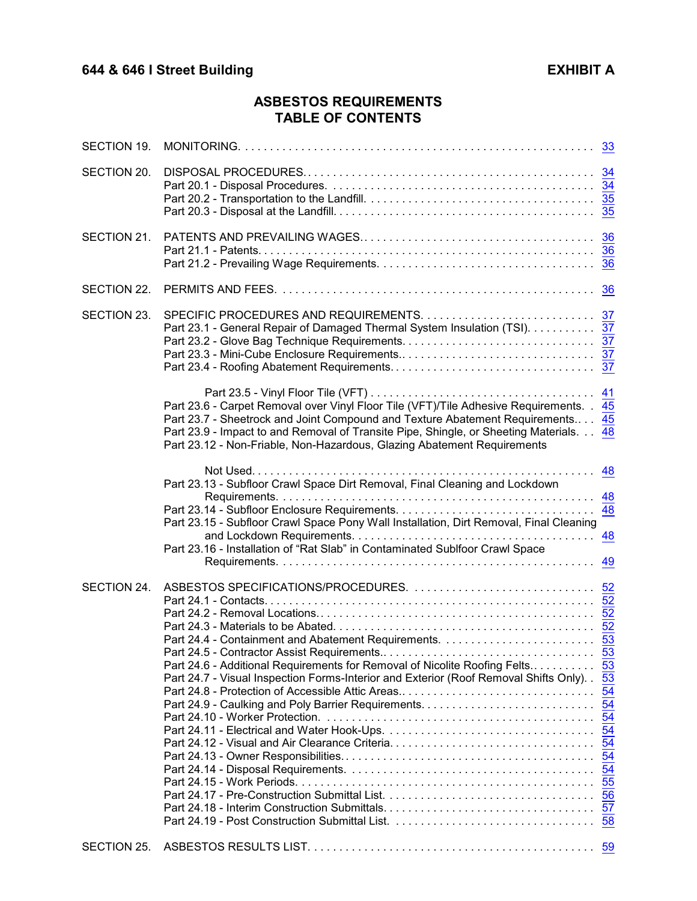# **ASBESTOS REQUIREMENTS TABLE OF CONTENTS**

| SECTION 19. |                                                                                                                                                                                                                                                                                                                                                |                      |
|-------------|------------------------------------------------------------------------------------------------------------------------------------------------------------------------------------------------------------------------------------------------------------------------------------------------------------------------------------------------|----------------------|
| SECTION 20. |                                                                                                                                                                                                                                                                                                                                                |                      |
| SECTION 21. |                                                                                                                                                                                                                                                                                                                                                |                      |
| SECTION 22. |                                                                                                                                                                                                                                                                                                                                                |                      |
| SECTION 23. | Part 23.1 - General Repair of Damaged Thermal System Insulation (TSI). 37                                                                                                                                                                                                                                                                      |                      |
|             | Part 23.6 - Carpet Removal over Vinyl Floor Tile (VFT)/Tile Adhesive Requirements. . 45<br>Part 23.7 - Sheetrock and Joint Compound and Texture Abatement Requirements 45<br>Part 23.9 - Impact to and Removal of Transite Pipe, Shingle, or Sheeting Materials. 48<br>Part 23.12 - Non-Friable, Non-Hazardous, Glazing Abatement Requirements | 41                   |
|             | Part 23.13 - Subfloor Crawl Space Dirt Removal, Final Cleaning and Lockdown<br>Part 23.15 - Subfloor Crawl Space Pony Wall Installation, Dirt Removal, Final Cleaning<br>Part 23.16 - Installation of "Rat Slab" in Contaminated Sublfoor Crawl Space                                                                                          | 48<br>48<br>48<br>49 |
| SECTION 24. | Part 24.6 - Additional Requirements for Removal of Nicolite Roofing Felts 53<br>Part 24.7 - Visual Inspection Forms-Interior and Exterior (Roof Removal Shifts Only). . 53                                                                                                                                                                     | $\overline{53}$      |
| SECTION 25. |                                                                                                                                                                                                                                                                                                                                                |                      |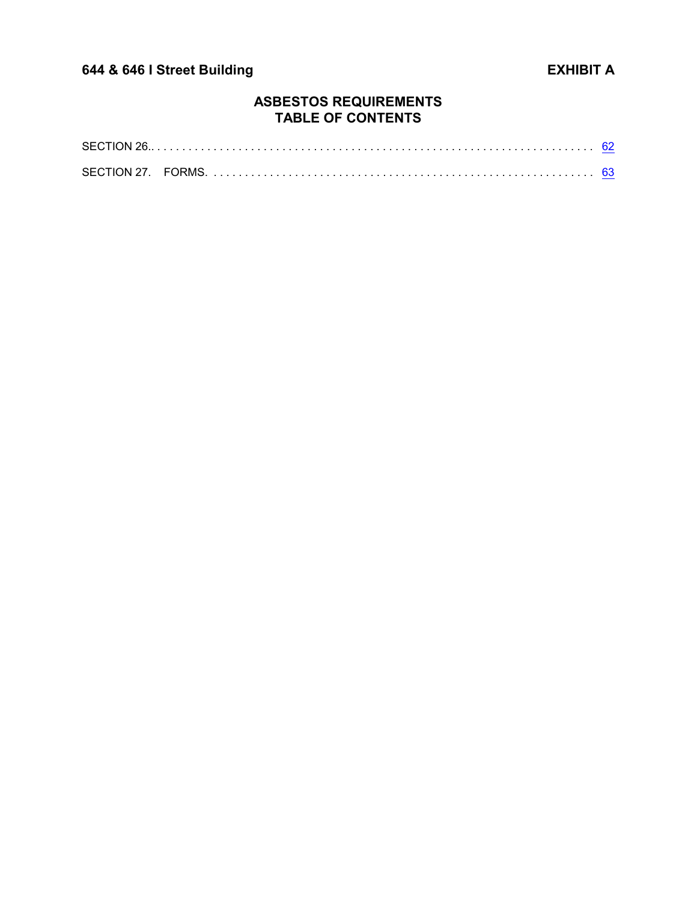# **ASBESTOS REQUIREMENTS TABLE OF CONTENTS**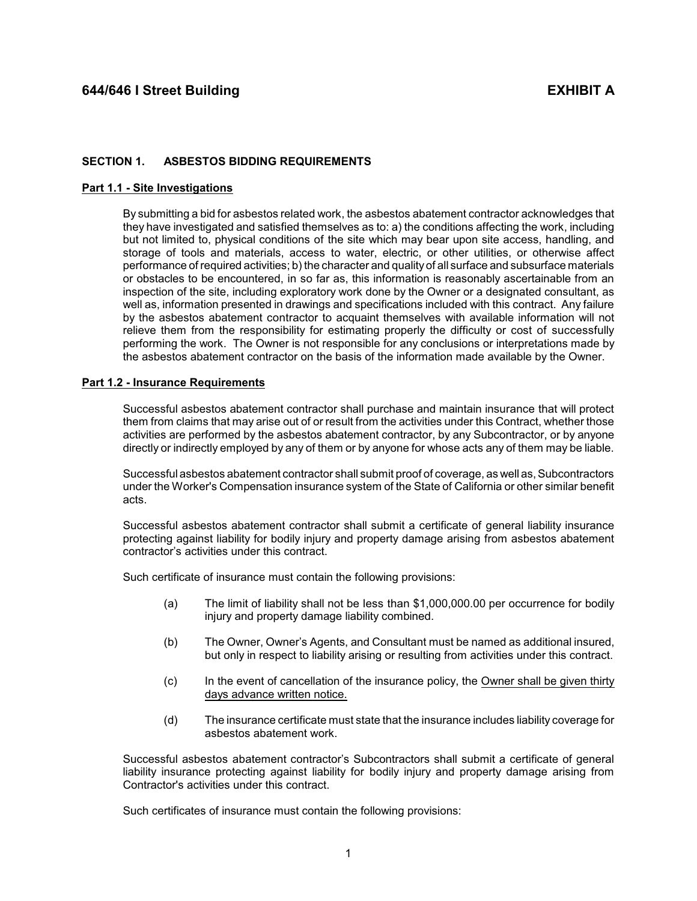## <span id="page-3-0"></span>**SECTION 1. ASBESTOS BIDDING REQUIREMENTS**

### <span id="page-3-1"></span>**Part 1.1 - Site Investigations**

By submitting a bid for asbestos related work, the asbestos abatement contractor acknowledges that they have investigated and satisfied themselves as to: a) the conditions affecting the work, including but not limited to, physical conditions of the site which may bear upon site access, handling, and storage of tools and materials, access to water, electric, or other utilities, or otherwise affect performance of required activities; b) the character and qualityof all surface and subsurface materials or obstacles to be encountered, in so far as, this information is reasonably ascertainable from an inspection of the site, including exploratory work done by the Owner or a designated consultant, as well as, information presented in drawings and specifications included with this contract. Any failure by the asbestos abatement contractor to acquaint themselves with available information will not relieve them from the responsibility for estimating properly the difficulty or cost of successfully performing the work. The Owner is not responsible for any conclusions or interpretations made by the asbestos abatement contractor on the basis of the information made available by the Owner.

### <span id="page-3-2"></span>**Part 1.2 - Insurance Requirements**

Successful asbestos abatement contractor shall purchase and maintain insurance that will protect them from claims that may arise out of or result from the activities under this Contract, whether those activities are performed by the asbestos abatement contractor, by any Subcontractor, or by anyone directly or indirectly employed by any of them or by anyone for whose acts any of them may be liable.

Successful asbestos abatement contractor shall submit proof of coverage, as well as, Subcontractors under the Worker's Compensation insurance system of the State of California or other similar benefit acts.

Successful asbestos abatement contractor shall submit a certificate of general liability insurance protecting against liability for bodily injury and property damage arising from asbestos abatement contractor's activities under this contract.

Such certificate of insurance must contain the following provisions:

- (a) The limit of liability shall not be less than \$1,000,000.00 per occurrence for bodily injury and property damage liability combined.
- (b) The Owner, Owner's Agents, and Consultant must be named as additional insured, but only in respect to liability arising or resulting from activities under this contract.
- (c) In the event of cancellation of the insurance policy, the Owner shall be given thirty days advance written notice.
- (d) The insurance certificate must state that the insurance includes liability coverage for asbestos abatement work.

Successful asbestos abatement contractor's Subcontractors shall submit a certificate of general liability insurance protecting against liability for bodily injury and property damage arising from Contractor's activities under this contract.

Such certificates of insurance must contain the following provisions: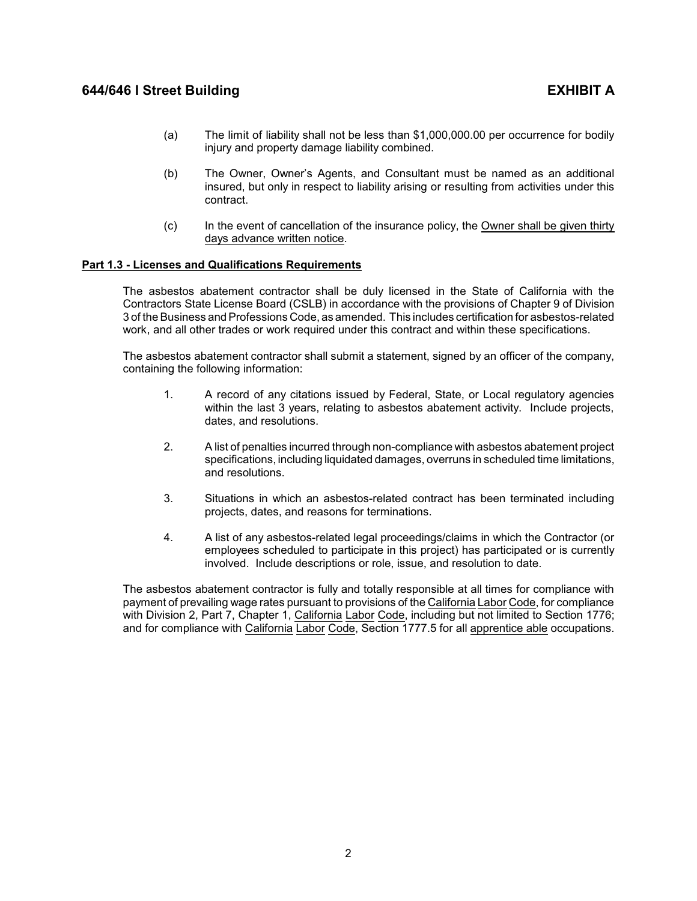- (a) The limit of liability shall not be less than \$1,000,000.00 per occurrence for bodily injury and property damage liability combined.
- (b) The Owner, Owner's Agents, and Consultant must be named as an additional insured, but only in respect to liability arising or resulting from activities under this contract.
- (c) In the event of cancellation of the insurance policy, the Owner shall be given thirty days advance written notice.

## <span id="page-4-0"></span>**Part 1.3 - Licenses and Qualifications Requirements**

The asbestos abatement contractor shall be duly licensed in the State of California with the Contractors State License Board (CSLB) in accordance with the provisions of Chapter 9 of Division 3 of the Business and Professions Code, as amended. This includes certification for asbestos-related work, and all other trades or work required under this contract and within these specifications.

The asbestos abatement contractor shall submit a statement, signed by an officer of the company, containing the following information:

- 1. A record of any citations issued by Federal, State, or Local regulatory agencies within the last 3 years, relating to asbestos abatement activity. Include projects, dates, and resolutions.
- 2. A list of penalties incurred through non-compliance with asbestos abatement project specifications, including liquidated damages, overruns in scheduled time limitations, and resolutions.
- 3. Situations in which an asbestos-related contract has been terminated including projects, dates, and reasons for terminations.
- 4. A list of any asbestos-related legal proceedings/claims in which the Contractor (or employees scheduled to participate in this project) has participated or is currently involved. Include descriptions or role, issue, and resolution to date.

The asbestos abatement contractor is fully and totally responsible at all times for compliance with payment of prevailing wage rates pursuant to provisions of the California Labor Code, for compliance with Division 2, Part 7, Chapter 1, California Labor Code, including but not limited to Section 1776; and for compliance with California Labor Code, Section 1777.5 for all apprentice able occupations.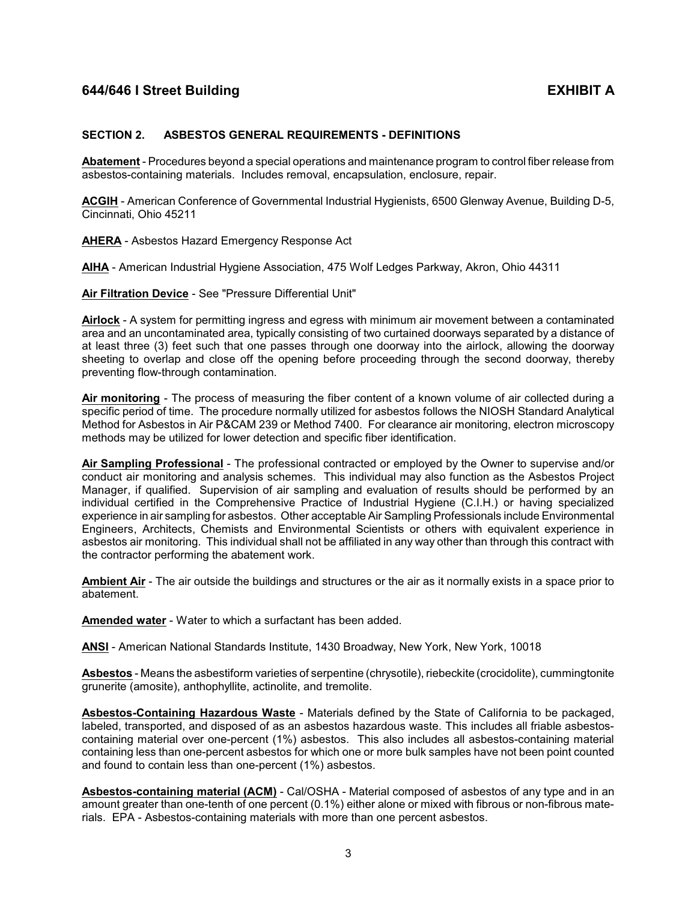## <span id="page-5-0"></span>**SECTION 2. ASBESTOS GENERAL REQUIREMENTS - DEFINITIONS**

**Abatement** - Procedures beyond a special operations and maintenance program to control fiber release from asbestos-containing materials. Includes removal, encapsulation, enclosure, repair.

**ACGIH** - American Conference of Governmental Industrial Hygienists, 6500 Glenway Avenue, Building D-5, Cincinnati, Ohio 45211

**AHERA** - Asbestos Hazard Emergency Response Act

**AIHA** - American Industrial Hygiene Association, 475 Wolf Ledges Parkway, Akron, Ohio 44311

**Air Filtration Device** - See "Pressure Differential Unit"

**Airlock** - A system for permitting ingress and egress with minimum air movement between a contaminated area and an uncontaminated area, typically consisting of two curtained doorways separated by a distance of at least three (3) feet such that one passes through one doorway into the airlock, allowing the doorway sheeting to overlap and close off the opening before proceeding through the second doorway, thereby preventing flow-through contamination.

**Air monitoring** - The process of measuring the fiber content of a known volume of air collected during a specific period of time. The procedure normally utilized for asbestos follows the NIOSH Standard Analytical Method for Asbestos in Air P&CAM 239 or Method 7400. For clearance air monitoring, electron microscopy methods may be utilized for lower detection and specific fiber identification.

**Air Sampling Professional** - The professional contracted or employed by the Owner to supervise and/or conduct air monitoring and analysis schemes. This individual may also function as the Asbestos Project Manager, if qualified. Supervision of air sampling and evaluation of results should be performed by an individual certified in the Comprehensive Practice of Industrial Hygiene (C.I.H.) or having specialized experience in air sampling for asbestos. Other acceptable Air Sampling Professionals include Environmental Engineers, Architects, Chemists and Environmental Scientists or others with equivalent experience in asbestos air monitoring. This individual shall not be affiliated in any way other than through this contract with the contractor performing the abatement work.

**Ambient Air** - The air outside the buildings and structures or the air as it normally exists in a space prior to abatement.

**Amended water** - Water to which a surfactant has been added.

**ANSI** - American National Standards Institute, 1430 Broadway, New York, New York, 10018

**Asbestos** - Means the asbestiform varieties of serpentine (chrysotile), riebeckite (crocidolite), cummingtonite grunerite (amosite), anthophyllite, actinolite, and tremolite.

**Asbestos-Containing Hazardous Waste** - Materials defined by the State of California to be packaged, labeled, transported, and disposed of as an asbestos hazardous waste. This includes all friable asbestoscontaining material over one-percent (1%) asbestos. This also includes all asbestos-containing material containing less than one-percent asbestos for which one or more bulk samples have not been point counted and found to contain less than one-percent (1%) asbestos.

**Asbestos-containing material (ACM)** - Cal/OSHA - Material composed of asbestos of any type and in an amount greater than one-tenth of one percent (0.1%) either alone or mixed with fibrous or non-fibrous materials. EPA - Asbestos-containing materials with more than one percent asbestos.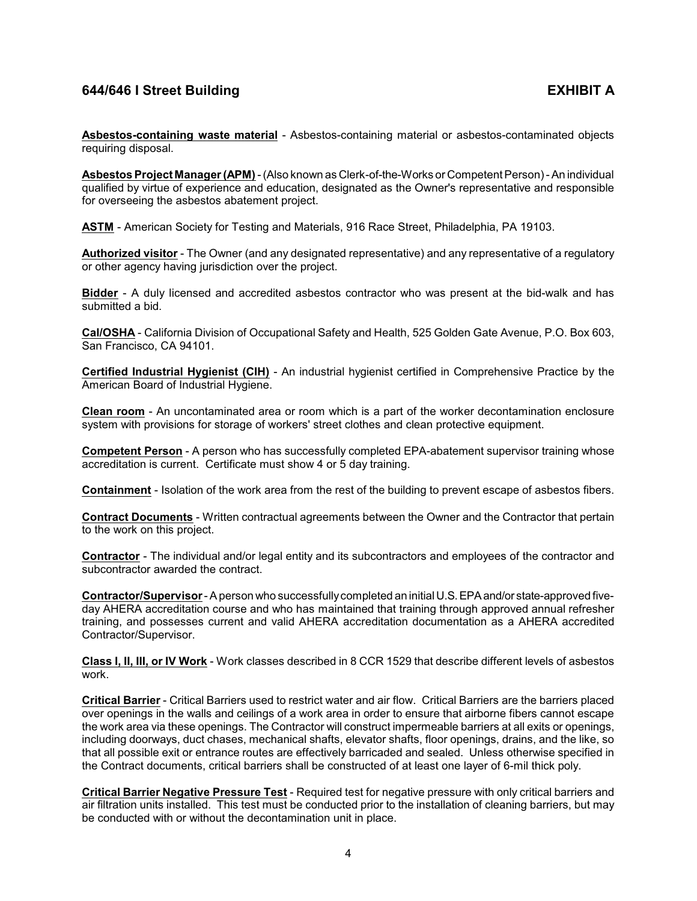**Asbestos-containing waste material** - Asbestos-containing material or asbestos-contaminated objects requiring disposal.

**Asbestos Project Manager (APM)**- (Also known as Clerk-of-the-Works or Competent Person) - An individual qualified by virtue of experience and education, designated as the Owner's representative and responsible for overseeing the asbestos abatement project.

**ASTM** - American Society for Testing and Materials, 916 Race Street, Philadelphia, PA 19103.

**Authorized visitor** - The Owner (and any designated representative) and any representative of a regulatory or other agency having jurisdiction over the project.

**Bidder** - A duly licensed and accredited asbestos contractor who was present at the bid-walk and has submitted a bid.

**Cal/OSHA** - California Division of Occupational Safety and Health, 525 Golden Gate Avenue, P.O. Box 603, San Francisco, CA 94101.

**Certified Industrial Hygienist (CIH)** - An industrial hygienist certified in Comprehensive Practice by the American Board of Industrial Hygiene.

**Clean room** - An uncontaminated area or room which is a part of the worker decontamination enclosure system with provisions for storage of workers' street clothes and clean protective equipment.

**Competent Person** - A person who has successfully completed EPA-abatement supervisor training whose accreditation is current. Certificate must show 4 or 5 day training.

**Containment** - Isolation of the work area from the rest of the building to prevent escape of asbestos fibers.

**Contract Documents** - Written contractual agreements between the Owner and the Contractor that pertain to the work on this project.

**Contractor** - The individual and/or legal entity and its subcontractors and employees of the contractor and subcontractor awarded the contract.

**Contractor/Supervisor**- A person who successfullycompleted an initial U.S.EPAand/or state-approved fiveday AHERA accreditation course and who has maintained that training through approved annual refresher training, and possesses current and valid AHERA accreditation documentation as a AHERA accredited Contractor/Supervisor.

**Class I, II, III, or IV Work** - Work classes described in 8 CCR 1529 that describe different levels of asbestos work.

**Critical Barrier** - Critical Barriers used to restrict water and air flow. Critical Barriers are the barriers placed over openings in the walls and ceilings of a work area in order to ensure that airborne fibers cannot escape the work area via these openings. The Contractor will construct impermeable barriers at all exits or openings, including doorways, duct chases, mechanical shafts, elevator shafts, floor openings, drains, and the like, so that all possible exit or entrance routes are effectively barricaded and sealed. Unless otherwise specified in the Contract documents, critical barriers shall be constructed of at least one layer of 6-mil thick poly.

**Critical Barrier Negative Pressure Test** - Required test for negative pressure with only critical barriers and air filtration units installed. This test must be conducted prior to the installation of cleaning barriers, but may be conducted with or without the decontamination unit in place.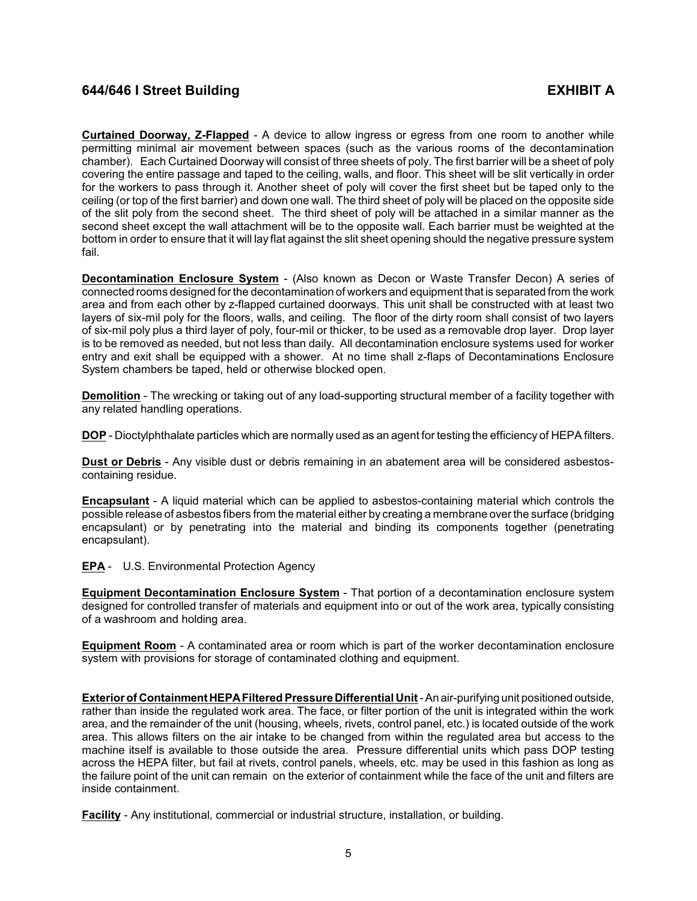**Curtained Doorway, Z-Flapped** - A device to allow ingress or egress from one room to another while permitting minimal air movement between spaces (such as the various rooms of the decontamination chamber). Each Curtained Doorway will consist of three sheets of poly. The first barrier will be a sheet of poly covering the entire passage and taped to the ceiling, walls, and floor. This sheet will be slit vertically in order for the workers to pass through it. Another sheet of poly will cover the first sheet but be taped only to the ceiling (or top of the first barrier) and down one wall. The third sheet of poly will be placed on the opposite side of the slit poly from the second sheet. The third sheet of poly will be attached in a similar manner as the second sheet except the wall attachment will be to the opposite wall. Each barrier must be weighted at the bottom in order to ensure that it will lay flat against the slit sheet opening should the negative pressure system fail.

**Decontamination Enclosure System** - (Also known as Decon or Waste Transfer Decon) A series of connected rooms designed for the decontamination of workers and equipment that is separated from the work area and from each other by z-flapped curtained doorways. This unit shall be constructed with at least two layers of six-mil poly for the floors, walls, and ceiling. The floor of the dirty room shall consist of two layers of six-mil poly plus a third layer of poly, four-mil or thicker, to be used as a removable drop layer. Drop layer is to be removed as needed, but not less than daily. All decontamination enclosure systems used for worker entry and exit shall be equipped with a shower. At no time shall z-flaps of Decontaminations Enclosure System chambers be taped, held or otherwise blocked open.

**Demolition** - The wrecking or taking out of any load-supporting structural member of a facility together with any related handling operations.

**DOP** - Dioctylphthalate particles which are normally used as an agent for testing the efficiency of HEPA filters.

**Dust or Debris** - Any visible dust or debris remaining in an abatement area will be considered asbestoscontaining residue.

**Encapsulant** - A liquid material which can be applied to asbestos-containing material which controls the possible release of asbestos fibers from the material either by creating a membrane over the surface (bridging encapsulant) or by penetrating into the material and binding its components together (penetrating encapsulant).

**EPA** - U.S. Environmental Protection Agency

**Equipment Decontamination Enclosure System** - That portion of a decontamination enclosure system designed for controlled transfer of materials and equipment into or out of the work area, typically consisting of a washroom and holding area.

**Equipment Room** - A contaminated area or room which is part of the worker decontamination enclosure system with provisions for storage of contaminated clothing and equipment.

**Exterior of ContainmentHEPAFiltered Pressure Differential Unit**- An air-purifying unit positioned outside, rather than inside the regulated work area. The face, or filter portion of the unit is integrated within the work area, and the remainder of the unit (housing, wheels, rivets, control panel, etc.) is located outside of the work area. This allows filters on the air intake to be changed from within the regulated area but access to the machine itself is available to those outside the area. Pressure differential units which pass DOP testing across the HEPA filter, but fail at rivets, control panels, wheels, etc. may be used in this fashion as long as the failure point of the unit can remain on the exterior of containment while the face of the unit and filters are inside containment.

**Facility** - Any institutional, commercial or industrial structure, installation, or building.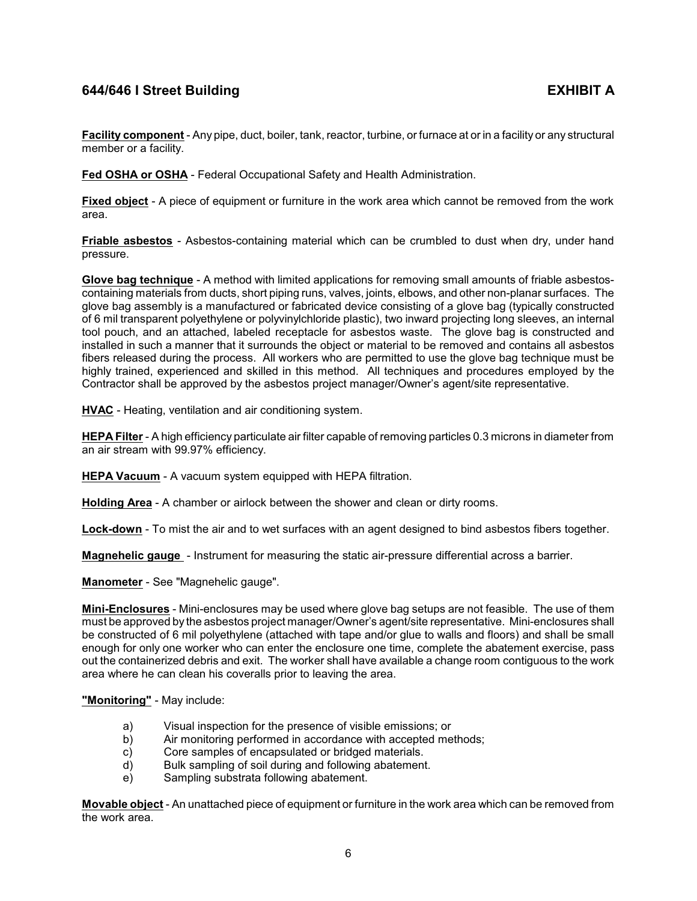**Facility component** - Any pipe, duct, boiler, tank, reactor, turbine, or furnace at or in a facility or any structural member or a facility.

**Fed OSHA or OSHA** - Federal Occupational Safety and Health Administration.

**Fixed object** - A piece of equipment or furniture in the work area which cannot be removed from the work area.

**Friable asbestos** - Asbestos-containing material which can be crumbled to dust when dry, under hand pressure.

**Glove bag technique** - A method with limited applications for removing small amounts of friable asbestoscontaining materials from ducts, short piping runs, valves, joints, elbows, and other non-planar surfaces. The glove bag assembly is a manufactured or fabricated device consisting of a glove bag (typically constructed of 6 mil transparent polyethylene or polyvinylchloride plastic), two inward projecting long sleeves, an internal tool pouch, and an attached, labeled receptacle for asbestos waste. The glove bag is constructed and installed in such a manner that it surrounds the object or material to be removed and contains all asbestos fibers released during the process. All workers who are permitted to use the glove bag technique must be highly trained, experienced and skilled in this method. All techniques and procedures employed by the Contractor shall be approved by the asbestos project manager/Owner's agent/site representative.

**HVAC** - Heating, ventilation and air conditioning system.

**HEPA Filter** - A high efficiency particulate air filter capable of removing particles 0.3 microns in diameter from an air stream with 99.97% efficiency.

**HEPA Vacuum** - A vacuum system equipped with HEPA filtration.

**Holding Area** - A chamber or airlock between the shower and clean or dirty rooms.

**Lock-down** - To mist the air and to wet surfaces with an agent designed to bind asbestos fibers together.

**Magnehelic gauge** - Instrument for measuring the static air-pressure differential across a barrier.

**Manometer** - See "Magnehelic gauge".

**Mini-Enclosures** - Mini-enclosures may be used where glove bag setups are not feasible. The use of them must be approved by the asbestos project manager/Owner's agent/site representative. Mini-enclosures shall be constructed of 6 mil polyethylene (attached with tape and/or glue to walls and floors) and shall be small enough for only one worker who can enter the enclosure one time, complete the abatement exercise, pass out the containerized debris and exit. The worker shall have available a change room contiguous to the work area where he can clean his coveralls prior to leaving the area.

## **"Monitoring"** - May include:

- a) Visual inspection for the presence of visible emissions; or
- b) Air monitoring performed in accordance with accepted methods;
- c) Core samples of encapsulated or bridged materials.<br>d) Bulk sampling of soil during and following abatement
- Bulk sampling of soil during and following abatement.
- e) Sampling substrata following abatement.

**Movable object** - An unattached piece of equipment or furniture in the work area which can be removed from the work area.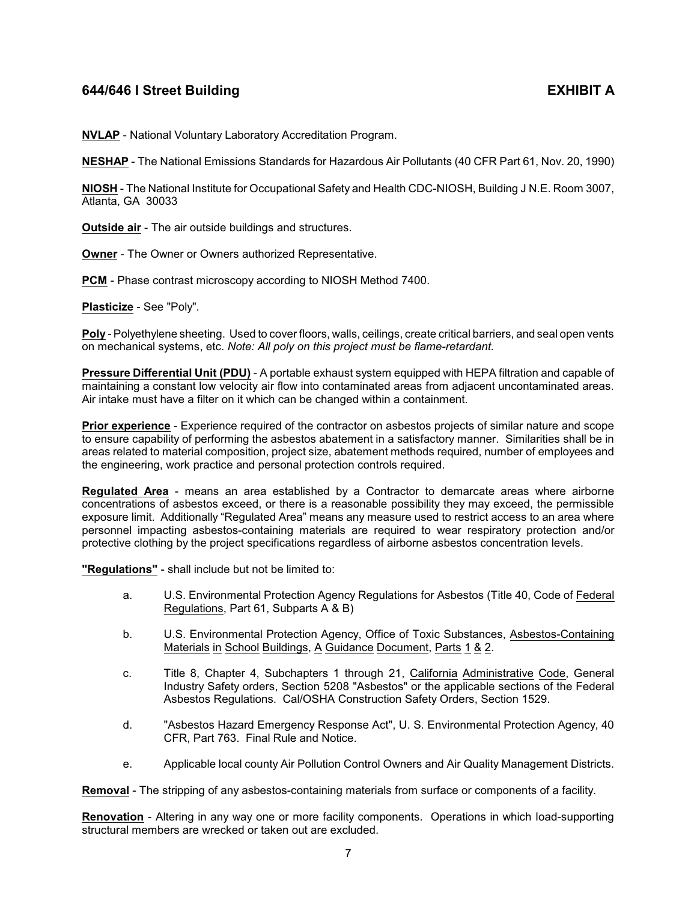**NVLAP** - National Voluntary Laboratory Accreditation Program.

**NESHAP** - The National Emissions Standards for Hazardous Air Pollutants (40 CFR Part 61, Nov. 20, 1990)

**NIOSH** - The National Institute for Occupational Safety and Health CDC-NIOSH, Building J N.E. Room 3007, Atlanta, GA 30033

**Outside air** - The air outside buildings and structures.

**Owner** - The Owner or Owners authorized Representative.

**PCM** - Phase contrast microscopy according to NIOSH Method 7400.

**Plasticize** - See "Poly".

**Poly** - Polyethylene sheeting. Used to cover floors, walls, ceilings, create critical barriers, and seal open vents on mechanical systems, etc. *Note: All poly on this project must be flame-retardant.*

**Pressure Differential Unit (PDU)** - A portable exhaust system equipped with HEPA filtration and capable of maintaining a constant low velocity air flow into contaminated areas from adjacent uncontaminated areas. Air intake must have a filter on it which can be changed within a containment.

**Prior experience** - Experience required of the contractor on asbestos projects of similar nature and scope to ensure capability of performing the asbestos abatement in a satisfactory manner. Similarities shall be in areas related to material composition, project size, abatement methods required, number of employees and the engineering, work practice and personal protection controls required.

**Regulated Area** - means an area established by a Contractor to demarcate areas where airborne concentrations of asbestos exceed, or there is a reasonable possibility they may exceed, the permissible exposure limit. Additionally "Regulated Area" means any measure used to restrict access to an area where personnel impacting asbestos-containing materials are required to wear respiratory protection and/or protective clothing by the project specifications regardless of airborne asbestos concentration levels.

**"Regulations"** - shall include but not be limited to:

- a. U.S. Environmental Protection Agency Regulations for Asbestos (Title 40, Code of Federal Regulations, Part 61, Subparts A & B)
- b. U.S. Environmental Protection Agency, Office of Toxic Substances, Asbestos-Containing Materials in School Buildings, A Guidance Document, Parts 1 & 2.
- c. Title 8, Chapter 4, Subchapters 1 through 21, California Administrative Code, General Industry Safety orders, Section 5208 "Asbestos" or the applicable sections of the Federal Asbestos Regulations. Cal/OSHA Construction Safety Orders, Section 1529.
- d. "Asbestos Hazard Emergency Response Act", U. S. Environmental Protection Agency, 40 CFR, Part 763. Final Rule and Notice.
- e. Applicable local county Air Pollution Control Owners and Air Quality Management Districts.

**Removal** - The stripping of any asbestos-containing materials from surface or components of a facility.

**Renovation** - Altering in any way one or more facility components. Operations in which load-supporting structural members are wrecked or taken out are excluded.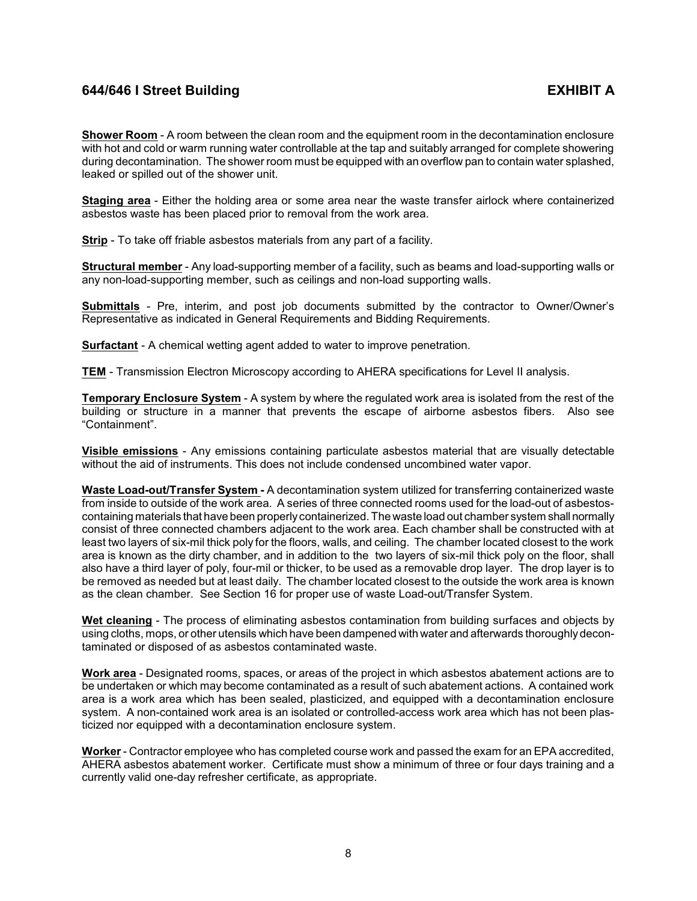**Shower Room** - A room between the clean room and the equipment room in the decontamination enclosure with hot and cold or warm running water controllable at the tap and suitably arranged for complete showering during decontamination. The shower room must be equipped with an overflow pan to contain water splashed, leaked or spilled out of the shower unit.

**Staging area** - Either the holding area or some area near the waste transfer airlock where containerized asbestos waste has been placed prior to removal from the work area.

**Strip** - To take off friable asbestos materials from any part of a facility.

**Structural member** - Any load-supporting member of a facility, such as beams and load-supporting walls or any non-load-supporting member, such as ceilings and non-load supporting walls.

**Submittals** - Pre, interim, and post job documents submitted by the contractor to Owner/Owner's Representative as indicated in General Requirements and Bidding Requirements.

**Surfactant** - A chemical wetting agent added to water to improve penetration.

**TEM** - Transmission Electron Microscopy according to AHERA specifications for Level II analysis.

**Temporary Enclosure System** - A system by where the regulated work area is isolated from the rest of the building or structure in a manner that prevents the escape of airborne asbestos fibers. Also see "Containment".

**Visible emissions** - Any emissions containing particulate asbestos material that are visually detectable without the aid of instruments. This does not include condensed uncombined water vapor.

**Waste Load-out/Transfer System -** A decontamination system utilized for transferring containerized waste from inside to outside of the work area. A series of three connected rooms used for the load-out of asbestoscontaining materials that have been properly containerized. The waste load out chamber system shall normally consist of three connected chambers adjacent to the work area. Each chamber shall be constructed with at least two layers of six-mil thick poly for the floors, walls, and ceiling. The chamber located closest to the work area is known as the dirty chamber, and in addition to the two layers of six-mil thick poly on the floor, shall also have a third layer of poly, four-mil or thicker, to be used as a removable drop layer. The drop layer is to be removed as needed but at least daily. The chamber located closest to the outside the work area is known as the clean chamber. See Section 16 for proper use of waste Load-out/Transfer System.

**Wet cleaning** - The process of eliminating asbestos contamination from building surfaces and objects by using cloths, mops, or other utensils which have been dampened with water and afterwards thoroughlydecontaminated or disposed of as asbestos contaminated waste.

**Work area** - Designated rooms, spaces, or areas of the project in which asbestos abatement actions are to be undertaken or which may become contaminated as a result of such abatement actions. A contained work area is a work area which has been sealed, plasticized, and equipped with a decontamination enclosure system. A non-contained work area is an isolated or controlled-access work area which has not been plasticized nor equipped with a decontamination enclosure system.

**Worker**- Contractor employee who has completed course work and passed the exam for an EPA accredited, AHERA asbestos abatement worker. Certificate must show a minimum of three or four days training and a currently valid one-day refresher certificate, as appropriate.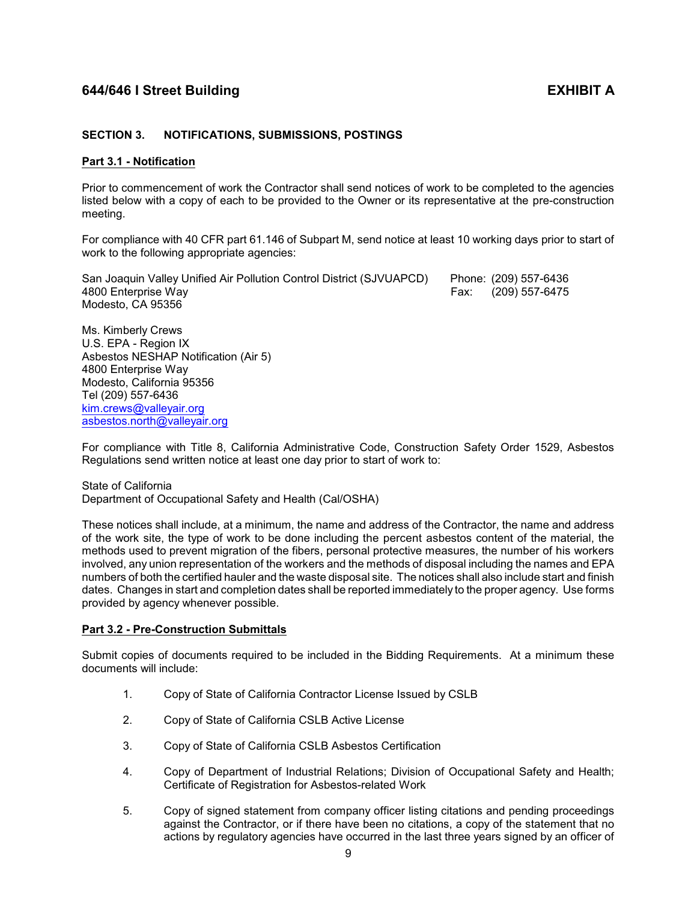## <span id="page-11-0"></span>**SECTION 3. NOTIFICATIONS, SUBMISSIONS, POSTINGS**

### <span id="page-11-1"></span>**Part 3.1 - Notification**

Prior to commencement of work the Contractor shall send notices of work to be completed to the agencies listed below with a copy of each to be provided to the Owner or its representative at the pre-construction meeting.

For compliance with 40 CFR part 61.146 of Subpart M, send notice at least 10 working days prior to start of work to the following appropriate agencies:

San Joaquin Valley Unified Air Pollution Control District (SJVUAPCD) Phone: (209) 557-6436 4800 Enterprise Way Fax: (209) 557-6475 Modesto, CA 95356

Ms. Kimberly Crews U.S. EPA - Region IX Asbestos NESHAP Notification (Air 5) 4800 Enterprise Way Modesto, California 95356 Tel (209) 557-6436 [kim.crews@valleyair.org](mailto:kim.crews@valleyair.org) [asbestos.north@valleyair.org](mailto:asbestos.north@valleyair.org)

For compliance with Title 8, California Administrative Code, Construction Safety Order 1529, Asbestos Regulations send written notice at least one day prior to start of work to:

State of California Department of Occupational Safety and Health (Cal/OSHA)

These notices shall include, at a minimum, the name and address of the Contractor, the name and address of the work site, the type of work to be done including the percent asbestos content of the material, the methods used to prevent migration of the fibers, personal protective measures, the number of his workers involved, any union representation of the workers and the methods of disposal including the names and EPA numbers of both the certified hauler and the waste disposal site. The notices shall also include start and finish dates. Changes in start and completion dates shall be reported immediately to the proper agency. Use forms provided by agency whenever possible.

## <span id="page-11-2"></span>**Part 3.2 - Pre-Construction Submittals**

Submit copies of documents required to be included in the Bidding Requirements. At a minimum these documents will include:

- 1. Copy of State of California Contractor License Issued by CSLB
- 2. Copy of State of California CSLB Active License
- 3. Copy of State of California CSLB Asbestos Certification
- 4. Copy of Department of Industrial Relations; Division of Occupational Safety and Health; Certificate of Registration for Asbestos-related Work
- 5. Copy of signed statement from company officer listing citations and pending proceedings against the Contractor, or if there have been no citations, a copy of the statement that no actions by regulatory agencies have occurred in the last three years signed by an officer of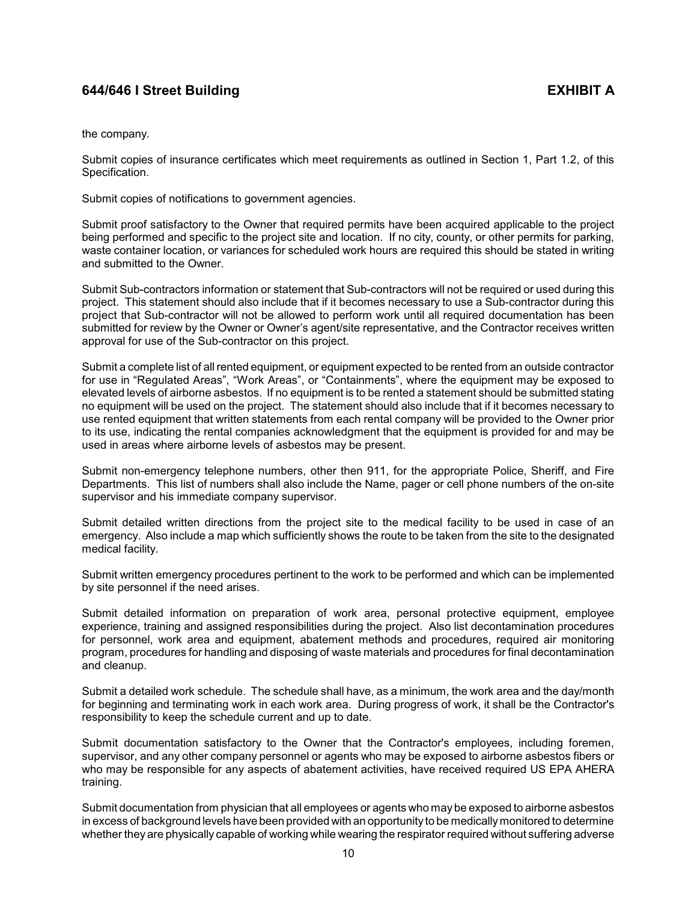the company.

Submit copies of insurance certificates which meet requirements as outlined in Section 1, Part 1.2, of this Specification.

Submit copies of notifications to government agencies.

Submit proof satisfactory to the Owner that required permits have been acquired applicable to the project being performed and specific to the project site and location. If no city, county, or other permits for parking, waste container location, or variances for scheduled work hours are required this should be stated in writing and submitted to the Owner.

Submit Sub-contractors information or statement that Sub-contractors will not be required or used during this project. This statement should also include that if it becomes necessary to use a Sub-contractor during this project that Sub-contractor will not be allowed to perform work until all required documentation has been submitted for review by the Owner or Owner's agent/site representative, and the Contractor receives written approval for use of the Sub-contractor on this project.

Submit a complete list of all rented equipment, or equipment expected to be rented from an outside contractor for use in "Regulated Areas", "Work Areas", or "Containments", where the equipment may be exposed to elevated levels of airborne asbestos. If no equipment is to be rented a statement should be submitted stating no equipment will be used on the project. The statement should also include that if it becomes necessary to use rented equipment that written statements from each rental company will be provided to the Owner prior to its use, indicating the rental companies acknowledgment that the equipment is provided for and may be used in areas where airborne levels of asbestos may be present.

Submit non-emergency telephone numbers, other then 911, for the appropriate Police, Sheriff, and Fire Departments. This list of numbers shall also include the Name, pager or cell phone numbers of the on-site supervisor and his immediate company supervisor.

Submit detailed written directions from the project site to the medical facility to be used in case of an emergency. Also include a map which sufficiently shows the route to be taken from the site to the designated medical facility.

Submit written emergency procedures pertinent to the work to be performed and which can be implemented by site personnel if the need arises.

Submit detailed information on preparation of work area, personal protective equipment, employee experience, training and assigned responsibilities during the project. Also list decontamination procedures for personnel, work area and equipment, abatement methods and procedures, required air monitoring program, procedures for handling and disposing of waste materials and procedures for final decontamination and cleanup.

Submit a detailed work schedule. The schedule shall have, as a minimum, the work area and the day/month for beginning and terminating work in each work area. During progress of work, it shall be the Contractor's responsibility to keep the schedule current and up to date.

Submit documentation satisfactory to the Owner that the Contractor's employees, including foremen, supervisor, and any other company personnel or agents who may be exposed to airborne asbestos fibers or who may be responsible for any aspects of abatement activities, have received required US EPA AHERA training.

Submit documentation from physician that all employees or agents who maybe exposed to airborne asbestos in excess of background levels have been provided with an opportunity to be medicallymonitored to determine whether they are physically capable of working while wearing the respirator required without suffering adverse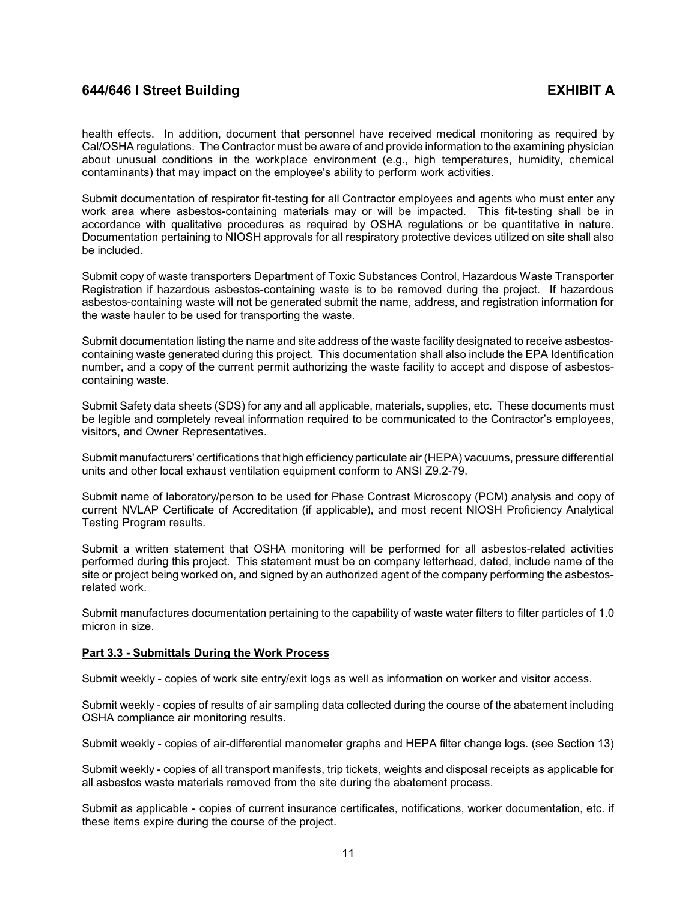health effects. In addition, document that personnel have received medical monitoring as required by Cal/OSHA regulations. The Contractor must be aware of and provide information to the examining physician about unusual conditions in the workplace environment (e.g., high temperatures, humidity, chemical contaminants) that may impact on the employee's ability to perform work activities.

Submit documentation of respirator fit-testing for all Contractor employees and agents who must enter any work area where asbestos-containing materials may or will be impacted. This fit-testing shall be in accordance with qualitative procedures as required by OSHA regulations or be quantitative in nature. Documentation pertaining to NIOSH approvals for all respiratory protective devices utilized on site shall also be included.

Submit copy of waste transporters Department of Toxic Substances Control, Hazardous Waste Transporter Registration if hazardous asbestos-containing waste is to be removed during the project. If hazardous asbestos-containing waste will not be generated submit the name, address, and registration information for the waste hauler to be used for transporting the waste.

Submit documentation listing the name and site address of the waste facility designated to receive asbestoscontaining waste generated during this project. This documentation shall also include the EPA Identification number, and a copy of the current permit authorizing the waste facility to accept and dispose of asbestoscontaining waste.

Submit Safety data sheets (SDS) for any and all applicable, materials, supplies, etc. These documents must be legible and completely reveal information required to be communicated to the Contractor's employees, visitors, and Owner Representatives.

Submit manufacturers' certifications that high efficiency particulate air (HEPA) vacuums, pressure differential units and other local exhaust ventilation equipment conform to ANSI Z9.2-79.

Submit name of laboratory/person to be used for Phase Contrast Microscopy (PCM) analysis and copy of current NVLAP Certificate of Accreditation (if applicable), and most recent NIOSH Proficiency Analytical Testing Program results.

Submit a written statement that OSHA monitoring will be performed for all asbestos-related activities performed during this project. This statement must be on company letterhead, dated, include name of the site or project being worked on, and signed by an authorized agent of the company performing the asbestosrelated work.

Submit manufactures documentation pertaining to the capability of waste water filters to filter particles of 1.0 micron in size.

## <span id="page-13-0"></span>**Part 3.3 - Submittals During the Work Process**

Submit weekly - copies of work site entry/exit logs as well as information on worker and visitor access.

Submit weekly - copies of results of air sampling data collected during the course of the abatement including OSHA compliance air monitoring results.

Submit weekly - copies of air-differential manometer graphs and HEPA filter change logs. (see Section 13)

Submit weekly - copies of all transport manifests, trip tickets, weights and disposal receipts as applicable for all asbestos waste materials removed from the site during the abatement process.

Submit as applicable - copies of current insurance certificates, notifications, worker documentation, etc. if these items expire during the course of the project.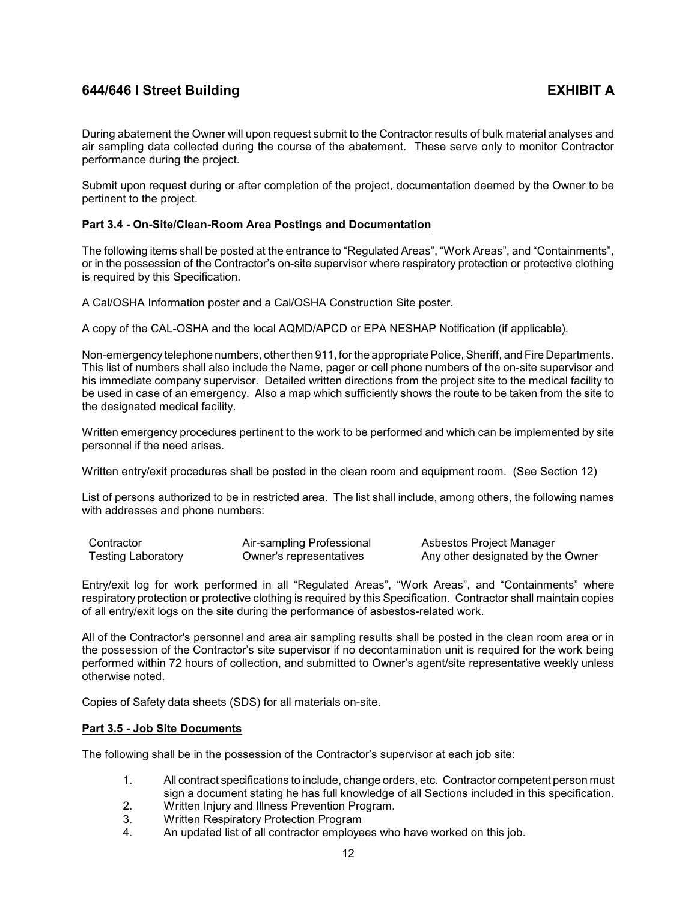During abatement the Owner will upon request submit to the Contractor results of bulk material analyses and air sampling data collected during the course of the abatement. These serve only to monitor Contractor performance during the project.

Submit upon request during or after completion of the project, documentation deemed by the Owner to be pertinent to the project.

## <span id="page-14-0"></span>**Part 3.4 - On-Site/Clean-Room Area Postings and Documentation**

The following items shall be posted at the entrance to "Regulated Areas", "Work Areas", and "Containments", or in the possession of the Contractor's on-site supervisor where respiratory protection or protective clothing is required by this Specification.

A Cal/OSHA Information poster and a Cal/OSHA Construction Site poster.

A copy of the CAL-OSHA and the local AQMD/APCD or EPA NESHAP Notification (if applicable).

Non-emergency telephone numbers, other then 911, for the appropriate Police, Sheriff, and Fire Departments. This list of numbers shall also include the Name, pager or cell phone numbers of the on-site supervisor and his immediate company supervisor. Detailed written directions from the project site to the medical facility to be used in case of an emergency. Also a map which sufficiently shows the route to be taken from the site to the designated medical facility.

Written emergency procedures pertinent to the work to be performed and which can be implemented by site personnel if the need arises.

Written entry/exit procedures shall be posted in the clean room and equipment room. (See Section 12)

List of persons authorized to be in restricted area. The list shall include, among others, the following names with addresses and phone numbers:

| Contractor                | Air-sampling Professional | Asbestos Project Manager          |
|---------------------------|---------------------------|-----------------------------------|
| <b>Testing Laboratory</b> | Owner's representatives   | Any other designated by the Owner |

Entry/exit log for work performed in all "Regulated Areas", "Work Areas", and "Containments" where respiratory protection or protective clothing is required by this Specification. Contractor shall maintain copies of all entry/exit logs on the site during the performance of asbestos-related work.

All of the Contractor's personnel and area air sampling results shall be posted in the clean room area or in the possession of the Contractor's site supervisor if no decontamination unit is required for the work being performed within 72 hours of collection, and submitted to Owner's agent/site representative weekly unless otherwise noted.

Copies of Safety data sheets (SDS) for all materials on-site.

## <span id="page-14-1"></span>**Part 3.5 - Job Site Documents**

The following shall be in the possession of the Contractor's supervisor at each job site:

- 1. All contract specifications to include, change orders, etc. Contractor competent person must sign a document stating he has full knowledge of all Sections included in this specification.
- 2. Written Injury and Illness Prevention Program.
- 3. Written Respiratory Protection Program
- 4. An updated list of all contractor employees who have worked on this job.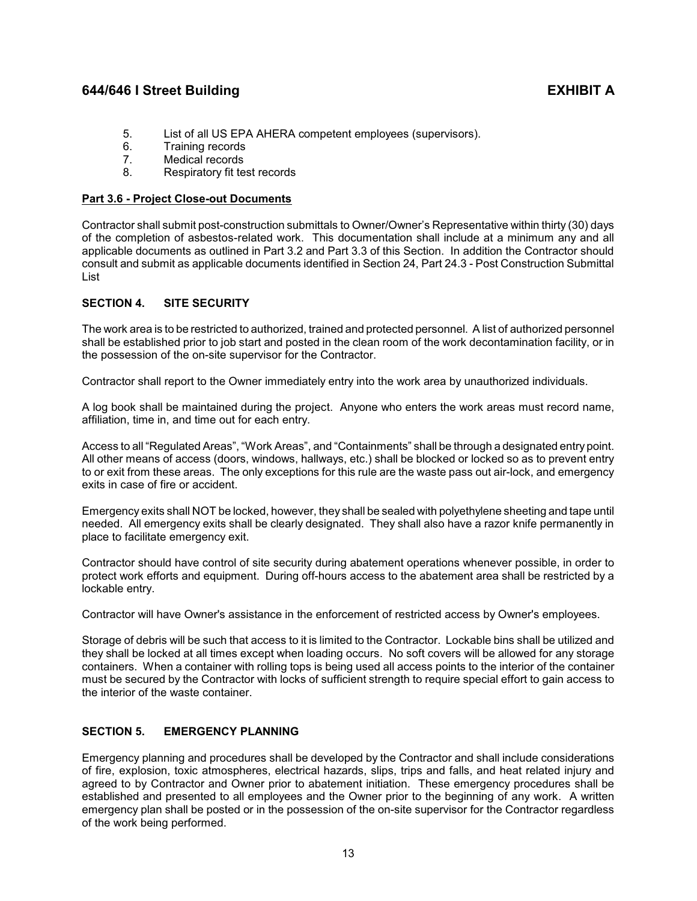- 5. List of all US EPA AHERA competent employees (supervisors).
- 6. Training records
- 7. Medical records
- 8. Respiratory fit test records

# <span id="page-15-0"></span>**Part 3.6 - Project Close-out Documents**

Contractor shall submit post-construction submittals to Owner/Owner's Representative within thirty (30) days of the completion of asbestos-related work. This documentation shall include at a minimum any and all applicable documents as outlined in Part 3.2 and Part 3.3 of this Section. In addition the Contractor should consult and submit as applicable documents identified in Section 24, Part 24.3 - Post Construction Submittal List

# <span id="page-15-1"></span>**SECTION 4. SITE SECURITY**

The work area is to be restricted to authorized, trained and protected personnel. A list of authorized personnel shall be established prior to job start and posted in the clean room of the work decontamination facility, or in the possession of the on-site supervisor for the Contractor.

Contractor shall report to the Owner immediately entry into the work area by unauthorized individuals.

A log book shall be maintained during the project. Anyone who enters the work areas must record name, affiliation, time in, and time out for each entry.

Access to all "Regulated Areas", "Work Areas", and "Containments" shall be through a designated entry point. All other means of access (doors, windows, hallways, etc.) shall be blocked or locked so as to prevent entry to or exit from these areas. The only exceptions for this rule are the waste pass out air-lock, and emergency exits in case of fire or accident.

Emergency exits shall NOT be locked, however, they shall be sealed with polyethylene sheeting and tape until needed. All emergency exits shall be clearly designated. They shall also have a razor knife permanently in place to facilitate emergency exit.

Contractor should have control of site security during abatement operations whenever possible, in order to protect work efforts and equipment. During off-hours access to the abatement area shall be restricted by a lockable entry.

Contractor will have Owner's assistance in the enforcement of restricted access by Owner's employees.

Storage of debris will be such that access to it is limited to the Contractor. Lockable bins shall be utilized and they shall be locked at all times except when loading occurs. No soft covers will be allowed for any storage containers. When a container with rolling tops is being used all access points to the interior of the container must be secured by the Contractor with locks of sufficient strength to require special effort to gain access to the interior of the waste container.

# <span id="page-15-2"></span>**SECTION 5. EMERGENCY PLANNING**

Emergency planning and procedures shall be developed by the Contractor and shall include considerations of fire, explosion, toxic atmospheres, electrical hazards, slips, trips and falls, and heat related injury and agreed to by Contractor and Owner prior to abatement initiation. These emergency procedures shall be established and presented to all employees and the Owner prior to the beginning of any work. A written emergency plan shall be posted or in the possession of the on-site supervisor for the Contractor regardless of the work being performed.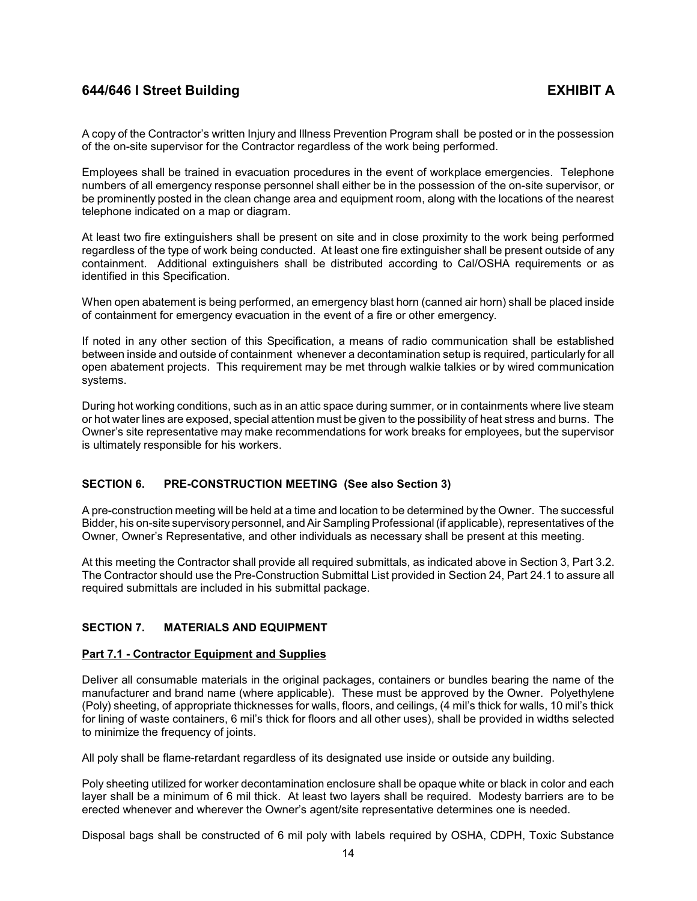A copy of the Contractor's written Injury and Illness Prevention Program shall be posted or in the possession of the on-site supervisor for the Contractor regardless of the work being performed.

Employees shall be trained in evacuation procedures in the event of workplace emergencies. Telephone numbers of all emergency response personnel shall either be in the possession of the on-site supervisor, or be prominently posted in the clean change area and equipment room, along with the locations of the nearest telephone indicated on a map or diagram.

At least two fire extinguishers shall be present on site and in close proximity to the work being performed regardless of the type of work being conducted. At least one fire extinguisher shall be present outside of any containment. Additional extinguishers shall be distributed according to Cal/OSHA requirements or as identified in this Specification.

When open abatement is being performed, an emergency blast horn (canned air horn) shall be placed inside of containment for emergency evacuation in the event of a fire or other emergency.

If noted in any other section of this Specification, a means of radio communication shall be established between inside and outside of containment whenever a decontamination setup is required, particularly for all open abatement projects. This requirement may be met through walkie talkies or by wired communication systems.

During hot working conditions, such as in an attic space during summer, or in containments where live steam or hot water lines are exposed, special attention must be given to the possibility of heat stress and burns. The Owner's site representative may make recommendations for work breaks for employees, but the supervisor is ultimately responsible for his workers.

## <span id="page-16-0"></span>**SECTION 6. PRE-CONSTRUCTION MEETING (See also Section 3)**

A pre-construction meeting will be held at a time and location to be determined by the Owner. The successful Bidder, his on-site supervisory personnel, and Air Sampling Professional(if applicable), representatives of the Owner, Owner's Representative, and other individuals as necessary shall be present at this meeting.

At this meeting the Contractor shall provide all required submittals, as indicated above in Section 3, Part 3.2. The Contractor should use the Pre-Construction Submittal List provided in Section 24, Part 24.1 to assure all required submittals are included in his submittal package.

## <span id="page-16-1"></span>**SECTION 7. MATERIALS AND EQUIPMENT**

## <span id="page-16-2"></span>**Part 7.1 - Contractor Equipment and Supplies**

Deliver all consumable materials in the original packages, containers or bundles bearing the name of the manufacturer and brand name (where applicable). These must be approved by the Owner. Polyethylene (Poly) sheeting, of appropriate thicknesses for walls, floors, and ceilings, (4 mil's thick for walls, 10 mil's thick for lining of waste containers, 6 mil's thick for floors and all other uses), shall be provided in widths selected to minimize the frequency of joints.

All poly shall be flame-retardant regardless of its designated use inside or outside any building.

Poly sheeting utilized for worker decontamination enclosure shall be opaque white or black in color and each layer shall be a minimum of 6 mil thick. At least two layers shall be required. Modesty barriers are to be erected whenever and wherever the Owner's agent/site representative determines one is needed.

Disposal bags shall be constructed of 6 mil poly with labels required by OSHA, CDPH, Toxic Substance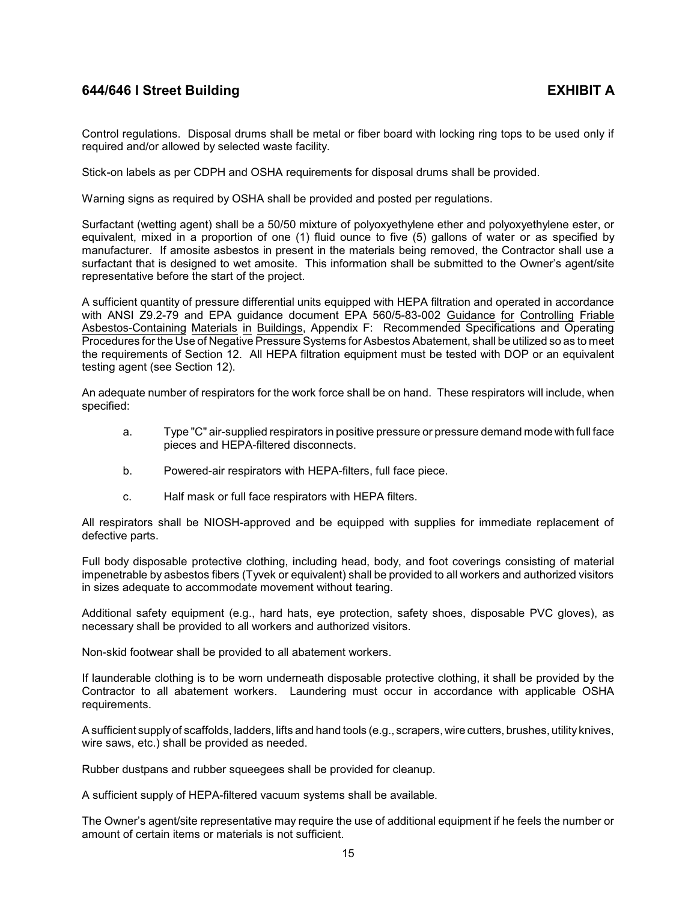Control regulations. Disposal drums shall be metal or fiber board with locking ring tops to be used only if required and/or allowed by selected waste facility.

Stick-on labels as per CDPH and OSHA requirements for disposal drums shall be provided.

Warning signs as required by OSHA shall be provided and posted per regulations.

Surfactant (wetting agent) shall be a 50/50 mixture of polyoxyethylene ether and polyoxyethylene ester, or equivalent, mixed in a proportion of one (1) fluid ounce to five (5) gallons of water or as specified by manufacturer. If amosite asbestos in present in the materials being removed, the Contractor shall use a surfactant that is designed to wet amosite. This information shall be submitted to the Owner's agent/site representative before the start of the project.

A sufficient quantity of pressure differential units equipped with HEPA filtration and operated in accordance with ANSI Z9.2-79 and EPA guidance document EPA 560/5-83-002 Guidance for Controlling Friable Asbestos-Containing Materials in Buildings, Appendix F: Recommended Specifications and Operating Procedures for the Use of Negative Pressure Systems for Asbestos Abatement, shall be utilized so as to meet the requirements of Section 12. All HEPA filtration equipment must be tested with DOP or an equivalent testing agent (see Section 12).

An adequate number of respirators for the work force shall be on hand. These respirators will include, when specified:

- a. Type "C" air-supplied respirators in positive pressure or pressure demand mode with full face pieces and HEPA-filtered disconnects.
- b. Powered-air respirators with HEPA-filters, full face piece.
- c. Half mask or full face respirators with HEPA filters.

All respirators shall be NIOSH-approved and be equipped with supplies for immediate replacement of defective parts.

Full body disposable protective clothing, including head, body, and foot coverings consisting of material impenetrable by asbestos fibers (Tyvek or equivalent) shall be provided to all workers and authorized visitors in sizes adequate to accommodate movement without tearing.

Additional safety equipment (e.g., hard hats, eye protection, safety shoes, disposable PVC gloves), as necessary shall be provided to all workers and authorized visitors.

Non-skid footwear shall be provided to all abatement workers.

If launderable clothing is to be worn underneath disposable protective clothing, it shall be provided by the Contractor to all abatement workers. Laundering must occur in accordance with applicable OSHA requirements.

A sufficient supplyof scaffolds, ladders, lifts and hand tools (e.g., scrapers, wire cutters, brushes, utility knives, wire saws, etc.) shall be provided as needed.

Rubber dustpans and rubber squeegees shall be provided for cleanup.

A sufficient supply of HEPA-filtered vacuum systems shall be available.

The Owner's agent/site representative may require the use of additional equipment if he feels the number or amount of certain items or materials is not sufficient.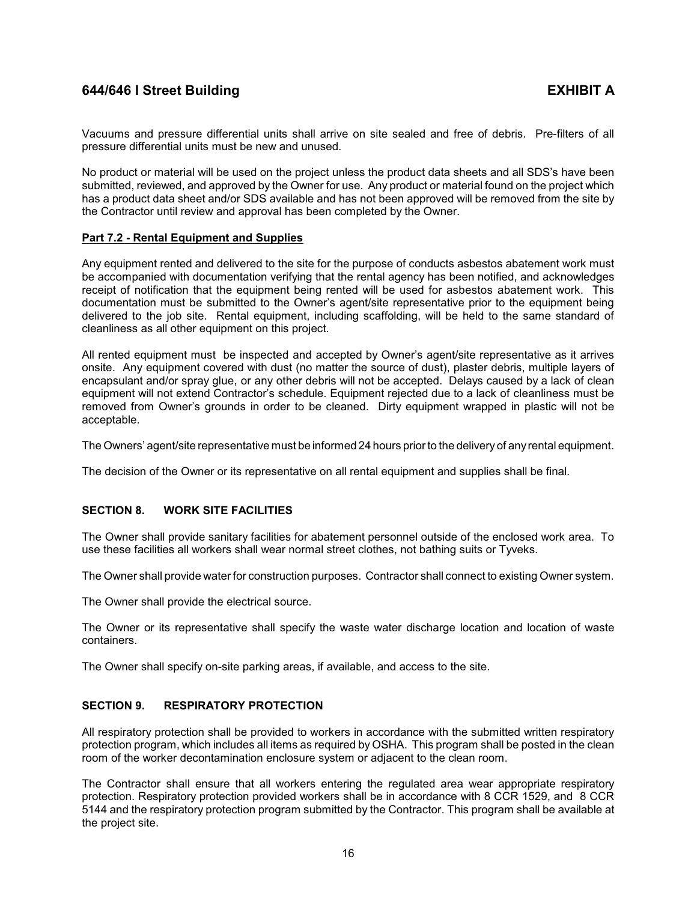Vacuums and pressure differential units shall arrive on site sealed and free of debris. Pre-filters of all pressure differential units must be new and unused.

No product or material will be used on the project unless the product data sheets and all SDS's have been submitted, reviewed, and approved by the Owner for use. Any product or material found on the project which has a product data sheet and/or SDS available and has not been approved will be removed from the site by the Contractor until review and approval has been completed by the Owner.

## <span id="page-18-0"></span>**Part 7.2 - Rental Equipment and Supplies**

Any equipment rented and delivered to the site for the purpose of conducts asbestos abatement work must be accompanied with documentation verifying that the rental agency has been notified, and acknowledges receipt of notification that the equipment being rented will be used for asbestos abatement work. This documentation must be submitted to the Owner's agent/site representative prior to the equipment being delivered to the job site. Rental equipment, including scaffolding, will be held to the same standard of cleanliness as all other equipment on this project.

All rented equipment must be inspected and accepted by Owner's agent/site representative as it arrives onsite. Any equipment covered with dust (no matter the source of dust), plaster debris, multiple layers of encapsulant and/or spray glue, or any other debris will not be accepted. Delays caused by a lack of clean equipment will not extend Contractor's schedule. Equipment rejected due to a lack of cleanliness must be removed from Owner's grounds in order to be cleaned. Dirty equipment wrapped in plastic will not be acceptable.

The Owners' agent/site representative must be informed 24 hours prior to the delivery of any rental equipment.

The decision of the Owner or its representative on all rental equipment and supplies shall be final.

## <span id="page-18-1"></span>**SECTION 8. WORK SITE FACILITIES**

The Owner shall provide sanitary facilities for abatement personnel outside of the enclosed work area. To use these facilities all workers shall wear normal street clothes, not bathing suits or Tyveks.

The Owner shall provide water for construction purposes. Contractor shall connect to existing Owner system.

The Owner shall provide the electrical source.

The Owner or its representative shall specify the waste water discharge location and location of waste containers.

The Owner shall specify on-site parking areas, if available, and access to the site.

## <span id="page-18-2"></span>**SECTION 9. RESPIRATORY PROTECTION**

All respiratory protection shall be provided to workers in accordance with the submitted written respiratory protection program, which includes all items as required by OSHA. This program shall be posted in the clean room of the worker decontamination enclosure system or adjacent to the clean room.

The Contractor shall ensure that all workers entering the regulated area wear appropriate respiratory protection. Respiratory protection provided workers shall be in accordance with 8 CCR 1529, and 8 CCR 5144 and the respiratory protection program submitted by the Contractor. This program shall be available at the project site.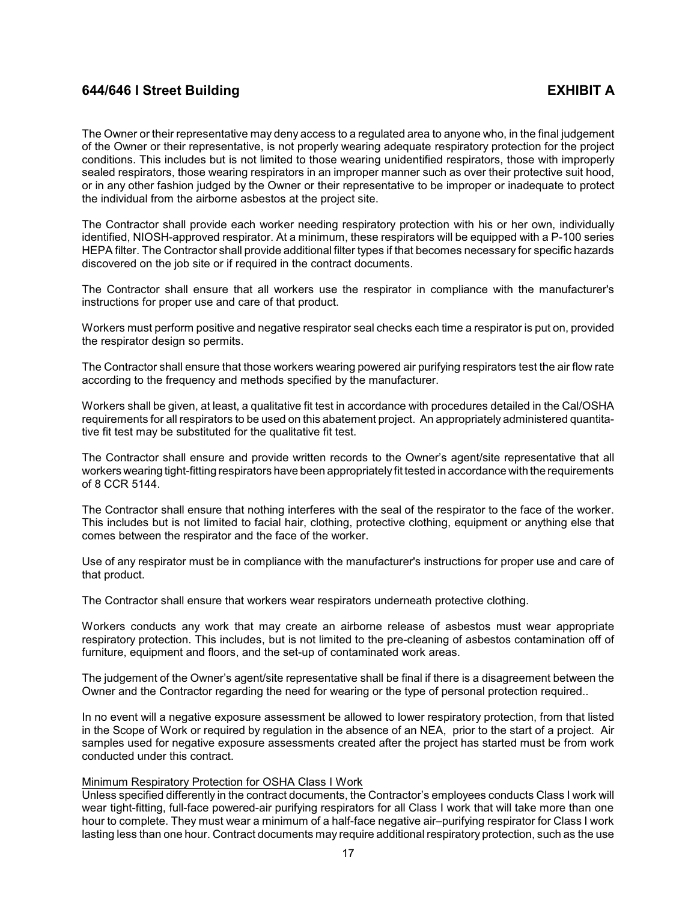The Owner or their representative may deny access to a regulated area to anyone who, in the final judgement of the Owner or their representative, is not properly wearing adequate respiratory protection for the project conditions. This includes but is not limited to those wearing unidentified respirators, those with improperly sealed respirators, those wearing respirators in an improper manner such as over their protective suit hood, or in any other fashion judged by the Owner or their representative to be improper or inadequate to protect the individual from the airborne asbestos at the project site.

The Contractor shall provide each worker needing respiratory protection with his or her own, individually identified, NIOSH-approved respirator. At a minimum, these respirators will be equipped with a P-100 series HEPA filter. The Contractor shall provide additional filter types if that becomes necessary for specific hazards discovered on the job site or if required in the contract documents.

The Contractor shall ensure that all workers use the respirator in compliance with the manufacturer's instructions for proper use and care of that product.

Workers must perform positive and negative respirator seal checks each time a respirator is put on, provided the respirator design so permits.

The Contractor shall ensure that those workers wearing powered air purifying respirators test the air flow rate according to the frequency and methods specified by the manufacturer.

Workers shall be given, at least, a qualitative fit test in accordance with procedures detailed in the Cal/OSHA requirements for all respirators to be used on this abatement project. An appropriately administered quantitative fit test may be substituted for the qualitative fit test.

The Contractor shall ensure and provide written records to the Owner's agent/site representative that all workers wearing tight-fitting respirators have been appropriately fit tested in accordance with the requirements of 8 CCR 5144.

The Contractor shall ensure that nothing interferes with the seal of the respirator to the face of the worker. This includes but is not limited to facial hair, clothing, protective clothing, equipment or anything else that comes between the respirator and the face of the worker.

Use of any respirator must be in compliance with the manufacturer's instructions for proper use and care of that product.

The Contractor shall ensure that workers wear respirators underneath protective clothing.

Workers conducts any work that may create an airborne release of asbestos must wear appropriate respiratory protection. This includes, but is not limited to the pre-cleaning of asbestos contamination off of furniture, equipment and floors, and the set-up of contaminated work areas.

The judgement of the Owner's agent/site representative shall be final if there is a disagreement between the Owner and the Contractor regarding the need for wearing or the type of personal protection required..

In no event will a negative exposure assessment be allowed to lower respiratory protection, from that listed in the Scope of Work or required by regulation in the absence of an NEA, prior to the start of a project. Air samples used for negative exposure assessments created after the project has started must be from work conducted under this contract.

### Minimum Respiratory Protection for OSHA Class I Work

Unless specified differently in the contract documents, the Contractor's employees conducts Class I work will wear tight-fitting, full-face powered-air purifying respirators for all Class I work that will take more than one hour to complete. They must wear a minimum of a half-face negative air–purifying respirator for Class I work lasting less than one hour. Contract documents may require additional respiratory protection, such as the use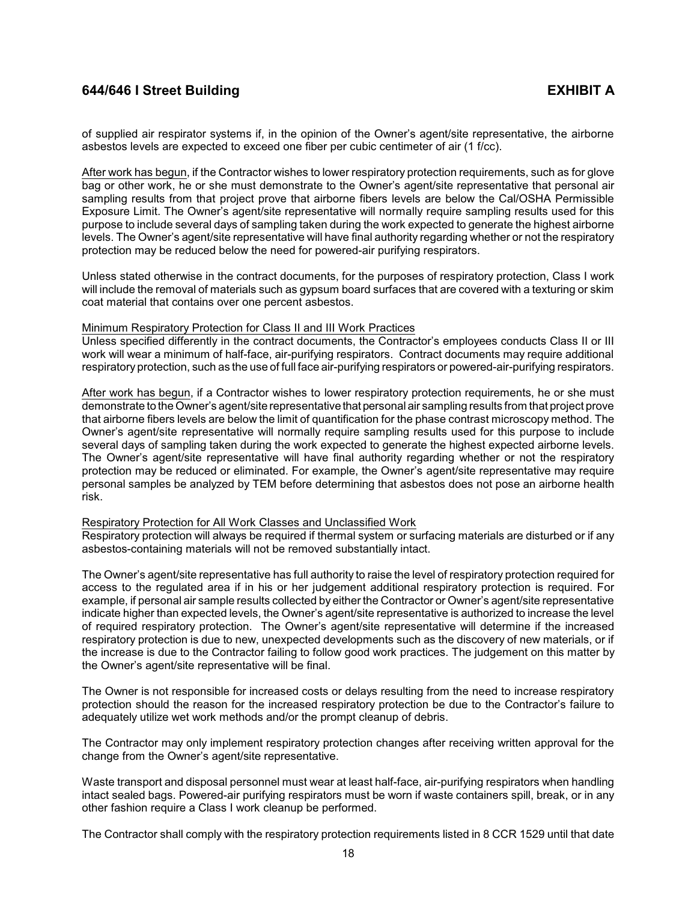of supplied air respirator systems if, in the opinion of the Owner's agent/site representative, the airborne asbestos levels are expected to exceed one fiber per cubic centimeter of air (1 f/cc).

After work has begun, if the Contractor wishes to lower respiratory protection requirements, such as for glove bag or other work, he or she must demonstrate to the Owner's agent/site representative that personal air sampling results from that project prove that airborne fibers levels are below the Cal/OSHA Permissible Exposure Limit. The Owner's agent/site representative will normally require sampling results used for this purpose to include several days of sampling taken during the work expected to generate the highest airborne levels. The Owner's agent/site representative will have final authority regarding whether or not the respiratory protection may be reduced below the need for powered-air purifying respirators.

Unless stated otherwise in the contract documents, for the purposes of respiratory protection, Class I work will include the removal of materials such as gypsum board surfaces that are covered with a texturing or skim coat material that contains over one percent asbestos.

### Minimum Respiratory Protection for Class II and III Work Practices

Unless specified differently in the contract documents, the Contractor's employees conducts Class II or III work will wear a minimum of half-face, air-purifying respirators. Contract documents may require additional respiratory protection, such as the use of full face air-purifying respirators or powered-air-purifying respirators.

After work has begun, if a Contractor wishes to lower respiratory protection requirements, he or she must demonstrate to the Owner's agent/site representative that personal air sampling results from that project prove that airborne fibers levels are below the limit of quantification for the phase contrast microscopy method. The Owner's agent/site representative will normally require sampling results used for this purpose to include several days of sampling taken during the work expected to generate the highest expected airborne levels. The Owner's agent/site representative will have final authority regarding whether or not the respiratory protection may be reduced or eliminated. For example, the Owner's agent/site representative may require personal samples be analyzed by TEM before determining that asbestos does not pose an airborne health risk.

### Respiratory Protection for All Work Classes and Unclassified Work

Respiratory protection will always be required if thermal system or surfacing materials are disturbed or if any asbestos-containing materials will not be removed substantially intact.

The Owner's agent/site representative has full authority to raise the level of respiratory protection required for access to the regulated area if in his or her judgement additional respiratory protection is required. For example, if personal air sample results collected by either the Contractor or Owner's agent/site representative indicate higher than expected levels, the Owner's agent/site representative is authorized to increase the level of required respiratory protection. The Owner's agent/site representative will determine if the increased respiratory protection is due to new, unexpected developments such as the discovery of new materials, or if the increase is due to the Contractor failing to follow good work practices. The judgement on this matter by the Owner's agent/site representative will be final.

The Owner is not responsible for increased costs or delays resulting from the need to increase respiratory protection should the reason for the increased respiratory protection be due to the Contractor's failure to adequately utilize wet work methods and/or the prompt cleanup of debris.

The Contractor may only implement respiratory protection changes after receiving written approval for the change from the Owner's agent/site representative.

Waste transport and disposal personnel must wear at least half-face, air-purifying respirators when handling intact sealed bags. Powered-air purifying respirators must be worn if waste containers spill, break, or in any other fashion require a Class I work cleanup be performed.

The Contractor shall comply with the respiratory protection requirements listed in 8 CCR 1529 until that date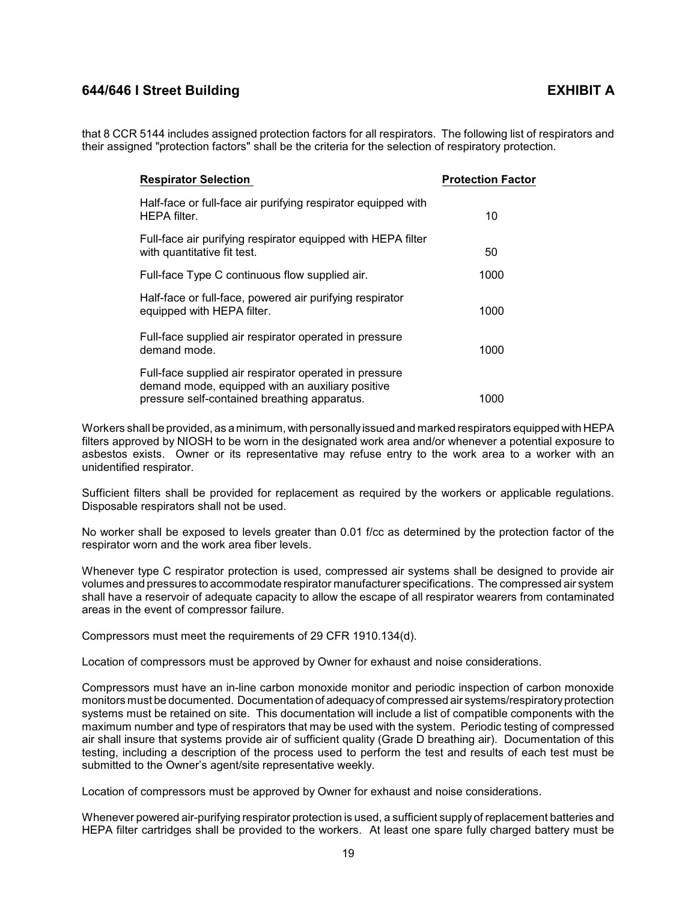that 8 CCR 5144 includes assigned protection factors for all respirators. The following list of respirators and their assigned "protection factors" shall be the criteria for the selection of respiratory protection.

| <b>Respirator Selection</b>                                                                                                                                | <b>Protection Factor</b> |
|------------------------------------------------------------------------------------------------------------------------------------------------------------|--------------------------|
| Half-face or full-face air purifying respirator equipped with<br><b>HEPA</b> filter.                                                                       | 10                       |
| Full-face air purifying respirator equipped with HEPA filter<br>with quantitative fit test.                                                                | 50                       |
| Full-face Type C continuous flow supplied air.                                                                                                             | 1000                     |
| Half-face or full-face, powered air purifying respirator<br>equipped with HEPA filter.                                                                     | 1000                     |
| Full-face supplied air respirator operated in pressure<br>demand mode.                                                                                     | 1000                     |
| Full-face supplied air respirator operated in pressure<br>demand mode, equipped with an auxiliary positive<br>pressure self-contained breathing apparatus. | 1000                     |

Workers shall be provided, as a minimum, with personallyissued and marked respirators equipped with HEPA filters approved by NIOSH to be worn in the designated work area and/or whenever a potential exposure to asbestos exists. Owner or its representative may refuse entry to the work area to a worker with an unidentified respirator.

Sufficient filters shall be provided for replacement as required by the workers or applicable regulations. Disposable respirators shall not be used.

No worker shall be exposed to levels greater than 0.01 f/cc as determined by the protection factor of the respirator worn and the work area fiber levels.

Whenever type C respirator protection is used, compressed air systems shall be designed to provide air volumes and pressures to accommodate respirator manufacturer specifications. The compressed air system shall have a reservoir of adequate capacity to allow the escape of all respirator wearers from contaminated areas in the event of compressor failure.

Compressors must meet the requirements of 29 CFR 1910.134(d).

Location of compressors must be approved by Owner for exhaust and noise considerations.

Compressors must have an in-line carbon monoxide monitor and periodic inspection of carbon monoxide monitors must be documented. Documentation of adequacyof compressed air systems/respiratoryprotection systems must be retained on site. This documentation will include a list of compatible components with the maximum number and type of respirators that may be used with the system. Periodic testing of compressed air shall insure that systems provide air of sufficient quality (Grade D breathing air). Documentation of this testing, including a description of the process used to perform the test and results of each test must be submitted to the Owner's agent/site representative weekly.

Location of compressors must be approved by Owner for exhaust and noise considerations.

Whenever powered air-purifying respirator protection is used, a sufficient supply of replacement batteries and HEPA filter cartridges shall be provided to the workers. At least one spare fully charged battery must be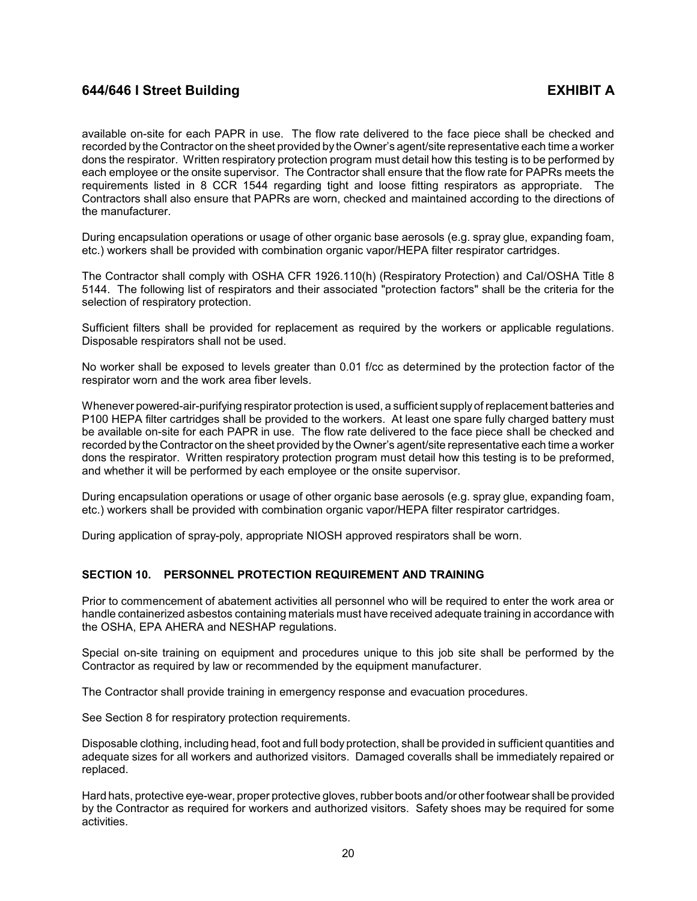available on-site for each PAPR in use. The flow rate delivered to the face piece shall be checked and recorded by the Contractor on the sheet provided by the Owner's agent/site representative each time a worker dons the respirator. Written respiratory protection program must detail how this testing is to be performed by each employee or the onsite supervisor. The Contractor shall ensure that the flow rate for PAPRs meets the requirements listed in 8 CCR 1544 regarding tight and loose fitting respirators as appropriate. The Contractors shall also ensure that PAPRs are worn, checked and maintained according to the directions of the manufacturer.

During encapsulation operations or usage of other organic base aerosols (e.g. spray glue, expanding foam, etc.) workers shall be provided with combination organic vapor/HEPA filter respirator cartridges.

The Contractor shall comply with OSHA CFR 1926.110(h) (Respiratory Protection) and Cal/OSHA Title 8 5144. The following list of respirators and their associated "protection factors" shall be the criteria for the selection of respiratory protection.

Sufficient filters shall be provided for replacement as required by the workers or applicable regulations. Disposable respirators shall not be used.

No worker shall be exposed to levels greater than 0.01 f/cc as determined by the protection factor of the respirator worn and the work area fiber levels.

Whenever powered-air-purifying respirator protection is used, a sufficient supplyof replacement batteries and P100 HEPA filter cartridges shall be provided to the workers. At least one spare fully charged battery must be available on-site for each PAPR in use. The flow rate delivered to the face piece shall be checked and recorded by the Contractor on the sheet provided by the Owner's agent/site representative each time a worker dons the respirator. Written respiratory protection program must detail how this testing is to be preformed, and whether it will be performed by each employee or the onsite supervisor.

During encapsulation operations or usage of other organic base aerosols (e.g. spray glue, expanding foam, etc.) workers shall be provided with combination organic vapor/HEPA filter respirator cartridges.

During application of spray-poly, appropriate NIOSH approved respirators shall be worn.

## <span id="page-22-0"></span>**SECTION 10. PERSONNEL PROTECTION REQUIREMENT AND TRAINING**

Prior to commencement of abatement activities all personnel who will be required to enter the work area or handle containerized asbestos containing materials must have received adequate training in accordance with the OSHA, EPA AHERA and NESHAP regulations.

Special on-site training on equipment and procedures unique to this job site shall be performed by the Contractor as required by law or recommended by the equipment manufacturer.

The Contractor shall provide training in emergency response and evacuation procedures.

See Section 8 for respiratory protection requirements.

Disposable clothing, including head, foot and full body protection, shall be provided in sufficient quantities and adequate sizes for all workers and authorized visitors. Damaged coveralls shall be immediately repaired or replaced.

Hard hats, protective eye-wear, proper protective gloves, rubber boots and/or other footwear shall be provided by the Contractor as required for workers and authorized visitors. Safety shoes may be required for some activities.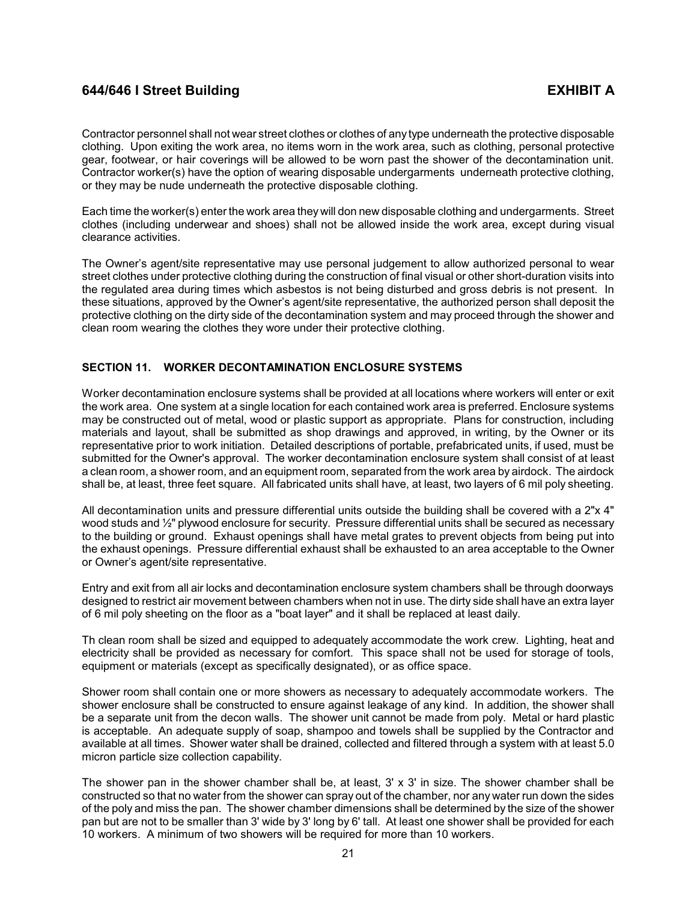Contractor personnel shall not wear street clothes or clothes of any type underneath the protective disposable clothing. Upon exiting the work area, no items worn in the work area, such as clothing, personal protective gear, footwear, or hair coverings will be allowed to be worn past the shower of the decontamination unit. Contractor worker(s) have the option of wearing disposable undergarments underneath protective clothing, or they may be nude underneath the protective disposable clothing.

Each time the worker(s) enter the work area they will don new disposable clothing and undergarments. Street clothes (including underwear and shoes) shall not be allowed inside the work area, except during visual clearance activities.

The Owner's agent/site representative may use personal judgement to allow authorized personal to wear street clothes under protective clothing during the construction of final visual or other short-duration visits into the regulated area during times which asbestos is not being disturbed and gross debris is not present. In these situations, approved by the Owner's agent/site representative, the authorized person shall deposit the protective clothing on the dirty side of the decontamination system and may proceed through the shower and clean room wearing the clothes they wore under their protective clothing.

## <span id="page-23-0"></span>**SECTION 11. WORKER DECONTAMINATION ENCLOSURE SYSTEMS**

Worker decontamination enclosure systems shall be provided at all locations where workers will enter or exit the work area. One system at a single location for each contained work area is preferred. Enclosure systems may be constructed out of metal, wood or plastic support as appropriate. Plans for construction, including materials and layout, shall be submitted as shop drawings and approved, in writing, by the Owner or its representative prior to work initiation. Detailed descriptions of portable, prefabricated units, if used, must be submitted for the Owner's approval. The worker decontamination enclosure system shall consist of at least a clean room, a shower room, and an equipment room, separated from the work area by airdock. The airdock shall be, at least, three feet square. All fabricated units shall have, at least, two layers of 6 mil poly sheeting.

All decontamination units and pressure differential units outside the building shall be covered with a 2"x 4" wood studs and  $\frac{1}{2}$ " plywood enclosure for security. Pressure differential units shall be secured as necessary to the building or ground. Exhaust openings shall have metal grates to prevent objects from being put into the exhaust openings. Pressure differential exhaust shall be exhausted to an area acceptable to the Owner or Owner's agent/site representative.

Entry and exit from all air locks and decontamination enclosure system chambers shall be through doorways designed to restrict air movement between chambers when not in use. The dirty side shall have an extra layer of 6 mil poly sheeting on the floor as a "boat layer" and it shall be replaced at least daily.

Th clean room shall be sized and equipped to adequately accommodate the work crew. Lighting, heat and electricity shall be provided as necessary for comfort. This space shall not be used for storage of tools, equipment or materials (except as specifically designated), or as office space.

Shower room shall contain one or more showers as necessary to adequately accommodate workers. The shower enclosure shall be constructed to ensure against leakage of any kind. In addition, the shower shall be a separate unit from the decon walls. The shower unit cannot be made from poly. Metal or hard plastic is acceptable. An adequate supply of soap, shampoo and towels shall be supplied by the Contractor and available at all times. Shower water shall be drained, collected and filtered through a system with at least 5.0 micron particle size collection capability.

The shower pan in the shower chamber shall be, at least,  $3' \times 3'$  in size. The shower chamber shall be constructed so that no water from the shower can spray out of the chamber, nor any water run down the sides of the poly and miss the pan. The shower chamber dimensions shall be determined by the size of the shower pan but are not to be smaller than 3' wide by 3' long by 6' tall. At least one shower shall be provided for each 10 workers. A minimum of two showers will be required for more than 10 workers.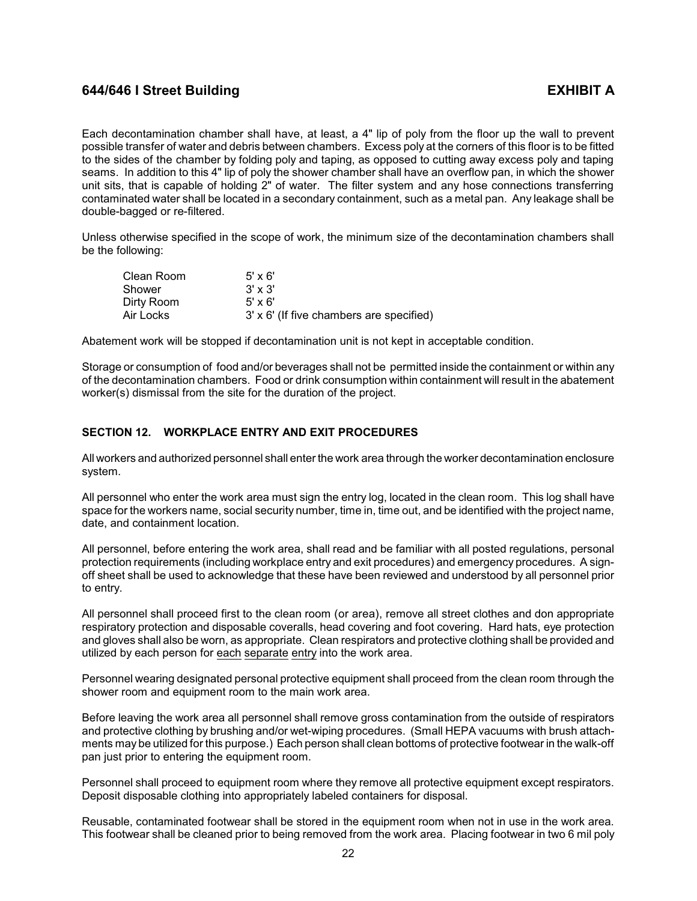Each decontamination chamber shall have, at least, a 4" lip of poly from the floor up the wall to prevent possible transfer of water and debris between chambers. Excess poly at the corners of this floor is to be fitted to the sides of the chamber by folding poly and taping, as opposed to cutting away excess poly and taping seams. In addition to this 4" lip of poly the shower chamber shall have an overflow pan, in which the shower unit sits, that is capable of holding 2" of water. The filter system and any hose connections transferring contaminated water shall be located in a secondary containment, such as a metal pan. Any leakage shall be double-bagged or re-filtered.

Unless otherwise specified in the scope of work, the minimum size of the decontamination chambers shall be the following:

| Clean Room | $5' \times 6'$                           |
|------------|------------------------------------------|
| Shower     | $3' \times 3'$                           |
| Dirty Room | $5' \times 6'$                           |
| Air Locks  | 3' x 6' (If five chambers are specified) |

Abatement work will be stopped if decontamination unit is not kept in acceptable condition.

Storage or consumption of food and/or beverages shall not be permitted inside the containment or within any of the decontamination chambers. Food or drink consumption within containment will result in the abatement worker(s) dismissal from the site for the duration of the project.

## <span id="page-24-0"></span>**SECTION 12. WORKPLACE ENTRY AND EXIT PROCEDURES**

All workers and authorized personnel shall enter the work area through the worker decontamination enclosure system.

All personnel who enter the work area must sign the entry log, located in the clean room. This log shall have space for the workers name, social security number, time in, time out, and be identified with the project name, date, and containment location.

All personnel, before entering the work area, shall read and be familiar with all posted regulations, personal protection requirements (including workplace entry and exit procedures) and emergency procedures. A signoff sheet shall be used to acknowledge that these have been reviewed and understood by all personnel prior to entry.

All personnel shall proceed first to the clean room (or area), remove all street clothes and don appropriate respiratory protection and disposable coveralls, head covering and foot covering. Hard hats, eye protection and gloves shall also be worn, as appropriate. Clean respirators and protective clothing shall be provided and utilized by each person for each separate entry into the work area.

Personnel wearing designated personal protective equipment shall proceed from the clean room through the shower room and equipment room to the main work area.

Before leaving the work area all personnel shall remove gross contamination from the outside of respirators and protective clothing by brushing and/or wet-wiping procedures. (Small HEPA vacuums with brush attachments may be utilized for this purpose.) Each person shall clean bottoms of protective footwear in the walk-off pan just prior to entering the equipment room.

Personnel shall proceed to equipment room where they remove all protective equipment except respirators. Deposit disposable clothing into appropriately labeled containers for disposal.

Reusable, contaminated footwear shall be stored in the equipment room when not in use in the work area. This footwear shall be cleaned prior to being removed from the work area. Placing footwear in two 6 mil poly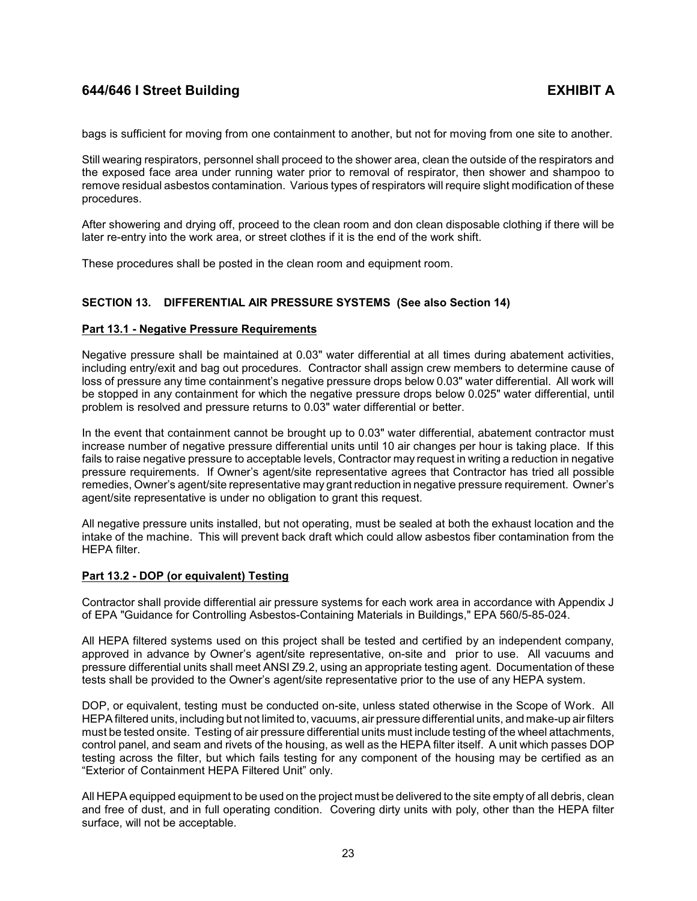bags is sufficient for moving from one containment to another, but not for moving from one site to another.

Still wearing respirators, personnel shall proceed to the shower area, clean the outside of the respirators and the exposed face area under running water prior to removal of respirator, then shower and shampoo to remove residual asbestos contamination. Various types of respirators will require slight modification of these procedures.

After showering and drying off, proceed to the clean room and don clean disposable clothing if there will be later re-entry into the work area, or street clothes if it is the end of the work shift.

These procedures shall be posted in the clean room and equipment room.

## <span id="page-25-0"></span>**SECTION 13. DIFFERENTIAL AIR PRESSURE SYSTEMS (See also Section 14)**

## <span id="page-25-1"></span>**Part 13.1 - Negative Pressure Requirements**

Negative pressure shall be maintained at 0.03" water differential at all times during abatement activities, including entry/exit and bag out procedures. Contractor shall assign crew members to determine cause of loss of pressure any time containment's negative pressure drops below 0.03" water differential. All work will be stopped in any containment for which the negative pressure drops below 0.025" water differential, until problem is resolved and pressure returns to 0.03" water differential or better.

In the event that containment cannot be brought up to 0.03" water differential, abatement contractor must increase number of negative pressure differential units until 10 air changes per hour is taking place. If this fails to raise negative pressure to acceptable levels, Contractor may request in writing a reduction in negative pressure requirements. If Owner's agent/site representative agrees that Contractor has tried all possible remedies, Owner's agent/site representative may grant reduction in negative pressure requirement. Owner's agent/site representative is under no obligation to grant this request.

All negative pressure units installed, but not operating, must be sealed at both the exhaust location and the intake of the machine. This will prevent back draft which could allow asbestos fiber contamination from the HEPA filter.

## <span id="page-25-2"></span>**Part 13.2 - DOP (or equivalent) Testing**

Contractor shall provide differential air pressure systems for each work area in accordance with Appendix J of EPA "Guidance for Controlling Asbestos-Containing Materials in Buildings," EPA 560/5-85-024.

All HEPA filtered systems used on this project shall be tested and certified by an independent company, approved in advance by Owner's agent/site representative, on-site and prior to use. All vacuums and pressure differential units shall meet ANSI Z9.2, using an appropriate testing agent. Documentation of these tests shall be provided to the Owner's agent/site representative prior to the use of any HEPA system.

DOP, or equivalent, testing must be conducted on-site, unless stated otherwise in the Scope of Work. All HEPA filtered units, including but not limited to, vacuums, air pressure differential units, and make-up air filters must be tested onsite. Testing of air pressure differential units must include testing of the wheel attachments, control panel, and seam and rivets of the housing, as well as the HEPA filter itself. A unit which passes DOP testing across the filter, but which fails testing for any component of the housing may be certified as an "Exterior of Containment HEPA Filtered Unit" only.

All HEPA equipped equipment to be used on the project must be delivered to the site empty of all debris, clean and free of dust, and in full operating condition. Covering dirty units with poly, other than the HEPA filter surface, will not be acceptable.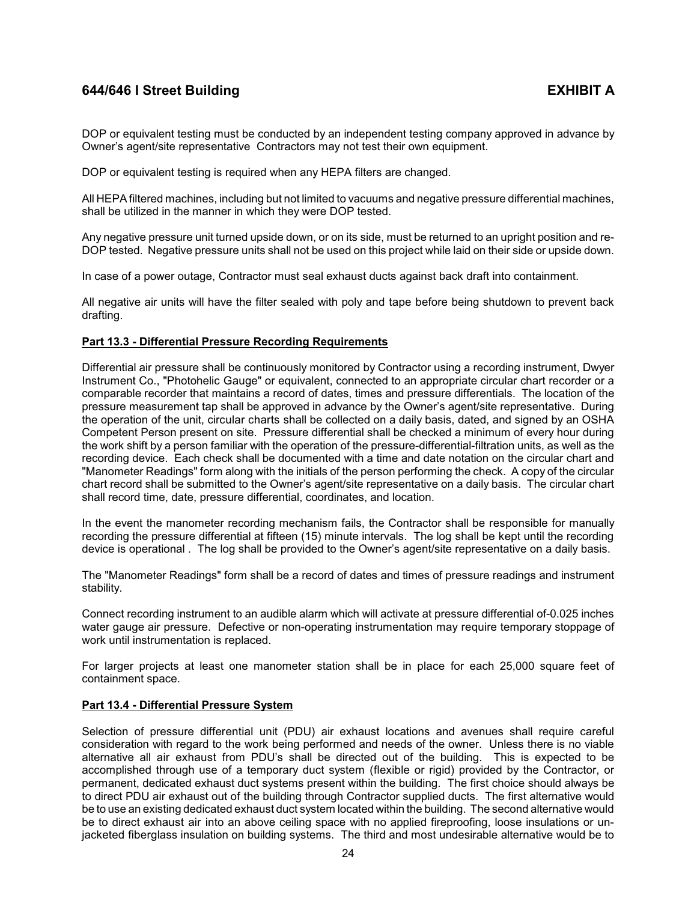DOP or equivalent testing must be conducted by an independent testing company approved in advance by Owner's agent/site representative Contractors may not test their own equipment.

DOP or equivalent testing is required when any HEPA filters are changed.

All HEPA filtered machines, including but not limited to vacuums and negative pressure differential machines, shall be utilized in the manner in which they were DOP tested.

Any negative pressure unit turned upside down, or on its side, must be returned to an upright position and re-DOP tested. Negative pressure units shall not be used on this project while laid on their side or upside down.

In case of a power outage, Contractor must seal exhaust ducts against back draft into containment.

All negative air units will have the filter sealed with poly and tape before being shutdown to prevent back drafting.

## <span id="page-26-0"></span>**Part 13.3 - Differential Pressure Recording Requirements**

Differential air pressure shall be continuously monitored by Contractor using a recording instrument, Dwyer Instrument Co., "Photohelic Gauge" or equivalent, connected to an appropriate circular chart recorder or a comparable recorder that maintains a record of dates, times and pressure differentials. The location of the pressure measurement tap shall be approved in advance by the Owner's agent/site representative. During the operation of the unit, circular charts shall be collected on a daily basis, dated, and signed by an OSHA Competent Person present on site. Pressure differential shall be checked a minimum of every hour during the work shift by a person familiar with the operation of the pressure-differential-filtration units, as well as the recording device. Each check shall be documented with a time and date notation on the circular chart and "Manometer Readings" form along with the initials of the person performing the check. A copy of the circular chart record shall be submitted to the Owner's agent/site representative on a daily basis. The circular chart shall record time, date, pressure differential, coordinates, and location.

In the event the manometer recording mechanism fails, the Contractor shall be responsible for manually recording the pressure differential at fifteen (15) minute intervals. The log shall be kept until the recording device is operational . The log shall be provided to the Owner's agent/site representative on a daily basis.

The "Manometer Readings" form shall be a record of dates and times of pressure readings and instrument stability.

Connect recording instrument to an audible alarm which will activate at pressure differential of-0.025 inches water gauge air pressure. Defective or non-operating instrumentation may require temporary stoppage of work until instrumentation is replaced.

For larger projects at least one manometer station shall be in place for each 25,000 square feet of containment space.

## <span id="page-26-1"></span>**Part 13.4 - Differential Pressure System**

Selection of pressure differential unit (PDU) air exhaust locations and avenues shall require careful consideration with regard to the work being performed and needs of the owner. Unless there is no viable alternative all air exhaust from PDU's shall be directed out of the building. This is expected to be accomplished through use of a temporary duct system (flexible or rigid) provided by the Contractor, or permanent, dedicated exhaust duct systems present within the building. The first choice should always be to direct PDU air exhaust out of the building through Contractor supplied ducts. The first alternative would be to use an existing dedicated exhaust duct system located within the building. The second alternative would be to direct exhaust air into an above ceiling space with no applied fireproofing, loose insulations or unjacketed fiberglass insulation on building systems. The third and most undesirable alternative would be to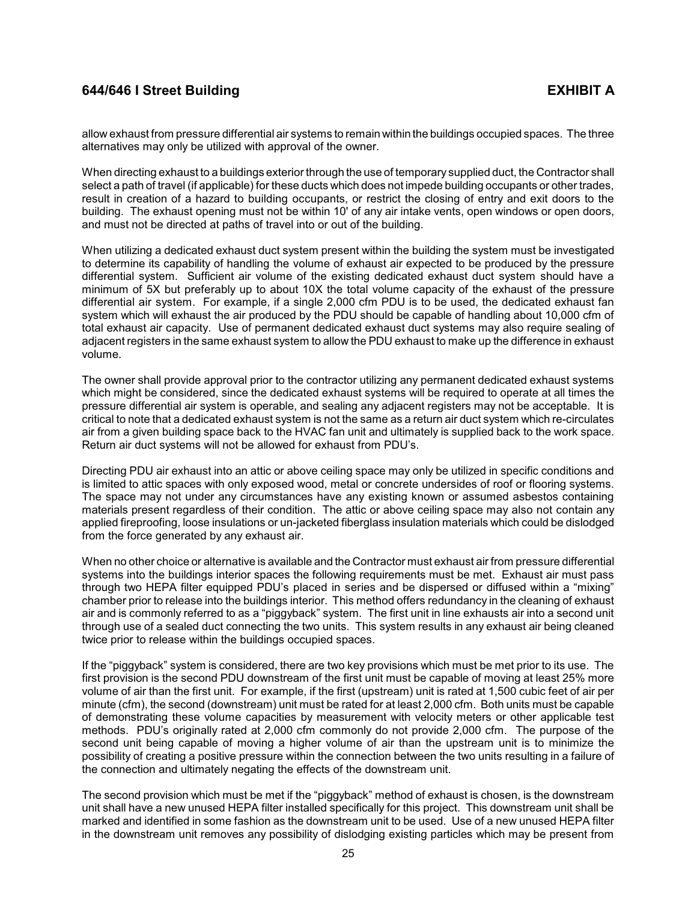allow exhaust from pressure differential air systems to remain within the buildings occupied spaces. The three alternatives may only be utilized with approval of the owner.

When directing exhaust to a buildings exterior through the use of temporary supplied duct, the Contractor shall select a path of travel (if applicable) for these ducts which does not impede building occupants or other trades, result in creation of a hazard to building occupants, or restrict the closing of entry and exit doors to the building. The exhaust opening must not be within 10' of any air intake vents, open windows or open doors, and must not be directed at paths of travel into or out of the building.

When utilizing a dedicated exhaust duct system present within the building the system must be investigated to determine its capability of handling the volume of exhaust air expected to be produced by the pressure differential system. Sufficient air volume of the existing dedicated exhaust duct system should have a minimum of 5X but preferably up to about 10X the total volume capacity of the exhaust of the pressure differential air system. For example, if a single 2,000 cfm PDU is to be used, the dedicated exhaust fan system which will exhaust the air produced by the PDU should be capable of handling about 10,000 cfm of total exhaust air capacity. Use of permanent dedicated exhaust duct systems may also require sealing of adjacent registers in the same exhaust system to allow the PDU exhaust to make up the difference in exhaust volume.

The owner shall provide approval prior to the contractor utilizing any permanent dedicated exhaust systems which might be considered, since the dedicated exhaust systems will be required to operate at all times the pressure differential air system is operable, and sealing any adjacent registers may not be acceptable. It is critical to note that a dedicated exhaust system is not the same as a return air duct system which re-circulates air from a given building space back to the HVAC fan unit and ultimately is supplied back to the work space. Return air duct systems will not be allowed for exhaust from PDU's.

Directing PDU air exhaust into an attic or above ceiling space may only be utilized in specific conditions and is limited to attic spaces with only exposed wood, metal or concrete undersides of roof or flooring systems. The space may not under any circumstances have any existing known or assumed asbestos containing materials present regardless of their condition. The attic or above ceiling space may also not contain any applied fireproofing, loose insulations or un-jacketed fiberglass insulation materials which could be dislodged from the force generated by any exhaust air.

When no other choice or alternative is available and the Contractor must exhaust air from pressure differential systems into the buildings interior spaces the following requirements must be met. Exhaust air must pass through two HEPA filter equipped PDU's placed in series and be dispersed or diffused within a "mixing" chamber prior to release into the buildings interior. This method offers redundancy in the cleaning of exhaust air and is commonly referred to as a "piggyback" system. The first unit in line exhausts air into a second unit through use of a sealed duct connecting the two units. This system results in any exhaust air being cleaned twice prior to release within the buildings occupied spaces.

If the "piggyback" system is considered, there are two key provisions which must be met prior to its use. The first provision is the second PDU downstream of the first unit must be capable of moving at least 25% more volume of air than the first unit. For example, if the first (upstream) unit is rated at 1,500 cubic feet of air per minute (cfm), the second (downstream) unit must be rated for at least 2,000 cfm. Both units must be capable of demonstrating these volume capacities by measurement with velocity meters or other applicable test methods. PDU's originally rated at 2,000 cfm commonly do not provide 2,000 cfm. The purpose of the second unit being capable of moving a higher volume of air than the upstream unit is to minimize the possibility of creating a positive pressure within the connection between the two units resulting in a failure of the connection and ultimately negating the effects of the downstream unit.

The second provision which must be met if the "piggyback" method of exhaust is chosen, is the downstream unit shall have a new unused HEPA filter installed specifically for this project. This downstream unit shall be marked and identified in some fashion as the downstream unit to be used. Use of a new unused HEPA filter in the downstream unit removes any possibility of dislodging existing particles which may be present from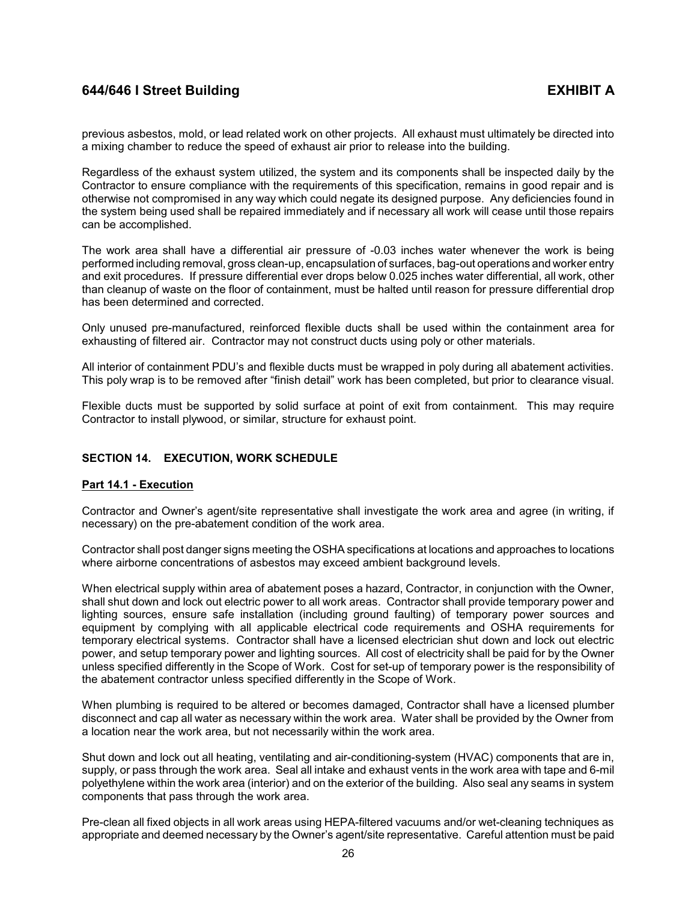previous asbestos, mold, or lead related work on other projects. All exhaust must ultimately be directed into a mixing chamber to reduce the speed of exhaust air prior to release into the building.

Regardless of the exhaust system utilized, the system and its components shall be inspected daily by the Contractor to ensure compliance with the requirements of this specification, remains in good repair and is otherwise not compromised in any way which could negate its designed purpose. Any deficiencies found in the system being used shall be repaired immediately and if necessary all work will cease until those repairs can be accomplished.

The work area shall have a differential air pressure of -0.03 inches water whenever the work is being performed including removal, gross clean-up, encapsulation of surfaces, bag-out operations and worker entry and exit procedures. If pressure differential ever drops below 0.025 inches water differential, all work, other than cleanup of waste on the floor of containment, must be halted until reason for pressure differential drop has been determined and corrected.

Only unused pre-manufactured, reinforced flexible ducts shall be used within the containment area for exhausting of filtered air. Contractor may not construct ducts using poly or other materials.

All interior of containment PDU's and flexible ducts must be wrapped in poly during all abatement activities. This poly wrap is to be removed after "finish detail" work has been completed, but prior to clearance visual.

Flexible ducts must be supported by solid surface at point of exit from containment. This may require Contractor to install plywood, or similar, structure for exhaust point.

## <span id="page-28-0"></span>**SECTION 14. EXECUTION, WORK SCHEDULE**

## <span id="page-28-1"></span>**Part 14.1 - Execution**

Contractor and Owner's agent/site representative shall investigate the work area and agree (in writing, if necessary) on the pre-abatement condition of the work area.

Contractor shall post danger signs meeting the OSHA specifications at locations and approaches to locations where airborne concentrations of asbestos may exceed ambient background levels.

When electrical supply within area of abatement poses a hazard, Contractor, in conjunction with the Owner, shall shut down and lock out electric power to all work areas. Contractor shall provide temporary power and lighting sources, ensure safe installation (including ground faulting) of temporary power sources and equipment by complying with all applicable electrical code requirements and OSHA requirements for temporary electrical systems. Contractor shall have a licensed electrician shut down and lock out electric power, and setup temporary power and lighting sources. All cost of electricity shall be paid for by the Owner unless specified differently in the Scope of Work. Cost for set-up of temporary power is the responsibility of the abatement contractor unless specified differently in the Scope of Work.

When plumbing is required to be altered or becomes damaged, Contractor shall have a licensed plumber disconnect and cap all water as necessary within the work area. Water shall be provided by the Owner from a location near the work area, but not necessarily within the work area.

Shut down and lock out all heating, ventilating and air-conditioning-system (HVAC) components that are in, supply, or pass through the work area. Seal all intake and exhaust vents in the work area with tape and 6-mil polyethylene within the work area (interior) and on the exterior of the building. Also seal any seams in system components that pass through the work area.

Pre-clean all fixed objects in all work areas using HEPA-filtered vacuums and/or wet-cleaning techniques as appropriate and deemed necessary by the Owner's agent/site representative. Careful attention must be paid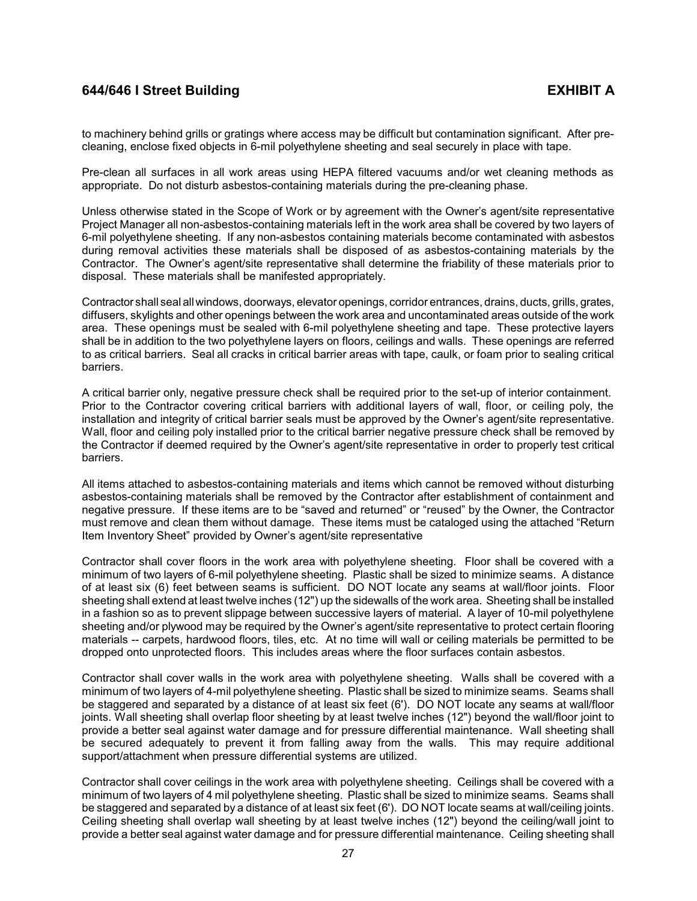to machinery behind grills or gratings where access may be difficult but contamination significant. After precleaning, enclose fixed objects in 6-mil polyethylene sheeting and seal securely in place with tape.

Pre-clean all surfaces in all work areas using HEPA filtered vacuums and/or wet cleaning methods as appropriate. Do not disturb asbestos-containing materials during the pre-cleaning phase.

Unless otherwise stated in the Scope of Work or by agreement with the Owner's agent/site representative Project Manager all non-asbestos-containing materials left in the work area shall be covered by two layers of 6-mil polyethylene sheeting. If any non-asbestos containing materials become contaminated with asbestos during removal activities these materials shall be disposed of as asbestos-containing materials by the Contractor. The Owner's agent/site representative shall determine the friability of these materials prior to disposal. These materials shall be manifested appropriately.

Contractor shall seal all windows, doorways, elevator openings, corridor entrances, drains, ducts, grills, grates, diffusers, skylights and other openings between the work area and uncontaminated areas outside of the work area. These openings must be sealed with 6-mil polyethylene sheeting and tape. These protective layers shall be in addition to the two polyethylene layers on floors, ceilings and walls. These openings are referred to as critical barriers. Seal all cracks in critical barrier areas with tape, caulk, or foam prior to sealing critical barriers.

A critical barrier only, negative pressure check shall be required prior to the set-up of interior containment. Prior to the Contractor covering critical barriers with additional layers of wall, floor, or ceiling poly, the installation and integrity of critical barrier seals must be approved by the Owner's agent/site representative. Wall, floor and ceiling poly installed prior to the critical barrier negative pressure check shall be removed by the Contractor if deemed required by the Owner's agent/site representative in order to properly test critical barriers.

All items attached to asbestos-containing materials and items which cannot be removed without disturbing asbestos-containing materials shall be removed by the Contractor after establishment of containment and negative pressure. If these items are to be "saved and returned" or "reused" by the Owner, the Contractor must remove and clean them without damage. These items must be cataloged using the attached "Return Item Inventory Sheet" provided by Owner's agent/site representative

Contractor shall cover floors in the work area with polyethylene sheeting. Floor shall be covered with a minimum of two layers of 6-mil polyethylene sheeting. Plastic shall be sized to minimize seams. A distance of at least six (6) feet between seams is sufficient. DO NOT locate any seams at wall/floor joints. Floor sheeting shall extend at least twelve inches (12") up the sidewalls of the work area. Sheeting shall be installed in a fashion so as to prevent slippage between successive layers of material. A layer of 10-mil polyethylene sheeting and/or plywood may be required by the Owner's agent/site representative to protect certain flooring materials -- carpets, hardwood floors, tiles, etc. At no time will wall or ceiling materials be permitted to be dropped onto unprotected floors. This includes areas where the floor surfaces contain asbestos.

Contractor shall cover walls in the work area with polyethylene sheeting. Walls shall be covered with a minimum of two layers of 4-mil polyethylene sheeting. Plastic shall be sized to minimize seams. Seams shall be staggered and separated by a distance of at least six feet (6'). DO NOT locate any seams at wall/floor joints. Wall sheeting shall overlap floor sheeting by at least twelve inches (12") beyond the wall/floor joint to provide a better seal against water damage and for pressure differential maintenance. Wall sheeting shall be secured adequately to prevent it from falling away from the walls. This may require additional support/attachment when pressure differential systems are utilized.

Contractor shall cover ceilings in the work area with polyethylene sheeting. Ceilings shall be covered with a minimum of two layers of 4 mil polyethylene sheeting. Plastic shall be sized to minimize seams. Seams shall be staggered and separated by a distance of at least six feet (6'). DO NOT locate seams at wall/ceiling joints. Ceiling sheeting shall overlap wall sheeting by at least twelve inches (12") beyond the ceiling/wall joint to provide a better seal against water damage and for pressure differential maintenance. Ceiling sheeting shall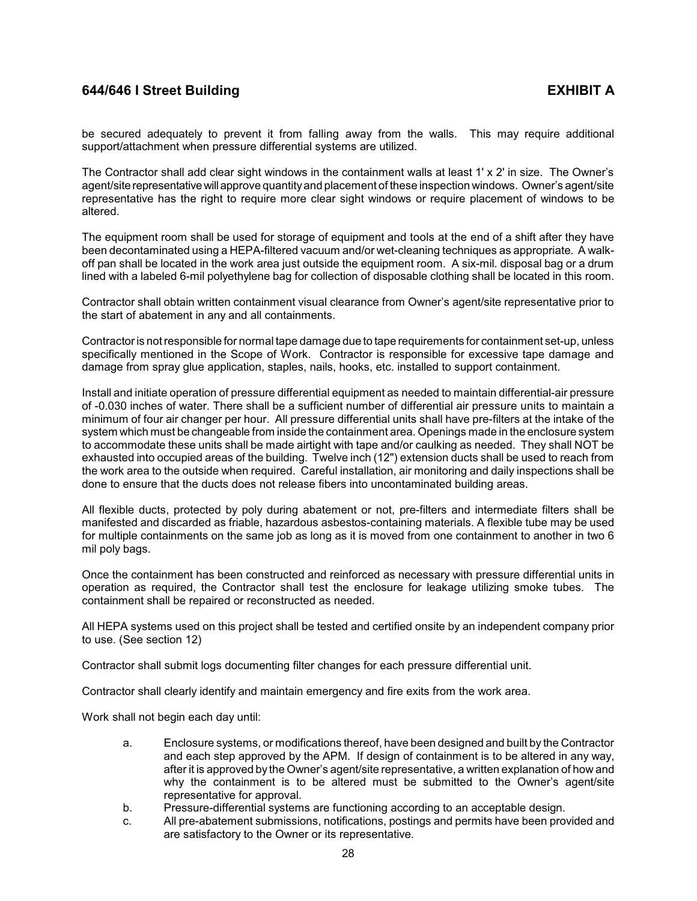be secured adequately to prevent it from falling away from the walls. This may require additional support/attachment when pressure differential systems are utilized.

The Contractor shall add clear sight windows in the containment walls at least 1' x 2' in size. The Owner's agent/site representativewill approve quantityand placement of these inspection windows. Owner's agent/site representative has the right to require more clear sight windows or require placement of windows to be altered.

The equipment room shall be used for storage of equipment and tools at the end of a shift after they have been decontaminated using a HEPA-filtered vacuum and/or wet-cleaning techniques as appropriate. A walkoff pan shall be located in the work area just outside the equipment room. A six-mil. disposal bag or a drum lined with a labeled 6-mil polyethylene bag for collection of disposable clothing shall be located in this room.

Contractor shall obtain written containment visual clearance from Owner's agent/site representative prior to the start of abatement in any and all containments.

Contractor is not responsible for normal tape damage due to tape requirements for containment set-up, unless specifically mentioned in the Scope of Work. Contractor is responsible for excessive tape damage and damage from spray glue application, staples, nails, hooks, etc. installed to support containment.

Install and initiate operation of pressure differential equipment as needed to maintain differential-air pressure of -0.030 inches of water. There shall be a sufficient number of differential air pressure units to maintain a minimum of four air changer per hour. All pressure differential units shall have pre-filters at the intake of the system which must be changeable from inside the containment area. Openings made in the enclosure system to accommodate these units shall be made airtight with tape and/or caulking as needed. They shall NOT be exhausted into occupied areas of the building. Twelve inch (12") extension ducts shall be used to reach from the work area to the outside when required. Careful installation, air monitoring and daily inspections shall be done to ensure that the ducts does not release fibers into uncontaminated building areas.

All flexible ducts, protected by poly during abatement or not, pre-filters and intermediate filters shall be manifested and discarded as friable, hazardous asbestos-containing materials. A flexible tube may be used for multiple containments on the same job as long as it is moved from one containment to another in two 6 mil poly bags.

Once the containment has been constructed and reinforced as necessary with pressure differential units in operation as required, the Contractor shall test the enclosure for leakage utilizing smoke tubes. The containment shall be repaired or reconstructed as needed.

All HEPA systems used on this project shall be tested and certified onsite by an independent company prior to use. (See section 12)

Contractor shall submit logs documenting filter changes for each pressure differential unit.

Contractor shall clearly identify and maintain emergency and fire exits from the work area.

Work shall not begin each day until:

- a. Enclosure systems, or modifications thereof, have been designed and built by the Contractor and each step approved by the APM. If design of containment is to be altered in any way, after it is approved by the Owner's agent/site representative, a written explanation of how and why the containment is to be altered must be submitted to the Owner's agent/site representative for approval.
- b. Pressure-differential systems are functioning according to an acceptable design.
- c. All pre-abatement submissions, notifications, postings and permits have been provided and are satisfactory to the Owner or its representative.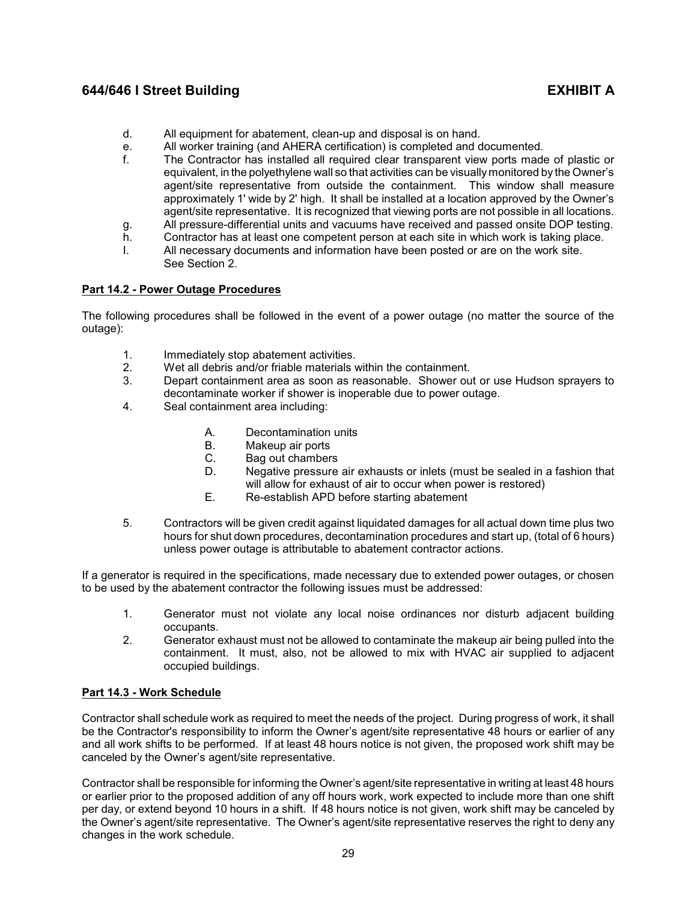- d. All equipment for abatement, clean-up and disposal is on hand.
- e. All worker training (and AHERA certification) is completed and documented.
- f. The Contractor has installed all required clear transparent view ports made of plastic or equivalent, in the polyethylene wall so that activities can be visually monitored by the Owner's agent/site representative from outside the containment. This window shall measure approximately 1' wide by 2' high. It shall be installed at a location approved by the Owner's agent/site representative. It is recognized that viewing ports are not possible in all locations.
- g. All pressure-differential units and vacuums have received and passed onsite DOP testing.
- h. Contractor has at least one competent person at each site in which work is taking place.
- I. All necessary documents and information have been posted or are on the work site. See Section 2.

## <span id="page-31-0"></span>**Part 14.2 - Power Outage Procedures**

The following procedures shall be followed in the event of a power outage (no matter the source of the outage):

- 1. Immediately stop abatement activities.
- 2. Wet all debris and/or friable materials within the containment.
- 3. Depart containment area as soon as reasonable. Shower out or use Hudson sprayers to decontaminate worker if shower is inoperable due to power outage.
- 4. Seal containment area including:
	- A. Decontamination units
	- B. Makeup air ports
	- C. Bag out chambers
	- D. Negative pressure air exhausts or inlets (must be sealed in a fashion that will allow for exhaust of air to occur when power is restored)
	- E. Re-establish APD before starting abatement
- 5. Contractors will be given credit against liquidated damages for all actual down time plus two hours for shut down procedures, decontamination procedures and start up, (total of 6 hours) unless power outage is attributable to abatement contractor actions.

If a generator is required in the specifications, made necessary due to extended power outages, or chosen to be used by the abatement contractor the following issues must be addressed:

- 1. Generator must not violate any local noise ordinances nor disturb adjacent building occupants.
- 2. Generator exhaust must not be allowed to contaminate the makeup air being pulled into the containment. It must, also, not be allowed to mix with HVAC air supplied to adjacent occupied buildings.

# <span id="page-31-1"></span>**Part 14.3 - Work Schedule**

Contractor shall schedule work as required to meet the needs of the project. During progress of work, it shall be the Contractor's responsibility to inform the Owner's agent/site representative 48 hours or earlier of any and all work shifts to be performed. If at least 48 hours notice is not given, the proposed work shift may be canceled by the Owner's agent/site representative.

Contractor shall be responsible for informing the Owner's agent/site representative in writing at least 48 hours or earlier prior to the proposed addition of any off hours work, work expected to include more than one shift per day, or extend beyond 10 hours in a shift. If 48 hours notice is not given, work shift may be canceled by the Owner's agent/site representative. The Owner's agent/site representative reserves the right to deny any changes in the work schedule.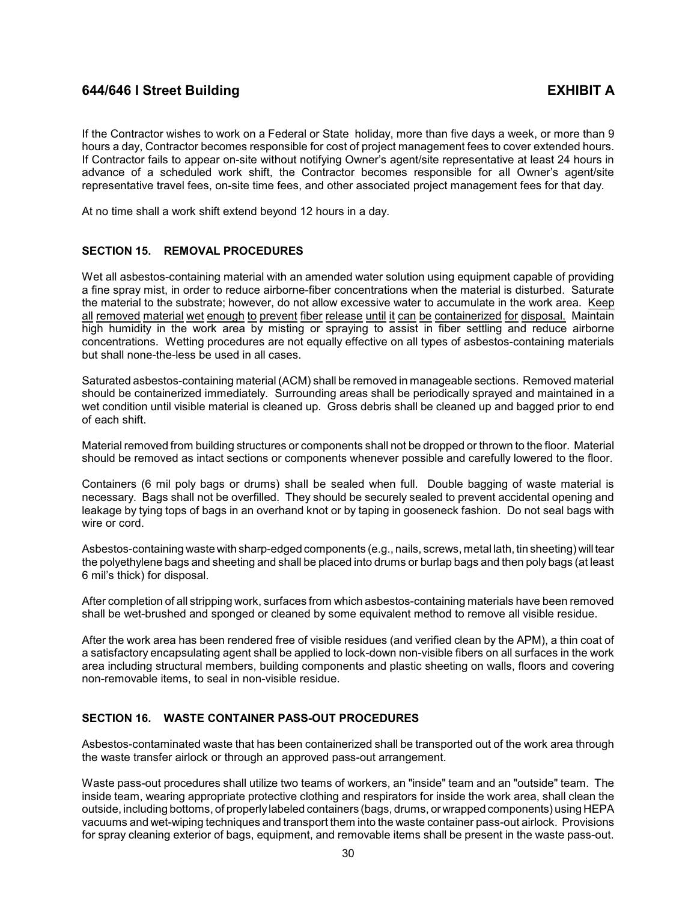If the Contractor wishes to work on a Federal or State holiday, more than five days a week, or more than 9 hours a day, Contractor becomes responsible for cost of project management fees to cover extended hours. If Contractor fails to appear on-site without notifying Owner's agent/site representative at least 24 hours in advance of a scheduled work shift, the Contractor becomes responsible for all Owner's agent/site representative travel fees, on-site time fees, and other associated project management fees for that day.

At no time shall a work shift extend beyond 12 hours in a day.

## <span id="page-32-0"></span>**SECTION 15. REMOVAL PROCEDURES**

Wet all asbestos-containing material with an amended water solution using equipment capable of providing a fine spray mist, in order to reduce airborne-fiber concentrations when the material is disturbed. Saturate the material to the substrate; however, do not allow excessive water to accumulate in the work area. Keep all removed material wet enough to prevent fiber release until it can be containerized for disposal. Maintain high humidity in the work area by misting or spraying to assist in fiber settling and reduce airborne concentrations. Wetting procedures are not equally effective on all types of asbestos-containing materials but shall none-the-less be used in all cases.

Saturated asbestos-containing material (ACM) shall be removed in manageable sections. Removed material should be containerized immediately. Surrounding areas shall be periodically sprayed and maintained in a wet condition until visible material is cleaned up. Gross debris shall be cleaned up and bagged prior to end of each shift.

Material removed from building structures or components shall not be dropped or thrown to the floor. Material should be removed as intact sections or components whenever possible and carefully lowered to the floor.

Containers (6 mil poly bags or drums) shall be sealed when full. Double bagging of waste material is necessary. Bags shall not be overfilled. They should be securely sealed to prevent accidental opening and leakage by tying tops of bags in an overhand knot or by taping in gooseneck fashion. Do not seal bags with wire or cord.

Asbestos-containing waste with sharp-edged components (e.g., nails, screws, metal lath, tin sheeting) will tear the polyethylene bags and sheeting and shall be placed into drums or burlap bags and then poly bags (at least 6 mil's thick) for disposal.

After completion of all stripping work, surfaces from which asbestos-containing materials have been removed shall be wet-brushed and sponged or cleaned by some equivalent method to remove all visible residue.

After the work area has been rendered free of visible residues (and verified clean by the APM), a thin coat of a satisfactory encapsulating agent shall be applied to lock-down non-visible fibers on all surfaces in the work area including structural members, building components and plastic sheeting on walls, floors and covering non-removable items, to seal in non-visible residue.

## <span id="page-32-1"></span>**SECTION 16. WASTE CONTAINER PASS-OUT PROCEDURES**

Asbestos-contaminated waste that has been containerized shall be transported out of the work area through the waste transfer airlock or through an approved pass-out arrangement.

Waste pass-out procedures shall utilize two teams of workers, an "inside" team and an "outside" team. The inside team, wearing appropriate protective clothing and respirators for inside the work area, shall clean the outside, including bottoms, of properly labeled containers (bags, drums, or wrapped components) using HEPA vacuums and wet-wiping techniques and transport them into the waste container pass-out airlock. Provisions for spray cleaning exterior of bags, equipment, and removable items shall be present in the waste pass-out.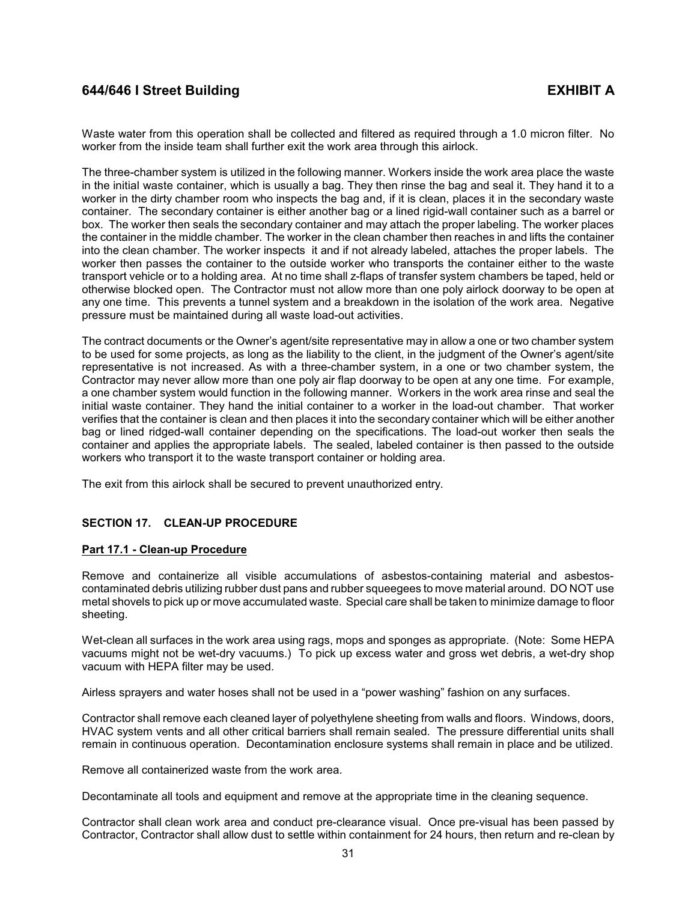Waste water from this operation shall be collected and filtered as required through a 1.0 micron filter. No worker from the inside team shall further exit the work area through this airlock.

The three-chamber system is utilized in the following manner. Workers inside the work area place the waste in the initial waste container, which is usually a bag. They then rinse the bag and seal it. They hand it to a worker in the dirty chamber room who inspects the bag and, if it is clean, places it in the secondary waste container. The secondary container is either another bag or a lined rigid-wall container such as a barrel or box. The worker then seals the secondary container and may attach the proper labeling. The worker places the container in the middle chamber. The worker in the clean chamber then reaches in and lifts the container into the clean chamber. The worker inspects it and if not already labeled, attaches the proper labels. The worker then passes the container to the outside worker who transports the container either to the waste transport vehicle or to a holding area. At no time shall z-flaps of transfer system chambers be taped, held or otherwise blocked open. The Contractor must not allow more than one poly airlock doorway to be open at any one time. This prevents a tunnel system and a breakdown in the isolation of the work area. Negative pressure must be maintained during all waste load-out activities.

The contract documents or the Owner's agent/site representative may in allow a one or two chamber system to be used for some projects, as long as the liability to the client, in the judgment of the Owner's agent/site representative is not increased. As with a three-chamber system, in a one or two chamber system, the Contractor may never allow more than one poly air flap doorway to be open at any one time. For example, a one chamber system would function in the following manner. Workers in the work area rinse and seal the initial waste container. They hand the initial container to a worker in the load-out chamber. That worker verifies that the container is clean and then places it into the secondary container which will be either another bag or lined ridged-wall container depending on the specifications. The load-out worker then seals the container and applies the appropriate labels. The sealed, labeled container is then passed to the outside workers who transport it to the waste transport container or holding area.

The exit from this airlock shall be secured to prevent unauthorized entry.

## <span id="page-33-0"></span>**SECTION 17. CLEAN-UP PROCEDURE**

## <span id="page-33-1"></span>**Part 17.1 - Clean-up Procedure**

Remove and containerize all visible accumulations of asbestos-containing material and asbestoscontaminated debris utilizing rubber dust pans and rubber squeegees to move material around. DO NOT use metal shovels to pick up or move accumulated waste. Special care shall be taken to minimize damage to floor sheeting.

Wet-clean all surfaces in the work area using rags, mops and sponges as appropriate. (Note: Some HEPA vacuums might not be wet-dry vacuums.) To pick up excess water and gross wet debris, a wet-dry shop vacuum with HEPA filter may be used.

Airless sprayers and water hoses shall not be used in a "power washing" fashion on any surfaces.

Contractor shall remove each cleaned layer of polyethylene sheeting from walls and floors. Windows, doors, HVAC system vents and all other critical barriers shall remain sealed. The pressure differential units shall remain in continuous operation. Decontamination enclosure systems shall remain in place and be utilized.

Remove all containerized waste from the work area.

Decontaminate all tools and equipment and remove at the appropriate time in the cleaning sequence.

Contractor shall clean work area and conduct pre-clearance visual. Once pre-visual has been passed by Contractor, Contractor shall allow dust to settle within containment for 24 hours, then return and re-clean by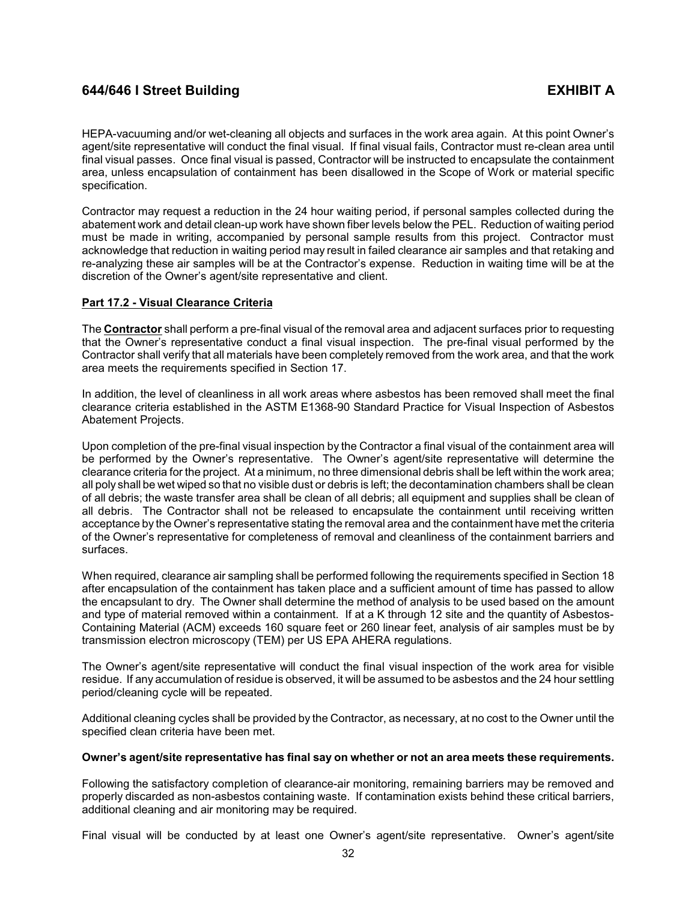HEPA-vacuuming and/or wet-cleaning all objects and surfaces in the work area again. At this point Owner's agent/site representative will conduct the final visual. If final visual fails, Contractor must re-clean area until final visual passes. Once final visual is passed, Contractor will be instructed to encapsulate the containment area, unless encapsulation of containment has been disallowed in the Scope of Work or material specific specification.

Contractor may request a reduction in the 24 hour waiting period, if personal samples collected during the abatement work and detail clean-up work have shown fiber levels below the PEL. Reduction of waiting period must be made in writing, accompanied by personal sample results from this project. Contractor must acknowledge that reduction in waiting period may result in failed clearance air samples and that retaking and re-analyzing these air samples will be at the Contractor's expense. Reduction in waiting time will be at the discretion of the Owner's agent/site representative and client.

## <span id="page-34-0"></span>**Part 17.2 - Visual Clearance Criteria**

The **Contractor** shall perform a pre-final visual of the removal area and adjacent surfaces prior to requesting that the Owner's representative conduct a final visual inspection. The pre-final visual performed by the Contractor shall verify that all materials have been completely removed from the work area, and that the work area meets the requirements specified in Section 17.

In addition, the level of cleanliness in all work areas where asbestos has been removed shall meet the final clearance criteria established in the ASTM E1368-90 Standard Practice for Visual Inspection of Asbestos Abatement Projects.

Upon completion of the pre-final visual inspection by the Contractor a final visual of the containment area will be performed by the Owner's representative. The Owner's agent/site representative will determine the clearance criteria for the project. At a minimum, no three dimensional debris shall be left within the work area; all poly shall be wet wiped so that no visible dust or debris is left; the decontamination chambers shall be clean of all debris; the waste transfer area shall be clean of all debris; all equipment and supplies shall be clean of all debris. The Contractor shall not be released to encapsulate the containment until receiving written acceptance by the Owner's representative stating the removal area and the containment have met the criteria of the Owner's representative for completeness of removal and cleanliness of the containment barriers and surfaces.

When required, clearance air sampling shall be performed following the requirements specified in Section 18 after encapsulation of the containment has taken place and a sufficient amount of time has passed to allow the encapsulant to dry. The Owner shall determine the method of analysis to be used based on the amount and type of material removed within a containment. If at a K through 12 site and the quantity of Asbestos-Containing Material (ACM) exceeds 160 square feet or 260 linear feet, analysis of air samples must be by transmission electron microscopy (TEM) per US EPA AHERA regulations.

The Owner's agent/site representative will conduct the final visual inspection of the work area for visible residue. If any accumulation of residue is observed, it will be assumed to be asbestos and the 24 hour settling period/cleaning cycle will be repeated.

Additional cleaning cycles shall be provided by the Contractor, as necessary, at no cost to the Owner until the specified clean criteria have been met.

## **Owner's agent/site representative has final say on whether or not an area meets these requirements.**

Following the satisfactory completion of clearance-air monitoring, remaining barriers may be removed and properly discarded as non-asbestos containing waste. If contamination exists behind these critical barriers, additional cleaning and air monitoring may be required.

Final visual will be conducted by at least one Owner's agent/site representative. Owner's agent/site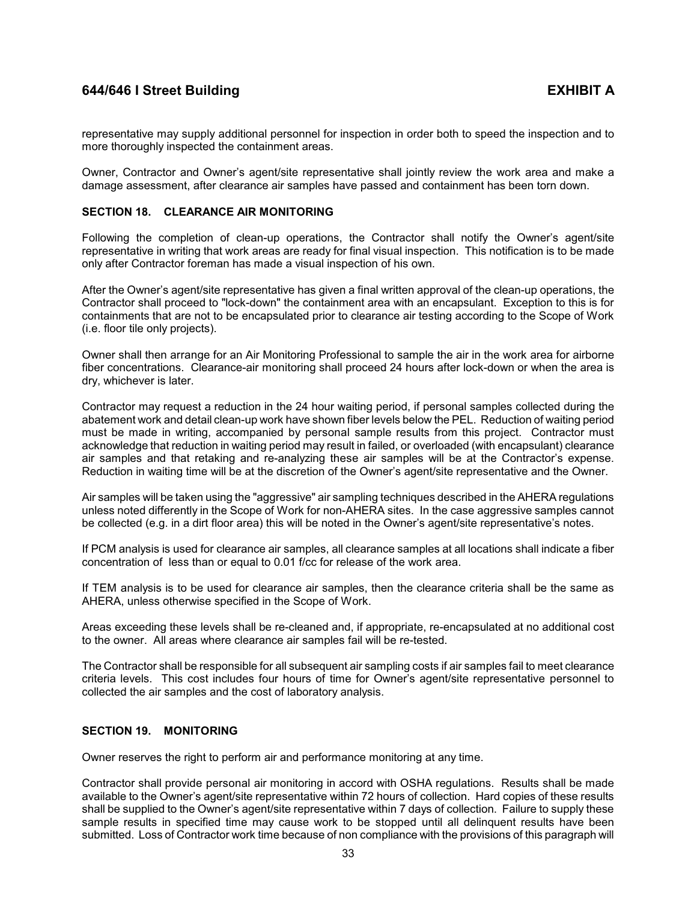representative may supply additional personnel for inspection in order both to speed the inspection and to more thoroughly inspected the containment areas.

Owner, Contractor and Owner's agent/site representative shall jointly review the work area and make a damage assessment, after clearance air samples have passed and containment has been torn down.

### <span id="page-35-0"></span>**SECTION 18. CLEARANCE AIR MONITORING**

Following the completion of clean-up operations, the Contractor shall notify the Owner's agent/site representative in writing that work areas are ready for final visual inspection. This notification is to be made only after Contractor foreman has made a visual inspection of his own.

After the Owner's agent/site representative has given a final written approval of the clean-up operations, the Contractor shall proceed to "lock-down" the containment area with an encapsulant. Exception to this is for containments that are not to be encapsulated prior to clearance air testing according to the Scope of Work (i.e. floor tile only projects).

Owner shall then arrange for an Air Monitoring Professional to sample the air in the work area for airborne fiber concentrations. Clearance-air monitoring shall proceed 24 hours after lock-down or when the area is dry, whichever is later.

Contractor may request a reduction in the 24 hour waiting period, if personal samples collected during the abatement work and detail clean-up work have shown fiber levels below the PEL. Reduction of waiting period must be made in writing, accompanied by personal sample results from this project. Contractor must acknowledge that reduction in waiting period may result in failed, or overloaded (with encapsulant) clearance air samples and that retaking and re-analyzing these air samples will be at the Contractor's expense. Reduction in waiting time will be at the discretion of the Owner's agent/site representative and the Owner.

Air samples will be taken using the "aggressive" air sampling techniques described in the AHERA regulations unless noted differently in the Scope of Work for non-AHERA sites. In the case aggressive samples cannot be collected (e.g. in a dirt floor area) this will be noted in the Owner's agent/site representative's notes.

If PCM analysis is used for clearance air samples, all clearance samples at all locations shall indicate a fiber concentration of less than or equal to 0.01 f/cc for release of the work area.

If TEM analysis is to be used for clearance air samples, then the clearance criteria shall be the same as AHERA, unless otherwise specified in the Scope of Work.

Areas exceeding these levels shall be re-cleaned and, if appropriate, re-encapsulated at no additional cost to the owner. All areas where clearance air samples fail will be re-tested.

The Contractor shall be responsible for all subsequent air sampling costs if air samples fail to meet clearance criteria levels. This cost includes four hours of time for Owner's agent/site representative personnel to collected the air samples and the cost of laboratory analysis.

## <span id="page-35-1"></span>**SECTION 19. MONITORING**

Owner reserves the right to perform air and performance monitoring at any time.

Contractor shall provide personal air monitoring in accord with OSHA regulations. Results shall be made available to the Owner's agent/site representative within 72 hours of collection. Hard copies of these results shall be supplied to the Owner's agent/site representative within 7 days of collection. Failure to supply these sample results in specified time may cause work to be stopped until all delinquent results have been submitted. Loss of Contractor work time because of non compliance with the provisions of this paragraph will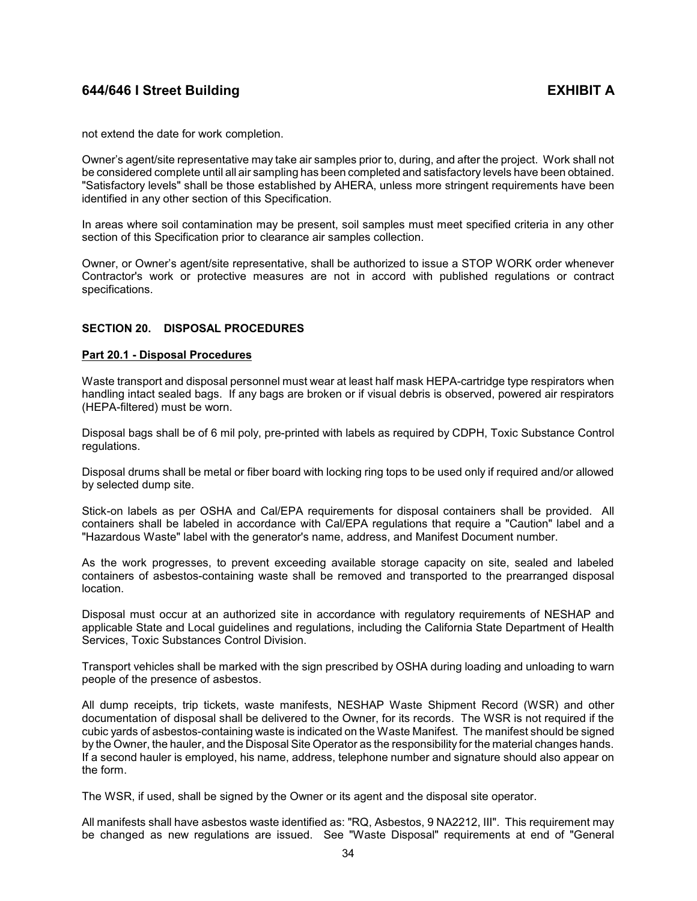not extend the date for work completion.

Owner's agent/site representative may take air samples prior to, during, and after the project. Work shall not be considered complete until all air sampling has been completed and satisfactory levels have been obtained. "Satisfactory levels" shall be those established by AHERA, unless more stringent requirements have been identified in any other section of this Specification.

In areas where soil contamination may be present, soil samples must meet specified criteria in any other section of this Specification prior to clearance air samples collection.

Owner, or Owner's agent/site representative, shall be authorized to issue a STOP WORK order whenever Contractor's work or protective measures are not in accord with published regulations or contract specifications.

### <span id="page-36-0"></span>**SECTION 20. DISPOSAL PROCEDURES**

### <span id="page-36-1"></span>**Part 20.1 - Disposal Procedures**

Waste transport and disposal personnel must wear at least half mask HEPA-cartridge type respirators when handling intact sealed bags. If any bags are broken or if visual debris is observed, powered air respirators (HEPA-filtered) must be worn.

Disposal bags shall be of 6 mil poly, pre-printed with labels as required by CDPH, Toxic Substance Control regulations.

Disposal drums shall be metal or fiber board with locking ring tops to be used only if required and/or allowed by selected dump site.

Stick-on labels as per OSHA and Cal/EPA requirements for disposal containers shall be provided. All containers shall be labeled in accordance with Cal/EPA regulations that require a "Caution" label and a "Hazardous Waste" label with the generator's name, address, and Manifest Document number.

As the work progresses, to prevent exceeding available storage capacity on site, sealed and labeled containers of asbestos-containing waste shall be removed and transported to the prearranged disposal location.

Disposal must occur at an authorized site in accordance with regulatory requirements of NESHAP and applicable State and Local guidelines and regulations, including the California State Department of Health Services, Toxic Substances Control Division.

Transport vehicles shall be marked with the sign prescribed by OSHA during loading and unloading to warn people of the presence of asbestos.

All dump receipts, trip tickets, waste manifests, NESHAP Waste Shipment Record (WSR) and other documentation of disposal shall be delivered to the Owner, for its records. The WSR is not required if the cubic yards of asbestos-containing waste is indicated on the Waste Manifest. The manifest should be signed by the Owner, the hauler, and the Disposal Site Operator as the responsibility for the material changes hands. If a second hauler is employed, his name, address, telephone number and signature should also appear on the form.

The WSR, if used, shall be signed by the Owner or its agent and the disposal site operator.

All manifests shall have asbestos waste identified as: "RQ, Asbestos, 9 NA2212, III". This requirement may be changed as new regulations are issued. See "Waste Disposal" requirements at end of "General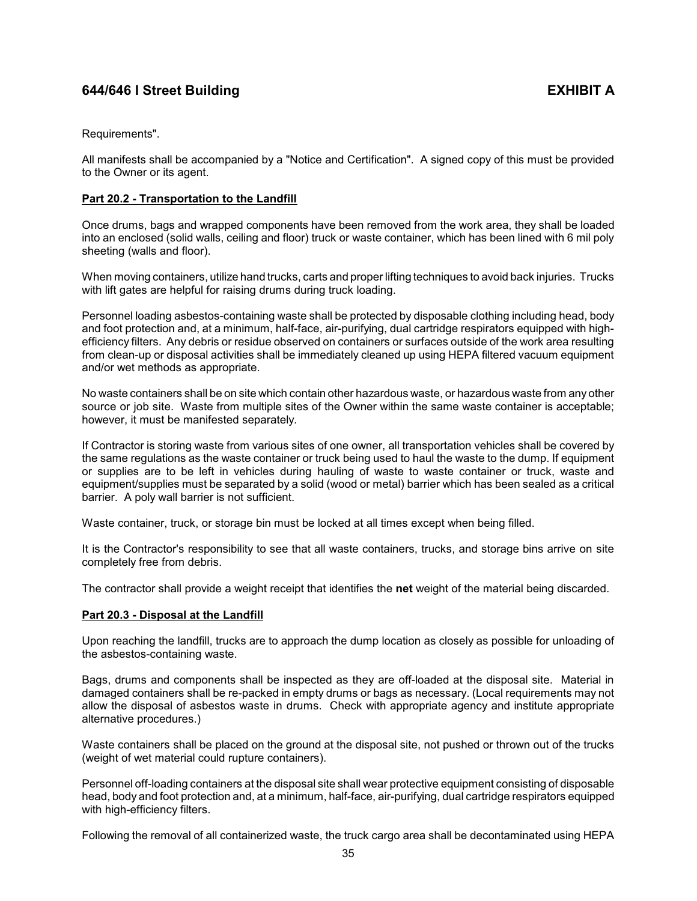Requirements".

All manifests shall be accompanied by a "Notice and Certification". A signed copy of this must be provided to the Owner or its agent.

## <span id="page-37-0"></span>**Part 20.2 - Transportation to the Landfill**

Once drums, bags and wrapped components have been removed from the work area, they shall be loaded into an enclosed (solid walls, ceiling and floor) truck or waste container, which has been lined with 6 mil poly sheeting (walls and floor).

When moving containers, utilize hand trucks, carts and proper lifting techniques to avoid back injuries. Trucks with lift gates are helpful for raising drums during truck loading.

Personnel loading asbestos-containing waste shall be protected by disposable clothing including head, body and foot protection and, at a minimum, half-face, air-purifying, dual cartridge respirators equipped with highefficiency filters. Any debris or residue observed on containers or surfaces outside of the work area resulting from clean-up or disposal activities shall be immediately cleaned up using HEPA filtered vacuum equipment and/or wet methods as appropriate.

No waste containers shall be on site which contain other hazardous waste, or hazardous waste from any other source or job site. Waste from multiple sites of the Owner within the same waste container is acceptable; however, it must be manifested separately.

If Contractor is storing waste from various sites of one owner, all transportation vehicles shall be covered by the same regulations as the waste container or truck being used to haul the waste to the dump. If equipment or supplies are to be left in vehicles during hauling of waste to waste container or truck, waste and equipment/supplies must be separated by a solid (wood or metal) barrier which has been sealed as a critical barrier. A poly wall barrier is not sufficient.

Waste container, truck, or storage bin must be locked at all times except when being filled.

It is the Contractor's responsibility to see that all waste containers, trucks, and storage bins arrive on site completely free from debris.

The contractor shall provide a weight receipt that identifies the **net** weight of the material being discarded.

## <span id="page-37-1"></span>**Part 20.3 - Disposal at the Landfill**

Upon reaching the landfill, trucks are to approach the dump location as closely as possible for unloading of the asbestos-containing waste.

Bags, drums and components shall be inspected as they are off-loaded at the disposal site. Material in damaged containers shall be re-packed in empty drums or bags as necessary. (Local requirements may not allow the disposal of asbestos waste in drums. Check with appropriate agency and institute appropriate alternative procedures.)

Waste containers shall be placed on the ground at the disposal site, not pushed or thrown out of the trucks (weight of wet material could rupture containers).

Personnel off-loading containers at the disposal site shall wear protective equipment consisting of disposable head, body and foot protection and, at a minimum, half-face, air-purifying, dual cartridge respirators equipped with high-efficiency filters.

Following the removal of all containerized waste, the truck cargo area shall be decontaminated using HEPA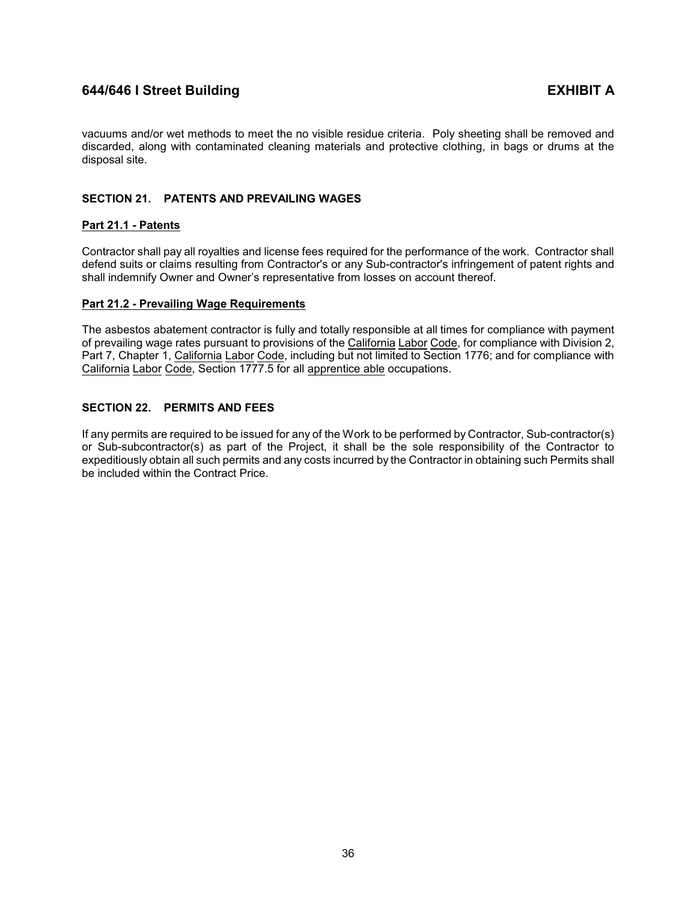vacuums and/or wet methods to meet the no visible residue criteria. Poly sheeting shall be removed and discarded, along with contaminated cleaning materials and protective clothing, in bags or drums at the disposal site.

# <span id="page-38-0"></span>**SECTION 21. PATENTS AND PREVAILING WAGES**

## <span id="page-38-1"></span>**Part 21.1 - Patents**

Contractor shall pay all royalties and license fees required for the performance of the work. Contractor shall defend suits or claims resulting from Contractor's or any Sub-contractor's infringement of patent rights and shall indemnify Owner and Owner's representative from losses on account thereof.

## <span id="page-38-2"></span>**Part 21.2 - Prevailing Wage Requirements**

The asbestos abatement contractor is fully and totally responsible at all times for compliance with payment of prevailing wage rates pursuant to provisions of the California Labor Code, for compliance with Division 2, Part 7, Chapter 1, California Labor Code, including but not limited to Section 1776; and for compliance with California Labor Code, Section 1777.5 for all apprentice able occupations.

# <span id="page-38-3"></span>**SECTION 22. PERMITS AND FEES**

If any permits are required to be issued for any of the Work to be performed by Contractor, Sub-contractor(s) or Sub-subcontractor(s) as part of the Project, it shall be the sole responsibility of the Contractor to expeditiously obtain all such permits and any costs incurred by the Contractor in obtaining such Permits shall be included within the Contract Price.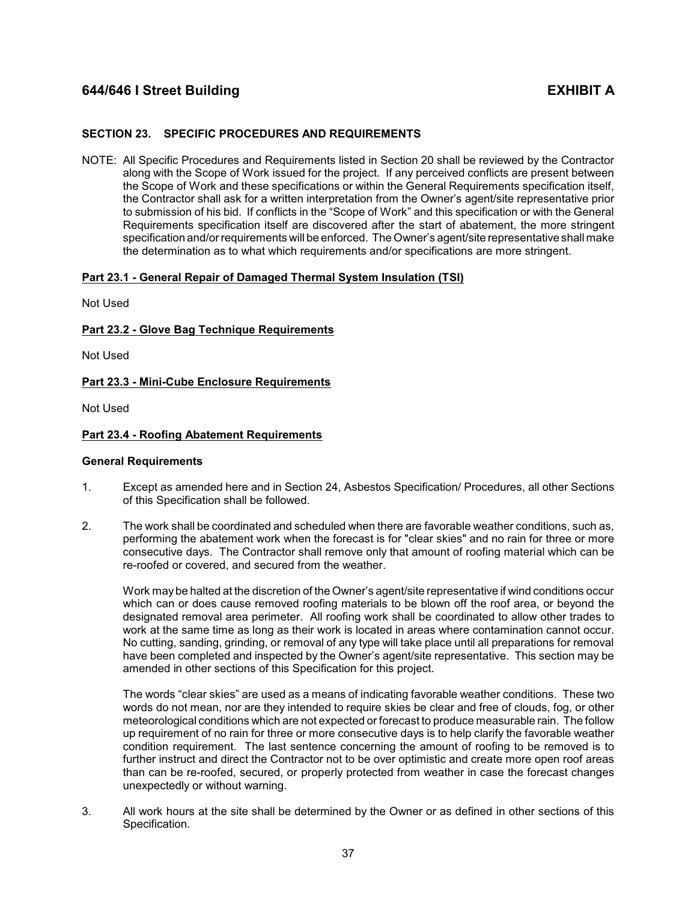## <span id="page-39-0"></span>**SECTION 23. SPECIFIC PROCEDURES AND REQUIREMENTS**

NOTE: All Specific Procedures and Requirements listed in Section 20 shall be reviewed by the Contractor along with the Scope of Work issued for the project. If any perceived conflicts are present between the Scope of Work and these specifications or within the General Requirements specification itself, the Contractor shall ask for a written interpretation from the Owner's agent/site representative prior to submission of his bid. If conflicts in the "Scope of Work" and this specification or with the General Requirements specification itself are discovered after the start of abatement, the more stringent specification and/or requirements will be enforced. The Owner's agent/site representative shall make the determination as to what which requirements and/or specifications are more stringent.

## <span id="page-39-1"></span>**Part 23.1 - General Repair of Damaged Thermal System Insulation (TSI)**

Not Used

## <span id="page-39-2"></span>**Part 23.2 - Glove Bag Technique Requirements**

Not Used

## <span id="page-39-3"></span>**Part 23.3 - Mini-Cube Enclosure Requirements**

Not Used

## <span id="page-39-4"></span>**Part 23.4 - Roofing Abatement Requirements**

## **General Requirements**

- 1. Except as amended here and in Section 24, Asbestos Specification/ Procedures, all other Sections of this Specification shall be followed.
- 2. The work shall be coordinated and scheduled when there are favorable weather conditions, such as, performing the abatement work when the forecast is for "clear skies" and no rain for three or more consecutive days. The Contractor shall remove only that amount of roofing material which can be re-roofed or covered, and secured from the weather.

Work may be halted at the discretion of the Owner's agent/site representative if wind conditions occur which can or does cause removed roofing materials to be blown off the roof area, or beyond the designated removal area perimeter. All roofing work shall be coordinated to allow other trades to work at the same time as long as their work is located in areas where contamination cannot occur. No cutting, sanding, grinding, or removal of any type will take place until all preparations for removal have been completed and inspected by the Owner's agent/site representative. This section may be amended in other sections of this Specification for this project.

The words "clear skies" are used as a means of indicating favorable weather conditions. These two words do not mean, nor are they intended to require skies be clear and free of clouds, fog, or other meteorological conditions which are not expected or forecast to produce measurable rain. The follow up requirement of no rain for three or more consecutive days is to help clarify the favorable weather condition requirement. The last sentence concerning the amount of roofing to be removed is to further instruct and direct the Contractor not to be over optimistic and create more open roof areas than can be re-roofed, secured, or properly protected from weather in case the forecast changes unexpectedly or without warning.

3. All work hours at the site shall be determined by the Owner or as defined in other sections of this Specification.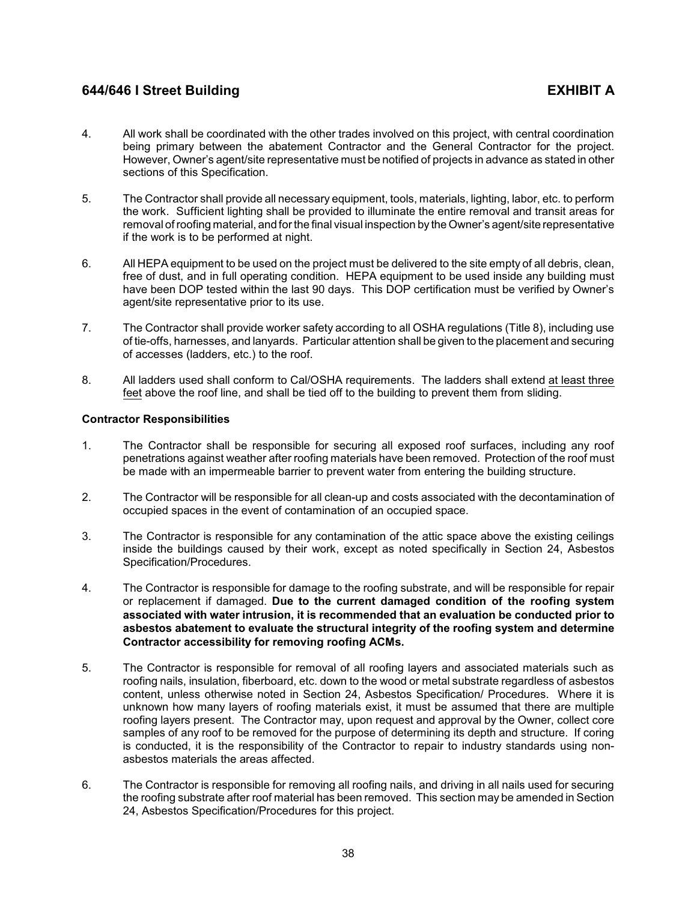- 4. All work shall be coordinated with the other trades involved on this project, with central coordination being primary between the abatement Contractor and the General Contractor for the project. However, Owner's agent/site representative must be notified of projects in advance as stated in other sections of this Specification.
- 5. The Contractor shall provide all necessary equipment, tools, materials, lighting, labor, etc. to perform the work. Sufficient lighting shall be provided to illuminate the entire removal and transit areas for removal ofroofing material, and for the final visual inspection by the Owner's agent/site representative if the work is to be performed at night.
- 6. All HEPA equipment to be used on the project must be delivered to the site empty of all debris, clean, free of dust, and in full operating condition. HEPA equipment to be used inside any building must have been DOP tested within the last 90 days. This DOP certification must be verified by Owner's agent/site representative prior to its use.
- 7. The Contractor shall provide worker safety according to all OSHA regulations (Title 8), including use of tie-offs, harnesses, and lanyards. Particular attention shall be given to the placement and securing of accesses (ladders, etc.) to the roof.
- 8. All ladders used shall conform to Cal/OSHA requirements. The ladders shall extend at least three feet above the roof line, and shall be tied off to the building to prevent them from sliding.

# **Contractor Responsibilities**

- 1. The Contractor shall be responsible for securing all exposed roof surfaces, including any roof penetrations against weather after roofing materials have been removed. Protection of the roof must be made with an impermeable barrier to prevent water from entering the building structure.
- 2. The Contractor will be responsible for all clean-up and costs associated with the decontamination of occupied spaces in the event of contamination of an occupied space.
- 3. The Contractor is responsible for any contamination of the attic space above the existing ceilings inside the buildings caused by their work, except as noted specifically in Section 24, Asbestos Specification/Procedures.
- 4. The Contractor is responsible for damage to the roofing substrate, and will be responsible for repair or replacement if damaged. **Due to the current damaged condition of the roofing system associated with water intrusion, it is recommended that an evaluation be conducted prior to asbestos abatement to evaluate the structural integrity of the roofing system and determine Contractor accessibility for removing roofing ACMs.**
- 5. The Contractor is responsible for removal of all roofing layers and associated materials such as roofing nails, insulation, fiberboard, etc. down to the wood or metal substrate regardless of asbestos content, unless otherwise noted in Section 24, Asbestos Specification/ Procedures. Where it is unknown how many layers of roofing materials exist, it must be assumed that there are multiple roofing layers present. The Contractor may, upon request and approval by the Owner, collect core samples of any roof to be removed for the purpose of determining its depth and structure. If coring is conducted, it is the responsibility of the Contractor to repair to industry standards using nonasbestos materials the areas affected.
- 6. The Contractor is responsible for removing all roofing nails, and driving in all nails used for securing the roofing substrate after roof material has been removed. This section may be amended in Section 24, Asbestos Specification/Procedures for this project.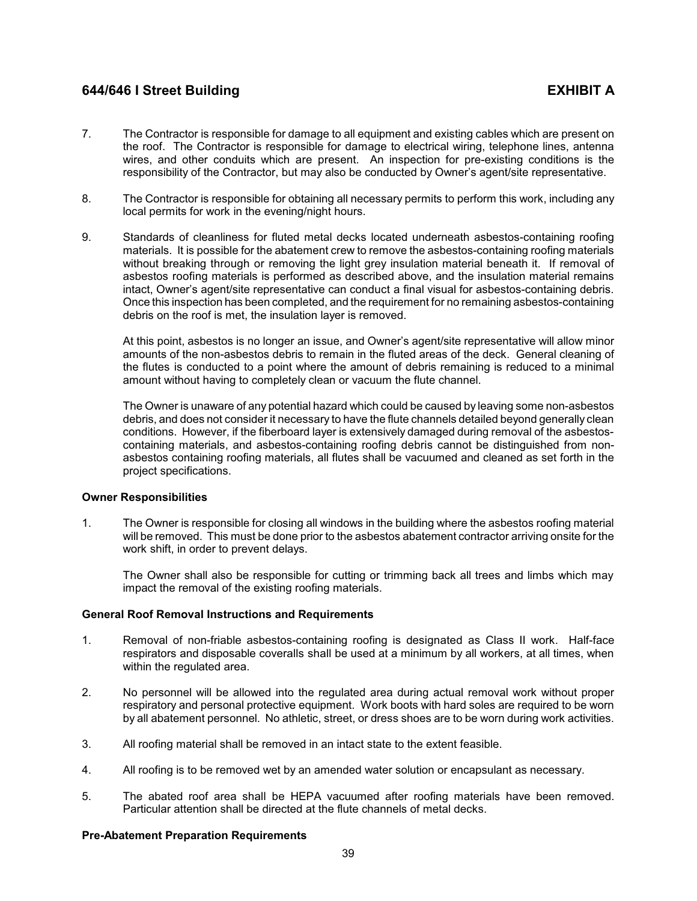- 7. The Contractor is responsible for damage to all equipment and existing cables which are present on the roof. The Contractor is responsible for damage to electrical wiring, telephone lines, antenna wires, and other conduits which are present. An inspection for pre-existing conditions is the responsibility of the Contractor, but may also be conducted by Owner's agent/site representative.
- 8. The Contractor is responsible for obtaining all necessary permits to perform this work, including any local permits for work in the evening/night hours.
- 9. Standards of cleanliness for fluted metal decks located underneath asbestos-containing roofing materials. It is possible for the abatement crew to remove the asbestos-containing roofing materials without breaking through or removing the light grey insulation material beneath it. If removal of asbestos roofing materials is performed as described above, and the insulation material remains intact, Owner's agent/site representative can conduct a final visual for asbestos-containing debris. Once this inspection has been completed, and the requirement for no remaining asbestos-containing debris on the roof is met, the insulation layer is removed.

At this point, asbestos is no longer an issue, and Owner's agent/site representative will allow minor amounts of the non-asbestos debris to remain in the fluted areas of the deck. General cleaning of the flutes is conducted to a point where the amount of debris remaining is reduced to a minimal amount without having to completely clean or vacuum the flute channel.

The Owner is unaware of any potential hazard which could be caused by leaving some non-asbestos debris, and does not consider it necessary to have the flute channels detailed beyond generally clean conditions. However, if the fiberboard layer is extensively damaged during removal of the asbestoscontaining materials, and asbestos-containing roofing debris cannot be distinguished from nonasbestos containing roofing materials, all flutes shall be vacuumed and cleaned as set forth in the project specifications.

## **Owner Responsibilities**

1. The Owner is responsible for closing all windows in the building where the asbestos roofing material will be removed. This must be done prior to the asbestos abatement contractor arriving onsite for the work shift, in order to prevent delays.

The Owner shall also be responsible for cutting or trimming back all trees and limbs which may impact the removal of the existing roofing materials.

## **General Roof Removal Instructions and Requirements**

- 1. Removal of non-friable asbestos-containing roofing is designated as Class II work. Half-face respirators and disposable coveralls shall be used at a minimum by all workers, at all times, when within the regulated area.
- 2. No personnel will be allowed into the regulated area during actual removal work without proper respiratory and personal protective equipment. Work boots with hard soles are required to be worn by all abatement personnel. No athletic, street, or dress shoes are to be worn during work activities.
- 3. All roofing material shall be removed in an intact state to the extent feasible.
- 4. All roofing is to be removed wet by an amended water solution or encapsulant as necessary.
- 5. The abated roof area shall be HEPA vacuumed after roofing materials have been removed. Particular attention shall be directed at the flute channels of metal decks.

## **Pre-Abatement Preparation Requirements**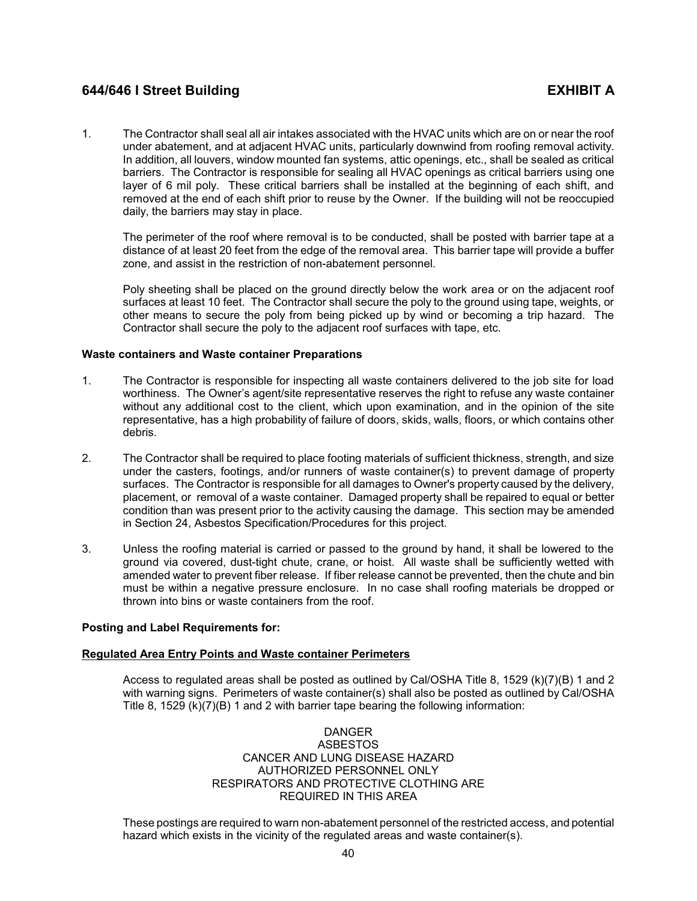1. The Contractor shall seal all air intakes associated with the HVAC units which are on or near the roof under abatement, and at adjacent HVAC units, particularly downwind from roofing removal activity. In addition, all louvers, window mounted fan systems, attic openings, etc., shall be sealed as critical barriers. The Contractor is responsible for sealing all HVAC openings as critical barriers using one layer of 6 mil poly. These critical barriers shall be installed at the beginning of each shift, and removed at the end of each shift prior to reuse by the Owner. If the building will not be reoccupied daily, the barriers may stay in place.

The perimeter of the roof where removal is to be conducted, shall be posted with barrier tape at a distance of at least 20 feet from the edge of the removal area. This barrier tape will provide a buffer zone, and assist in the restriction of non-abatement personnel.

Poly sheeting shall be placed on the ground directly below the work area or on the adjacent roof surfaces at least 10 feet. The Contractor shall secure the poly to the ground using tape, weights, or other means to secure the poly from being picked up by wind or becoming a trip hazard. The Contractor shall secure the poly to the adjacent roof surfaces with tape, etc.

## **Waste containers and Waste container Preparations**

- 1. The Contractor is responsible for inspecting all waste containers delivered to the job site for load worthiness. The Owner's agent/site representative reserves the right to refuse any waste container without any additional cost to the client, which upon examination, and in the opinion of the site representative, has a high probability of failure of doors, skids, walls, floors, or which contains other debris.
- 2. The Contractor shall be required to place footing materials of sufficient thickness, strength, and size under the casters, footings, and/or runners of waste container(s) to prevent damage of property surfaces. The Contractor is responsible for all damages to Owner's property caused by the delivery, placement, or removal of a waste container. Damaged property shall be repaired to equal or better condition than was present prior to the activity causing the damage. This section may be amended in Section 24, Asbestos Specification/Procedures for this project.
- 3. Unless the roofing material is carried or passed to the ground by hand, it shall be lowered to the ground via covered, dust-tight chute, crane, or hoist. All waste shall be sufficiently wetted with amended water to prevent fiber release. If fiber release cannot be prevented, then the chute and bin must be within a negative pressure enclosure. In no case shall roofing materials be dropped or thrown into bins or waste containers from the roof.

## **Posting and Label Requirements for:**

## **Regulated Area Entry Points and Waste container Perimeters**

Access to regulated areas shall be posted as outlined by Cal/OSHA Title 8, 1529 (k)(7)(B) 1 and 2 with warning signs. Perimeters of waste container(s) shall also be posted as outlined by Cal/OSHA Title 8, 1529 (k)(7)(B) 1 and 2 with barrier tape bearing the following information:

## DANGER ASBESTOS CANCER AND LUNG DISEASE HAZARD AUTHORIZED PERSONNEL ONLY RESPIRATORS AND PROTECTIVE CLOTHING ARE REQUIRED IN THIS AREA

These postings are required to warn non-abatement personnel of the restricted access, and potential hazard which exists in the vicinity of the regulated areas and waste container(s).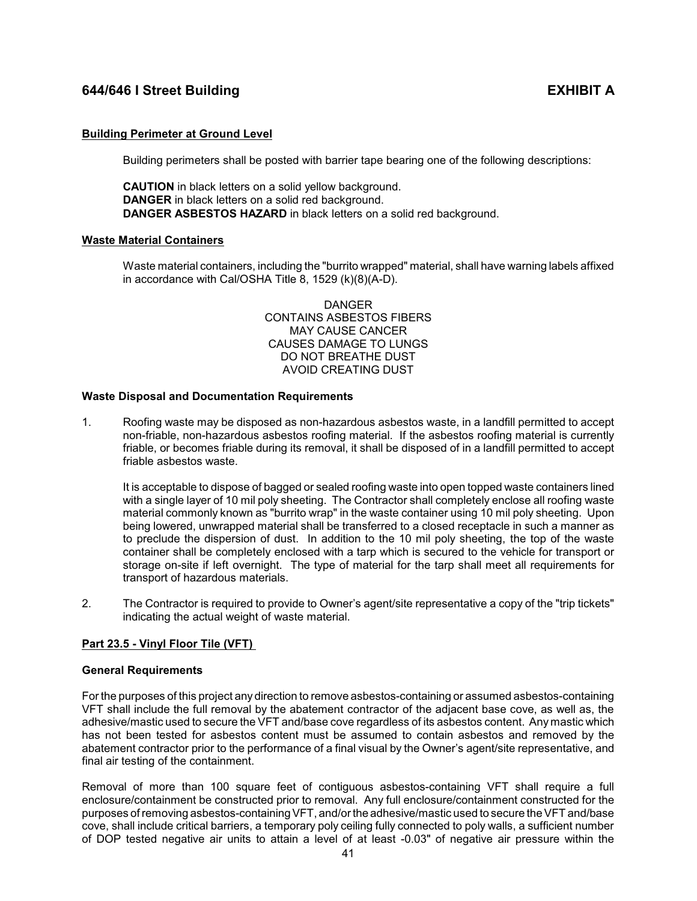# **Building Perimeter at Ground Level**

Building perimeters shall be posted with barrier tape bearing one of the following descriptions:

**CAUTION** in black letters on a solid yellow background. **DANGER** in black letters on a solid red background. **DANGER ASBESTOS HAZARD** in black letters on a solid red background.

## **Waste Material Containers**

Waste material containers, including the "burrito wrapped" material, shall have warning labels affixed in accordance with Cal/OSHA Title 8, 1529 (k)(8)(A-D).

> DANGER CONTAINS ASBESTOS FIBERS MAY CAUSE CANCER CAUSES DAMAGE TO LUNGS DO NOT BREATHE DUST AVOID CREATING DUST

## **Waste Disposal and Documentation Requirements**

1. Roofing waste may be disposed as non-hazardous asbestos waste, in a landfill permitted to accept non-friable, non-hazardous asbestos roofing material. If the asbestos roofing material is currently friable, or becomes friable during its removal, it shall be disposed of in a landfill permitted to accept friable asbestos waste.

<span id="page-43-0"></span>It is acceptable to dispose of bagged or sealed roofing waste into open topped waste containers lined with a single layer of 10 mil poly sheeting. The Contractor shall completely enclose all roofing waste material commonly known as "burrito wrap" in the waste container using 10 mil poly sheeting. Upon being lowered, unwrapped material shall be transferred to a closed receptacle in such a manner as to preclude the dispersion of dust. In addition to the 10 mil poly sheeting, the top of the waste container shall be completely enclosed with a tarp which is secured to the vehicle for transport or storage on-site if left overnight. The type of material for the tarp shall meet all requirements for transport of hazardous materials.

2. The Contractor is required to provide to Owner's agent/site representative a copy of the "trip tickets" indicating the actual weight of waste material.

# **Part 23.5 - Vinyl Floor Tile (VFT)**

## **General Requirements**

For the purposes of this project any direction to remove asbestos-containing or assumed asbestos-containing VFT shall include the full removal by the abatement contractor of the adjacent base cove, as well as, the adhesive/mastic used to secure the VFT and/base cove regardless of its asbestos content. Any mastic which has not been tested for asbestos content must be assumed to contain asbestos and removed by the abatement contractor prior to the performance of a final visual by the Owner's agent/site representative, and final air testing of the containment.

Removal of more than 100 square feet of contiguous asbestos-containing VFT shall require a full enclosure/containment be constructed prior to removal. Any full enclosure/containment constructed for the purposes ofremoving asbestos-containing VFT, and/or the adhesive/mastic used to secure the VFT and/base cove, shall include critical barriers, a temporary poly ceiling fully connected to poly walls, a sufficient number of DOP tested negative air units to attain a level of at least -0.03" of negative air pressure within the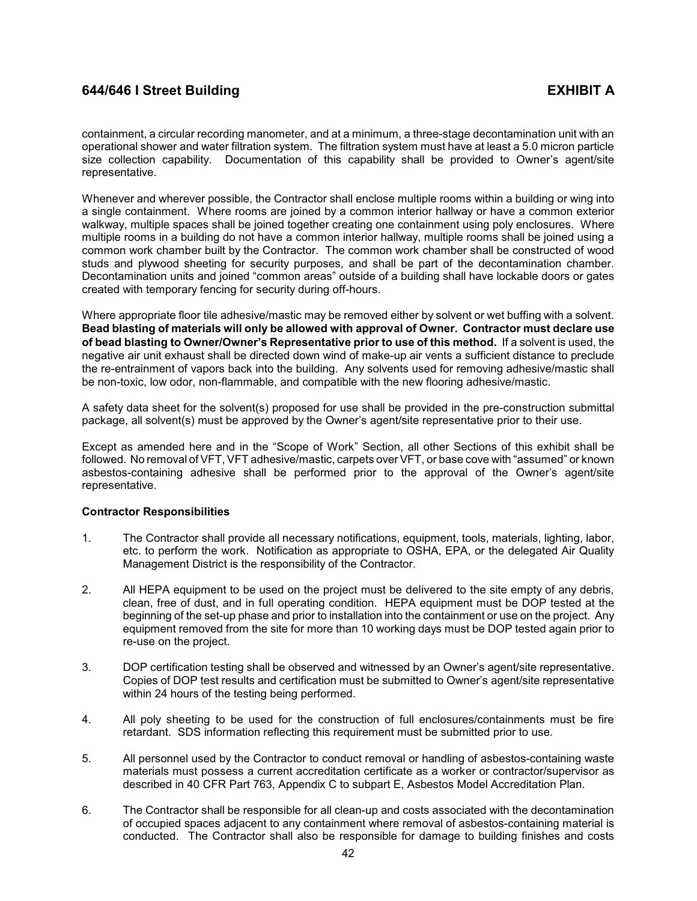containment, a circular recording manometer, and at a minimum, a three-stage decontamination unit with an operational shower and water filtration system. The filtration system must have at least a 5.0 micron particle size collection capability. Documentation of this capability shall be provided to Owner's agent/site representative.

Whenever and wherever possible, the Contractor shall enclose multiple rooms within a building or wing into a single containment. Where rooms are joined by a common interior hallway or have a common exterior walkway, multiple spaces shall be joined together creating one containment using poly enclosures. Where multiple rooms in a building do not have a common interior hallway, multiple rooms shall be joined using a common work chamber built by the Contractor. The common work chamber shall be constructed of wood studs and plywood sheeting for security purposes, and shall be part of the decontamination chamber. Decontamination units and joined "common areas" outside of a building shall have lockable doors or gates created with temporary fencing for security during off-hours.

Where appropriate floor tile adhesive/mastic may be removed either by solvent or wet buffing with a solvent. **Bead blasting of materials will only be allowed with approval of Owner. Contractor must declare use of bead blasting to Owner/Owner's Representative prior to use of this method.** If a solvent is used, the negative air unit exhaust shall be directed down wind of make-up air vents a sufficient distance to preclude the re-entrainment of vapors back into the building. Any solvents used for removing adhesive/mastic shall be non-toxic, low odor, non-flammable, and compatible with the new flooring adhesive/mastic.

A safety data sheet for the solvent(s) proposed for use shall be provided in the pre-construction submittal package, all solvent(s) must be approved by the Owner's agent/site representative prior to their use.

Except as amended here and in the "Scope of Work" Section, all other Sections of this exhibit shall be followed. No removal of VFT, VFT adhesive/mastic, carpets over VFT, or base cove with "assumed" or known asbestos-containing adhesive shall be performed prior to the approval of the Owner's agent/site representative.

## **Contractor Responsibilities**

- 1. The Contractor shall provide all necessary notifications, equipment, tools, materials, lighting, labor, etc. to perform the work. Notification as appropriate to OSHA, EPA, or the delegated Air Quality Management District is the responsibility of the Contractor.
- 2. All HEPA equipment to be used on the project must be delivered to the site empty of any debris, clean, free of dust, and in full operating condition. HEPA equipment must be DOP tested at the beginning of the set-up phase and prior to installation into the containment or use on the project. Any equipment removed from the site for more than 10 working days must be DOP tested again prior to re-use on the project.
- 3. DOP certification testing shall be observed and witnessed by an Owner's agent/site representative. Copies of DOP test results and certification must be submitted to Owner's agent/site representative within 24 hours of the testing being performed.
- 4. All poly sheeting to be used for the construction of full enclosures/containments must be fire retardant. SDS information reflecting this requirement must be submitted prior to use.
- 5. All personnel used by the Contractor to conduct removal or handling of asbestos-containing waste materials must possess a current accreditation certificate as a worker or contractor/supervisor as described in 40 CFR Part 763, Appendix C to subpart E, Asbestos Model Accreditation Plan.
- 6. The Contractor shall be responsible for all clean-up and costs associated with the decontamination of occupied spaces adjacent to any containment where removal of asbestos-containing material is conducted. The Contractor shall also be responsible for damage to building finishes and costs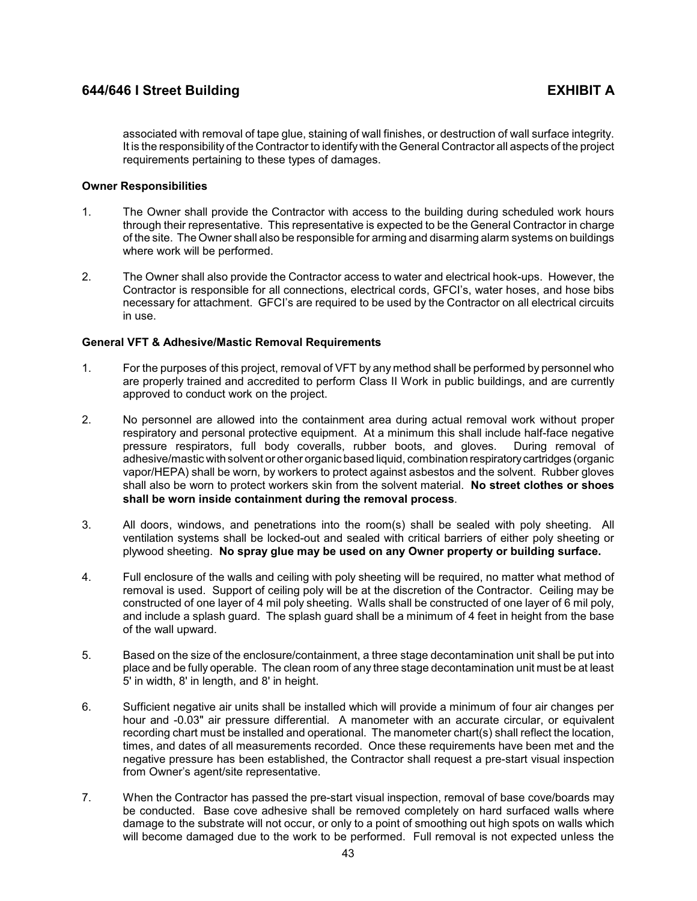associated with removal of tape glue, staining of wall finishes, or destruction of wall surface integrity. It is the responsibility of the Contractor to identify with the General Contractor all aspects of the project requirements pertaining to these types of damages.

## **Owner Responsibilities**

- 1. The Owner shall provide the Contractor with access to the building during scheduled work hours through their representative. This representative is expected to be the General Contractor in charge of the site. The Owner shall also be responsible for arming and disarming alarm systems on buildings where work will be performed.
- 2. The Owner shall also provide the Contractor access to water and electrical hook-ups. However, the Contractor is responsible for all connections, electrical cords, GFCI's, water hoses, and hose bibs necessary for attachment. GFCI's are required to be used by the Contractor on all electrical circuits in use.

## **General VFT & Adhesive/Mastic Removal Requirements**

- 1. For the purposes of this project, removal of VFT by any method shall be performed by personnel who are properly trained and accredited to perform Class II Work in public buildings, and are currently approved to conduct work on the project.
- 2. No personnel are allowed into the containment area during actual removal work without proper respiratory and personal protective equipment. At a minimum this shall include half-face negative<br>pressure respirators, full body coveralls, rubber boots, and gloves. During removal of pressure respirators, full body coveralls, rubber boots, and gloves. adhesive/mastic with solvent or other organic based liquid, combination respiratorycartridges (organic vapor/HEPA) shall be worn, by workers to protect against asbestos and the solvent. Rubber gloves shall also be worn to protect workers skin from the solvent material. **No street clothes or shoes shall be worn inside containment during the removal process**.
- 3. All doors, windows, and penetrations into the room(s) shall be sealed with poly sheeting. All ventilation systems shall be locked-out and sealed with critical barriers of either poly sheeting or plywood sheeting. **No spray glue may be used on any Owner property or building surface.**
- 4. Full enclosure of the walls and ceiling with poly sheeting will be required, no matter what method of removal is used. Support of ceiling poly will be at the discretion of the Contractor. Ceiling may be constructed of one layer of 4 mil poly sheeting. Walls shall be constructed of one layer of 6 mil poly, and include a splash guard. The splash guard shall be a minimum of 4 feet in height from the base of the wall upward.
- 5. Based on the size of the enclosure/containment, a three stage decontamination unit shall be put into place and be fully operable. The clean room of any three stage decontamination unit must be at least 5' in width, 8' in length, and 8' in height.
- 6. Sufficient negative air units shall be installed which will provide a minimum of four air changes per hour and -0.03" air pressure differential. A manometer with an accurate circular, or equivalent recording chart must be installed and operational. The manometer chart(s) shall reflect the location, times, and dates of all measurements recorded. Once these requirements have been met and the negative pressure has been established, the Contractor shall request a pre-start visual inspection from Owner's agent/site representative.
- 7. When the Contractor has passed the pre-start visual inspection, removal of base cove/boards may be conducted. Base cove adhesive shall be removed completely on hard surfaced walls where damage to the substrate will not occur, or only to a point of smoothing out high spots on walls which will become damaged due to the work to be performed. Full removal is not expected unless the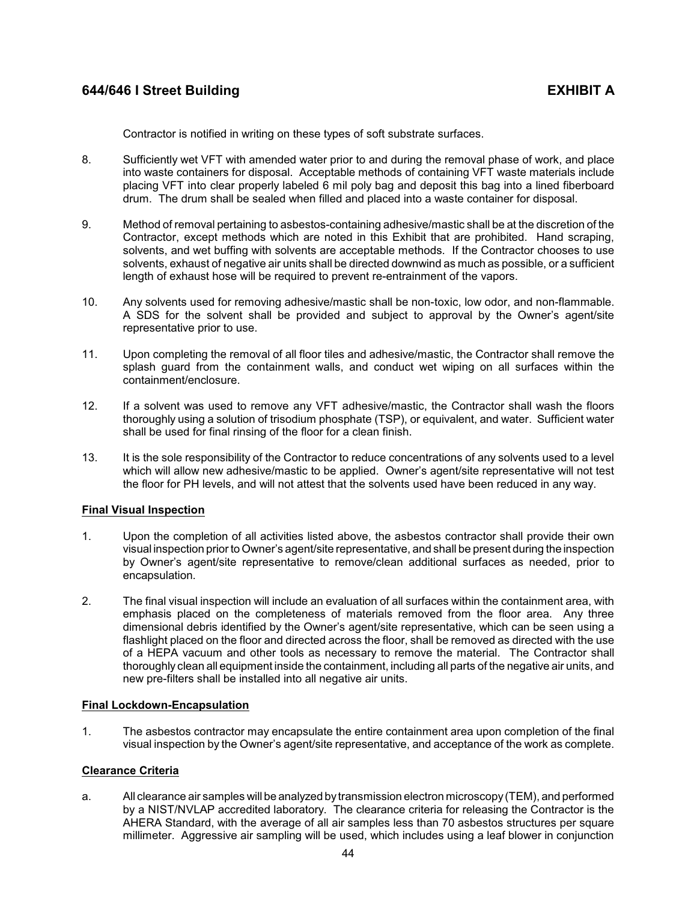Contractor is notified in writing on these types of soft substrate surfaces.

- 8. Sufficiently wet VFT with amended water prior to and during the removal phase of work, and place into waste containers for disposal. Acceptable methods of containing VFT waste materials include placing VFT into clear properly labeled 6 mil poly bag and deposit this bag into a lined fiberboard drum. The drum shall be sealed when filled and placed into a waste container for disposal.
- 9. Method of removal pertaining to asbestos-containing adhesive/mastic shall be at the discretion of the Contractor, except methods which are noted in this Exhibit that are prohibited. Hand scraping, solvents, and wet buffing with solvents are acceptable methods. If the Contractor chooses to use solvents, exhaust of negative air units shall be directed downwind as much as possible, or a sufficient length of exhaust hose will be required to prevent re-entrainment of the vapors.
- 10. Any solvents used for removing adhesive/mastic shall be non-toxic, low odor, and non-flammable. A SDS for the solvent shall be provided and subject to approval by the Owner's agent/site representative prior to use.
- 11. Upon completing the removal of all floor tiles and adhesive/mastic, the Contractor shall remove the splash guard from the containment walls, and conduct wet wiping on all surfaces within the containment/enclosure.
- 12. If a solvent was used to remove any VFT adhesive/mastic, the Contractor shall wash the floors thoroughly using a solution of trisodium phosphate (TSP), or equivalent, and water. Sufficient water shall be used for final rinsing of the floor for a clean finish.
- 13. It is the sole responsibility of the Contractor to reduce concentrations of any solvents used to a level which will allow new adhesive/mastic to be applied. Owner's agent/site representative will not test the floor for PH levels, and will not attest that the solvents used have been reduced in any way.

## **Final Visual Inspection**

- 1. Upon the completion of all activities listed above, the asbestos contractor shall provide their own visual inspection prior to Owner's agent/site representative, and shall be present during the inspection by Owner's agent/site representative to remove/clean additional surfaces as needed, prior to encapsulation.
- 2. The final visual inspection will include an evaluation of all surfaces within the containment area, with emphasis placed on the completeness of materials removed from the floor area. Any three dimensional debris identified by the Owner's agent/site representative, which can be seen using a flashlight placed on the floor and directed across the floor, shall be removed as directed with the use of a HEPA vacuum and other tools as necessary to remove the material. The Contractor shall thoroughly clean all equipment inside the containment, including all parts of the negative air units, and new pre-filters shall be installed into all negative air units.

## **Final Lockdown-Encapsulation**

1. The asbestos contractor may encapsulate the entire containment area upon completion of the final visual inspection by the Owner's agent/site representative, and acceptance of the work as complete.

## **Clearance Criteria**

a. All clearance air samples will be analyzed bytransmission electron microscopy(TEM), and performed by a NIST/NVLAP accredited laboratory. The clearance criteria for releasing the Contractor is the AHERA Standard, with the average of all air samples less than 70 asbestos structures per square millimeter. Aggressive air sampling will be used, which includes using a leaf blower in conjunction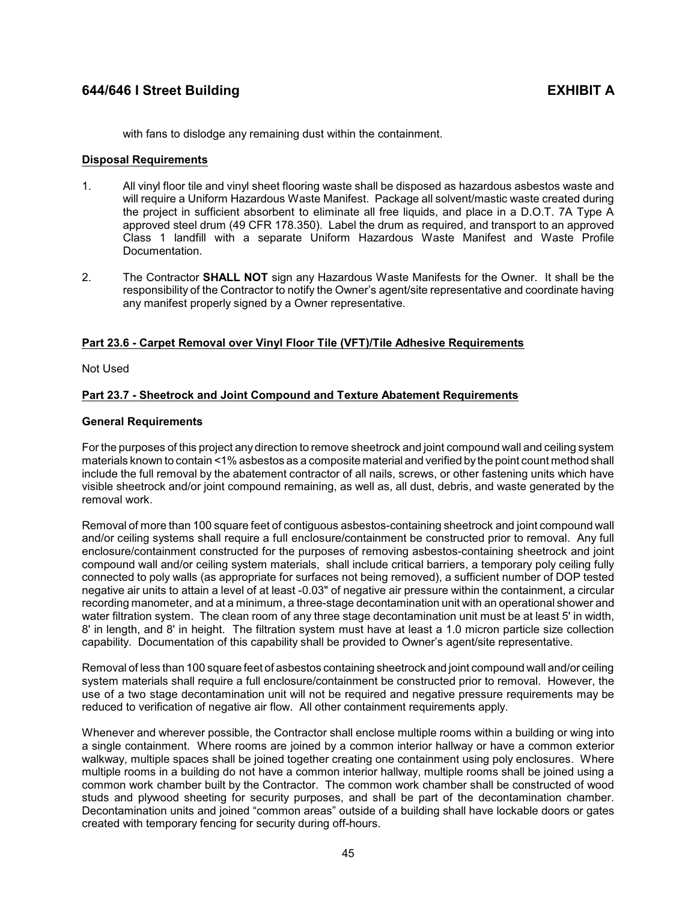with fans to dislodge any remaining dust within the containment.

### **Disposal Requirements**

- 1. All vinyl floor tile and vinyl sheet flooring waste shall be disposed as hazardous asbestos waste and will require a Uniform Hazardous Waste Manifest. Package all solvent/mastic waste created during the project in sufficient absorbent to eliminate all free liquids, and place in a D.O.T. 7A Type A approved steel drum (49 CFR 178.350). Label the drum as required, and transport to an approved Class 1 landfill with a separate Uniform Hazardous Waste Manifest and Waste Profile Documentation.
- 2. The Contractor **SHALL NOT** sign any Hazardous Waste Manifests for the Owner. It shall be the responsibility of the Contractor to notify the Owner's agent/site representative and coordinate having any manifest properly signed by a Owner representative.

## <span id="page-47-0"></span>**Part 23.6 - Carpet Removal over Vinyl Floor Tile (VFT)/Tile Adhesive Requirements**

Not Used

## <span id="page-47-1"></span>**Part 23.7 - Sheetrock and Joint Compound and Texture Abatement Requirements**

## **General Requirements**

For the purposes of this project any direction to remove sheetrock and joint compound wall and ceiling system materials known to contain <1% asbestos as a composite material and verified by the point count method shall include the full removal by the abatement contractor of all nails, screws, or other fastening units which have visible sheetrock and/or joint compound remaining, as well as, all dust, debris, and waste generated by the removal work.

Removal of more than 100 square feet of contiguous asbestos-containing sheetrock and joint compound wall and/or ceiling systems shall require a full enclosure/containment be constructed prior to removal. Any full enclosure/containment constructed for the purposes of removing asbestos-containing sheetrock and joint compound wall and/or ceiling system materials, shall include critical barriers, a temporary poly ceiling fully connected to poly walls (as appropriate for surfaces not being removed), a sufficient number of DOP tested negative air units to attain a level of at least -0.03" of negative air pressure within the containment, a circular recording manometer, and at a minimum, a three-stage decontamination unit with an operational shower and water filtration system. The clean room of any three stage decontamination unit must be at least 5' in width, 8' in length, and 8' in height. The filtration system must have at least a 1.0 micron particle size collection capability. Documentation of this capability shall be provided to Owner's agent/site representative.

Removal of less than 100 square feet of asbestos containing sheetrock and joint compound wall and/or ceiling system materials shall require a full enclosure/containment be constructed prior to removal. However, the use of a two stage decontamination unit will not be required and negative pressure requirements may be reduced to verification of negative air flow. All other containment requirements apply.

Whenever and wherever possible, the Contractor shall enclose multiple rooms within a building or wing into a single containment. Where rooms are joined by a common interior hallway or have a common exterior walkway, multiple spaces shall be joined together creating one containment using poly enclosures. Where multiple rooms in a building do not have a common interior hallway, multiple rooms shall be joined using a common work chamber built by the Contractor. The common work chamber shall be constructed of wood studs and plywood sheeting for security purposes, and shall be part of the decontamination chamber. Decontamination units and joined "common areas" outside of a building shall have lockable doors or gates created with temporary fencing for security during off-hours.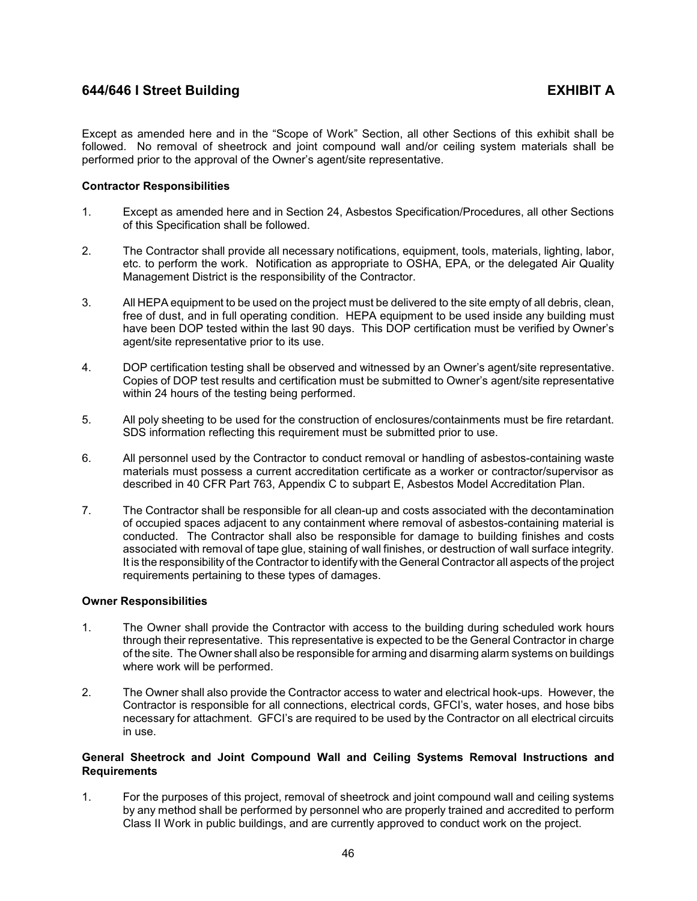Except as amended here and in the "Scope of Work" Section, all other Sections of this exhibit shall be followed. No removal of sheetrock and joint compound wall and/or ceiling system materials shall be performed prior to the approval of the Owner's agent/site representative.

## **Contractor Responsibilities**

- 1. Except as amended here and in Section 24, Asbestos Specification/Procedures, all other Sections of this Specification shall be followed.
- 2. The Contractor shall provide all necessary notifications, equipment, tools, materials, lighting, labor, etc. to perform the work. Notification as appropriate to OSHA, EPA, or the delegated Air Quality Management District is the responsibility of the Contractor.
- 3. All HEPA equipment to be used on the project must be delivered to the site empty of all debris, clean, free of dust, and in full operating condition. HEPA equipment to be used inside any building must have been DOP tested within the last 90 days. This DOP certification must be verified by Owner's agent/site representative prior to its use.
- 4. DOP certification testing shall be observed and witnessed by an Owner's agent/site representative. Copies of DOP test results and certification must be submitted to Owner's agent/site representative within 24 hours of the testing being performed.
- 5. All poly sheeting to be used for the construction of enclosures/containments must be fire retardant. SDS information reflecting this requirement must be submitted prior to use.
- 6. All personnel used by the Contractor to conduct removal or handling of asbestos-containing waste materials must possess a current accreditation certificate as a worker or contractor/supervisor as described in 40 CFR Part 763, Appendix C to subpart E, Asbestos Model Accreditation Plan.
- 7. The Contractor shall be responsible for all clean-up and costs associated with the decontamination of occupied spaces adjacent to any containment where removal of asbestos-containing material is conducted. The Contractor shall also be responsible for damage to building finishes and costs associated with removal of tape glue, staining of wall finishes, or destruction of wall surface integrity. It is the responsibility of the Contractor to identify with the General Contractor all aspects of the project requirements pertaining to these types of damages.

## **Owner Responsibilities**

- 1. The Owner shall provide the Contractor with access to the building during scheduled work hours through their representative. This representative is expected to be the General Contractor in charge of the site. The Owner shall also be responsible for arming and disarming alarm systems on buildings where work will be performed.
- 2. The Owner shall also provide the Contractor access to water and electrical hook-ups. However, the Contractor is responsible for all connections, electrical cords, GFCI's, water hoses, and hose bibs necessary for attachment. GFCI's are required to be used by the Contractor on all electrical circuits in use.

## **General Sheetrock and Joint Compound Wall and Ceiling Systems Removal Instructions and Requirements**

1. For the purposes of this project, removal of sheetrock and joint compound wall and ceiling systems by any method shall be performed by personnel who are properly trained and accredited to perform Class II Work in public buildings, and are currently approved to conduct work on the project.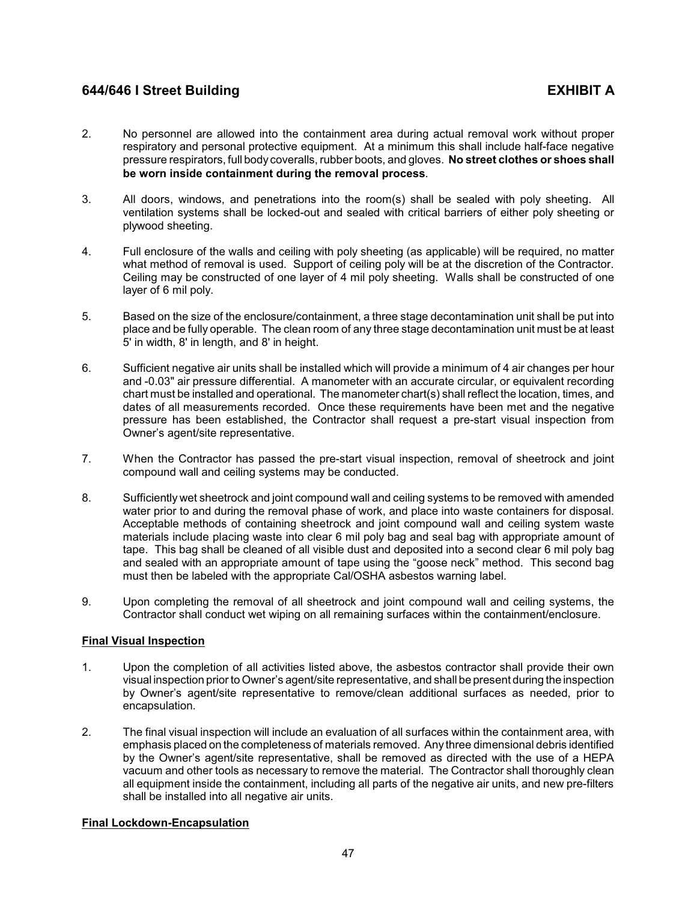- 2. No personnel are allowed into the containment area during actual removal work without proper respiratory and personal protective equipment. At a minimum this shall include half-face negative pressure respirators, full body coveralls, rubber boots, and gloves. **No street clothes or shoes shall be worn inside containment during the removal process**.
- 3. All doors, windows, and penetrations into the room(s) shall be sealed with poly sheeting. All ventilation systems shall be locked-out and sealed with critical barriers of either poly sheeting or plywood sheeting.
- 4. Full enclosure of the walls and ceiling with poly sheeting (as applicable) will be required, no matter what method of removal is used. Support of ceiling poly will be at the discretion of the Contractor. Ceiling may be constructed of one layer of 4 mil poly sheeting. Walls shall be constructed of one layer of 6 mil poly.
- 5. Based on the size of the enclosure/containment, a three stage decontamination unit shall be put into place and be fully operable. The clean room of any three stage decontamination unit must be at least 5' in width, 8' in length, and 8' in height.
- 6. Sufficient negative air units shall be installed which will provide a minimum of 4 air changes per hour and -0.03" air pressure differential. A manometer with an accurate circular, or equivalent recording chart must be installed and operational. The manometer chart(s) shall reflect the location, times, and dates of all measurements recorded. Once these requirements have been met and the negative pressure has been established, the Contractor shall request a pre-start visual inspection from Owner's agent/site representative.
- 7. When the Contractor has passed the pre-start visual inspection, removal of sheetrock and joint compound wall and ceiling systems may be conducted.
- 8. Sufficiently wet sheetrock and joint compound wall and ceiling systems to be removed with amended water prior to and during the removal phase of work, and place into waste containers for disposal. Acceptable methods of containing sheetrock and joint compound wall and ceiling system waste materials include placing waste into clear 6 mil poly bag and seal bag with appropriate amount of tape. This bag shall be cleaned of all visible dust and deposited into a second clear 6 mil poly bag and sealed with an appropriate amount of tape using the "goose neck" method. This second bag must then be labeled with the appropriate Cal/OSHA asbestos warning label.
- 9. Upon completing the removal of all sheetrock and joint compound wall and ceiling systems, the Contractor shall conduct wet wiping on all remaining surfaces within the containment/enclosure.

# **Final Visual Inspection**

- 1. Upon the completion of all activities listed above, the asbestos contractor shall provide their own visual inspection prior to Owner's agent/site representative, and shall be present during the inspection by Owner's agent/site representative to remove/clean additional surfaces as needed, prior to encapsulation.
- 2. The final visual inspection will include an evaluation of all surfaces within the containment area, with emphasis placed on the completeness of materials removed. Any three dimensional debris identified by the Owner's agent/site representative, shall be removed as directed with the use of a HEPA vacuum and other tools as necessary to remove the material. The Contractor shall thoroughly clean all equipment inside the containment, including all parts of the negative air units, and new pre-filters shall be installed into all negative air units.

## **Final Lockdown-Encapsulation**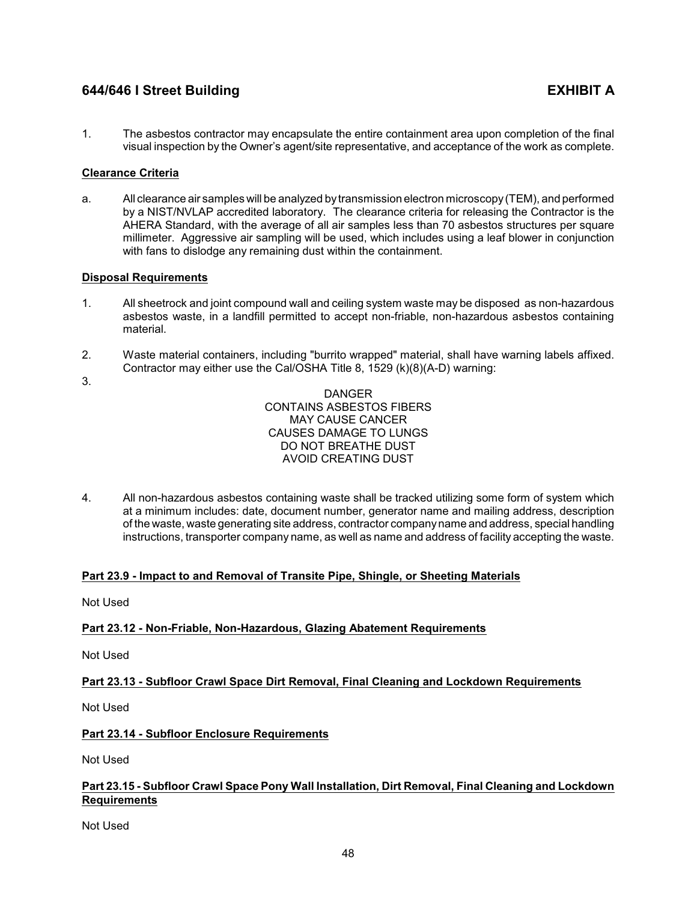1. The asbestos contractor may encapsulate the entire containment area upon completion of the final visual inspection by the Owner's agent/site representative, and acceptance of the work as complete.

# **Clearance Criteria**

a. All clearance air samples will be analyzed bytransmission electron microscopy(TEM), and performed by a NIST/NVLAP accredited laboratory. The clearance criteria for releasing the Contractor is the AHERA Standard, with the average of all air samples less than 70 asbestos structures per square millimeter. Aggressive air sampling will be used, which includes using a leaf blower in conjunction with fans to dislodge any remaining dust within the containment.

# **Disposal Requirements**

- 1. All sheetrock and joint compound wall and ceiling system waste may be disposed as non-hazardous asbestos waste, in a landfill permitted to accept non-friable, non-hazardous asbestos containing material.
- 2. Waste material containers, including "burrito wrapped" material, shall have warning labels affixed. Contractor may either use the Cal/OSHA Title 8, 1529 (k)(8)(A-D) warning:
- 3.

DANGER CONTAINS ASBESTOS FIBERS MAY CAUSE CANCER CAUSES DAMAGE TO LUNGS DO NOT BREATHE DUST AVOID CREATING DUST

4. All non-hazardous asbestos containing waste shall be tracked utilizing some form of system which at a minimum includes: date, document number, generator name and mailing address, description of the waste, waste generating site address, contractor companyname and address, special handling instructions, transporter company name, as well as name and address of facility accepting the waste.

# <span id="page-50-0"></span>**Part 23.9 - Impact to and Removal of Transite Pipe, Shingle, or Sheeting Materials**

Not Used

# <span id="page-50-1"></span>**Part 23.12 - Non-Friable, Non-Hazardous, Glazing Abatement Requirements**

Not Used

# <span id="page-50-2"></span>**Part 23.13 - Subfloor Crawl Space Dirt Removal, Final Cleaning and Lockdown Requirements**

Not Used

# <span id="page-50-3"></span>**Part 23.14 - Subfloor Enclosure Requirements**

Not Used

# <span id="page-50-4"></span>**Part 23.15 - Subfloor Crawl Space Pony Wall Installation, Dirt Removal, Final Cleaning and Lockdown Requirements**

Not Used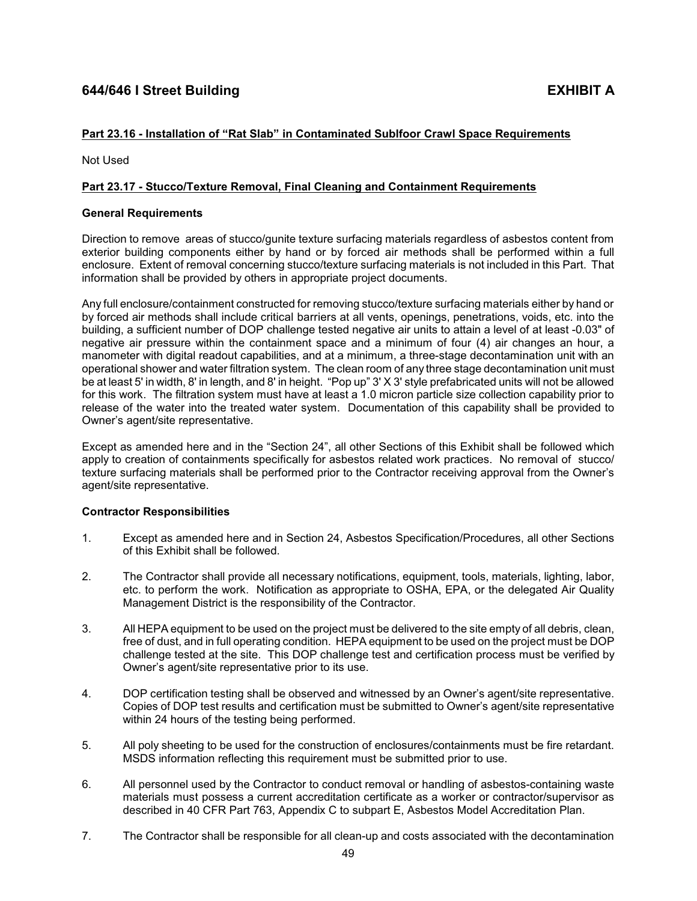# <span id="page-51-0"></span>**Part 23.16 - Installation of "Rat Slab" in Contaminated Sublfoor Crawl Space Requirements**

Not Used

## **Part 23.17 - Stucco/Texture Removal, Final Cleaning and Containment Requirements**

## **General Requirements**

Direction to remove areas of stucco/gunite texture surfacing materials regardless of asbestos content from exterior building components either by hand or by forced air methods shall be performed within a full enclosure. Extent of removal concerning stucco/texture surfacing materials is not included in this Part. That information shall be provided by others in appropriate project documents.

Any full enclosure/containment constructed for removing stucco/texture surfacing materials either by hand or by forced air methods shall include critical barriers at all vents, openings, penetrations, voids, etc. into the building, a sufficient number of DOP challenge tested negative air units to attain a level of at least -0.03" of negative air pressure within the containment space and a minimum of four (4) air changes an hour, a manometer with digital readout capabilities, and at a minimum, a three-stage decontamination unit with an operational shower and water filtration system. The clean room of any three stage decontamination unit must be at least 5' in width, 8' in length, and 8' in height. "Pop up" 3' X 3' style prefabricated units will not be allowed for this work. The filtration system must have at least a 1.0 micron particle size collection capability prior to release of the water into the treated water system. Documentation of this capability shall be provided to Owner's agent/site representative.

Except as amended here and in the "Section 24", all other Sections of this Exhibit shall be followed which apply to creation of containments specifically for asbestos related work practices. No removal of stucco/ texture surfacing materials shall be performed prior to the Contractor receiving approval from the Owner's agent/site representative.

## **Contractor Responsibilities**

- 1. Except as amended here and in Section 24, Asbestos Specification/Procedures, all other Sections of this Exhibit shall be followed.
- 2. The Contractor shall provide all necessary notifications, equipment, tools, materials, lighting, labor, etc. to perform the work. Notification as appropriate to OSHA, EPA, or the delegated Air Quality Management District is the responsibility of the Contractor.
- 3. All HEPA equipment to be used on the project must be delivered to the site empty of all debris, clean, free of dust, and in full operating condition. HEPA equipment to be used on the project must be DOP challenge tested at the site. This DOP challenge test and certification process must be verified by Owner's agent/site representative prior to its use.
- 4. DOP certification testing shall be observed and witnessed by an Owner's agent/site representative. Copies of DOP test results and certification must be submitted to Owner's agent/site representative within 24 hours of the testing being performed.
- 5. All poly sheeting to be used for the construction of enclosures/containments must be fire retardant. MSDS information reflecting this requirement must be submitted prior to use.
- 6. All personnel used by the Contractor to conduct removal or handling of asbestos-containing waste materials must possess a current accreditation certificate as a worker or contractor/supervisor as described in 40 CFR Part 763, Appendix C to subpart E, Asbestos Model Accreditation Plan.
- 7. The Contractor shall be responsible for all clean-up and costs associated with the decontamination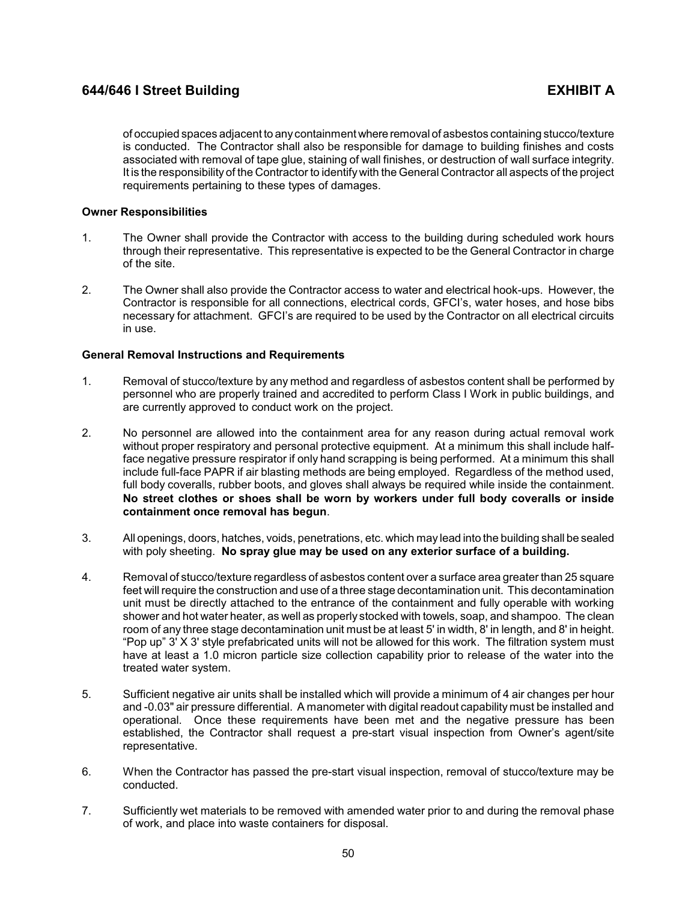of occupied spaces adjacent to anycontainment where removal of asbestos containing stucco/texture is conducted. The Contractor shall also be responsible for damage to building finishes and costs associated with removal of tape glue, staining of wall finishes, or destruction of wall surface integrity. It is the responsibility of the Contractor to identify with the General Contractor all aspects of the project requirements pertaining to these types of damages.

## **Owner Responsibilities**

- 1. The Owner shall provide the Contractor with access to the building during scheduled work hours through their representative. This representative is expected to be the General Contractor in charge of the site.
- 2. The Owner shall also provide the Contractor access to water and electrical hook-ups. However, the Contractor is responsible for all connections, electrical cords, GFCI's, water hoses, and hose bibs necessary for attachment. GFCI's are required to be used by the Contractor on all electrical circuits in use.

## **General Removal Instructions and Requirements**

- 1. Removal of stucco/texture by any method and regardless of asbestos content shall be performed by personnel who are properly trained and accredited to perform Class I Work in public buildings, and are currently approved to conduct work on the project.
- 2. No personnel are allowed into the containment area for any reason during actual removal work without proper respiratory and personal protective equipment. At a minimum this shall include halfface negative pressure respirator if only hand scrapping is being performed. At a minimum this shall include full-face PAPR if air blasting methods are being employed. Regardless of the method used, full body coveralls, rubber boots, and gloves shall always be required while inside the containment. **No street clothes or shoes shall be worn by workers under full body coveralls or inside containment once removal has begun**.
- 3. All openings, doors, hatches, voids, penetrations, etc. which may lead into the building shall be sealed with poly sheeting. **No spray glue may be used on any exterior surface of a building.**
- 4. Removal of stucco/texture regardless of asbestos content over a surface area greater than 25 square feet will require the construction and use of a three stage decontamination unit. This decontamination unit must be directly attached to the entrance of the containment and fully operable with working shower and hot water heater, as well as properly stocked with towels, soap, and shampoo. The clean room of any three stage decontamination unit must be at least 5' in width, 8' in length, and 8' in height. "Pop up" 3' X 3' style prefabricated units will not be allowed for this work. The filtration system must have at least a 1.0 micron particle size collection capability prior to release of the water into the treated water system.
- 5. Sufficient negative air units shall be installed which will provide a minimum of 4 air changes per hour and -0.03" air pressure differential. A manometer with digital readout capability must be installed and operational. Once these requirements have been met and the negative pressure has been established, the Contractor shall request a pre-start visual inspection from Owner's agent/site representative.
- 6. When the Contractor has passed the pre-start visual inspection, removal of stucco/texture may be conducted.
- 7. Sufficiently wet materials to be removed with amended water prior to and during the removal phase of work, and place into waste containers for disposal.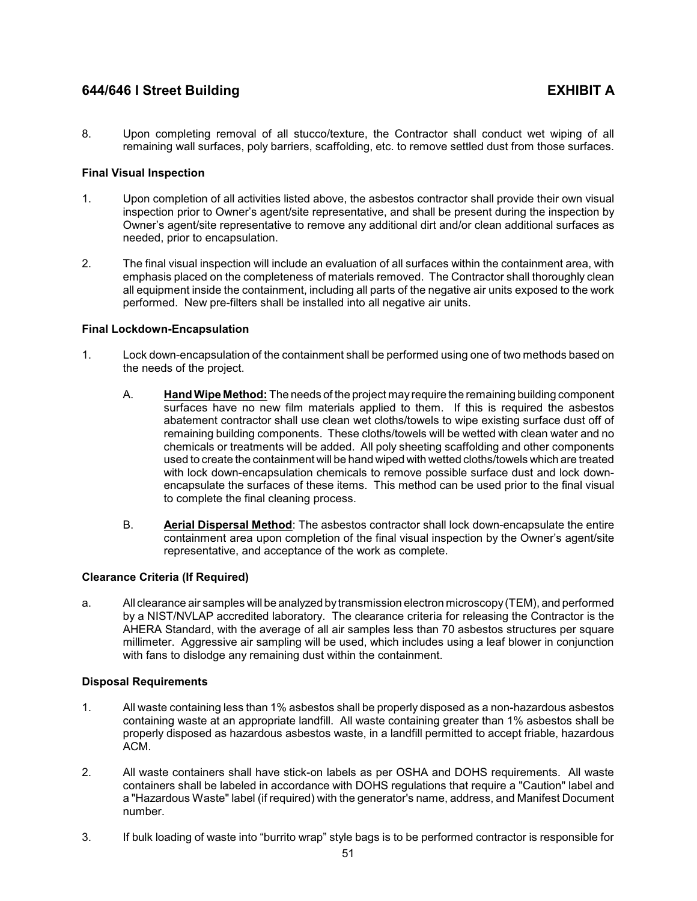8. Upon completing removal of all stucco/texture, the Contractor shall conduct wet wiping of all remaining wall surfaces, poly barriers, scaffolding, etc. to remove settled dust from those surfaces.

## **Final Visual Inspection**

- 1. Upon completion of all activities listed above, the asbestos contractor shall provide their own visual inspection prior to Owner's agent/site representative, and shall be present during the inspection by Owner's agent/site representative to remove any additional dirt and/or clean additional surfaces as needed, prior to encapsulation.
- 2. The final visual inspection will include an evaluation of all surfaces within the containment area, with emphasis placed on the completeness of materials removed. The Contractor shall thoroughly clean all equipment inside the containment, including all parts of the negative air units exposed to the work performed. New pre-filters shall be installed into all negative air units.

## **Final Lockdown-Encapsulation**

- 1. Lock down-encapsulation of the containment shall be performed using one of two methods based on the needs of the project.
	- A. **Hand Wipe Method:** The needs of the project may require the remaining building component surfaces have no new film materials applied to them. If this is required the asbestos abatement contractor shall use clean wet cloths/towels to wipe existing surface dust off of remaining building components. These cloths/towels will be wetted with clean water and no chemicals or treatments will be added. All poly sheeting scaffolding and other components used to create the containment will be hand wiped with wetted cloths/towels which are treated with lock down-encapsulation chemicals to remove possible surface dust and lock downencapsulate the surfaces of these items. This method can be used prior to the final visual to complete the final cleaning process.
	- B. **Aerial Dispersal Method**: The asbestos contractor shall lock down-encapsulate the entire containment area upon completion of the final visual inspection by the Owner's agent/site representative, and acceptance of the work as complete.

## **Clearance Criteria (If Required)**

a. All clearance air samples will be analyzed bytransmission electron microscopy(TEM), and performed by a NIST/NVLAP accredited laboratory. The clearance criteria for releasing the Contractor is the AHERA Standard, with the average of all air samples less than 70 asbestos structures per square millimeter. Aggressive air sampling will be used, which includes using a leaf blower in conjunction with fans to dislodge any remaining dust within the containment.

## **Disposal Requirements**

- 1. All waste containing less than 1% asbestos shall be properly disposed as a non-hazardous asbestos containing waste at an appropriate landfill. All waste containing greater than 1% asbestos shall be properly disposed as hazardous asbestos waste, in a landfill permitted to accept friable, hazardous ACM.
- 2. All waste containers shall have stick-on labels as per OSHA and DOHS requirements. All waste containers shall be labeled in accordance with DOHS regulations that require a "Caution" label and a "Hazardous Waste" label (if required) with the generator's name, address, and Manifest Document number.
- 3. If bulk loading of waste into "burrito wrap" style bags is to be performed contractor is responsible for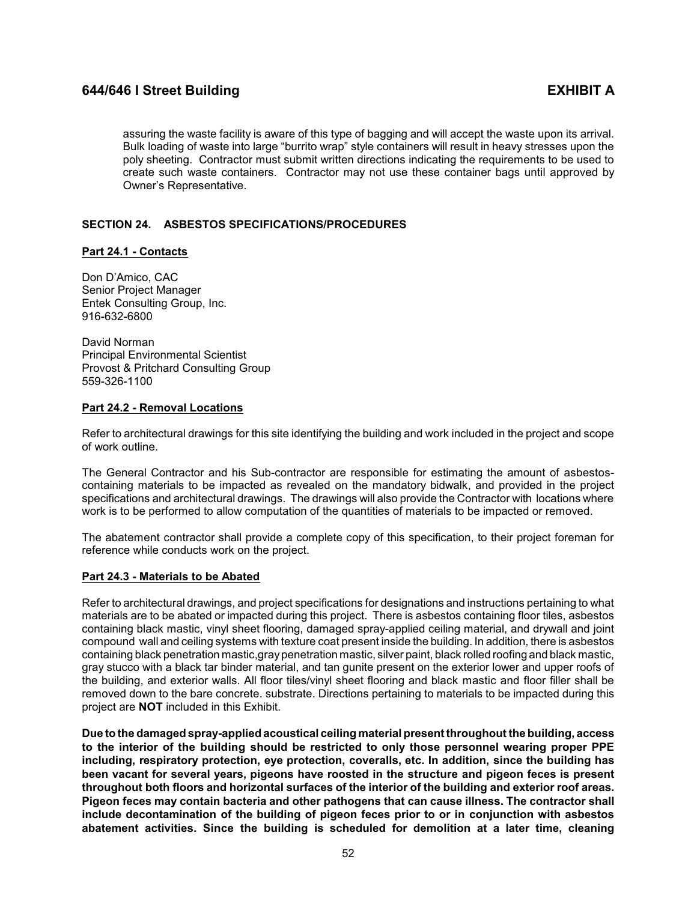assuring the waste facility is aware of this type of bagging and will accept the waste upon its arrival. Bulk loading of waste into large "burrito wrap" style containers will result in heavy stresses upon the poly sheeting. Contractor must submit written directions indicating the requirements to be used to create such waste containers. Contractor may not use these container bags until approved by Owner's Representative.

## <span id="page-54-0"></span>**SECTION 24. ASBESTOS SPECIFICATIONS/PROCEDURES**

## <span id="page-54-1"></span>**Part 24.1 - Contacts**

Don D'Amico, CAC Senior Project Manager Entek Consulting Group, Inc. 916-632-6800

David Norman Principal Environmental Scientist Provost & Pritchard Consulting Group 559-326-1100

## <span id="page-54-2"></span>**Part 24.2 - Removal Locations**

Refer to architectural drawings for this site identifying the building and work included in the project and scope of work outline.

The General Contractor and his Sub-contractor are responsible for estimating the amount of asbestoscontaining materials to be impacted as revealed on the mandatory bidwalk, and provided in the project specifications and architectural drawings. The drawings will also provide the Contractor with locations where work is to be performed to allow computation of the quantities of materials to be impacted or removed.

The abatement contractor shall provide a complete copy of this specification, to their project foreman for reference while conducts work on the project.

## <span id="page-54-3"></span>**Part 24.3 - Materials to be Abated**

Refer to architectural drawings, and project specifications for designations and instructions pertaining to what materials are to be abated or impacted during this project. There is asbestos containing floor tiles, asbestos containing black mastic, vinyl sheet flooring, damaged spray-applied ceiling material, and drywall and joint compound wall and ceiling systems with texture coat present inside the building. In addition, there is asbestos containing black penetration mastic,graypenetration mastic, silver paint, black rolled roofing and black mastic, gray stucco with a black tar binder material, and tan gunite present on the exterior lower and upper roofs of the building, and exterior walls. All floor tiles/vinyl sheet flooring and black mastic and floor filler shall be removed down to the bare concrete. substrate. Directions pertaining to materials to be impacted during this project are **NOT** included in this Exhibit.

**Due to the damaged spray-applied acoustical ceiling material present throughout the building, access to the interior of the building should be restricted to only those personnel wearing proper PPE including, respiratory protection, eye protection, coveralls, etc. In addition, since the building has been vacant for several years, pigeons have roosted in the structure and pigeon feces is present throughout both floors and horizontal surfaces of the interior of the building and exterior roof areas. Pigeon feces may contain bacteria and other pathogens that can cause illness. The contractor shall include decontamination of the building of pigeon feces prior to or in conjunction with asbestos abatement activities. Since the building is scheduled for demolition at a later time, cleaning**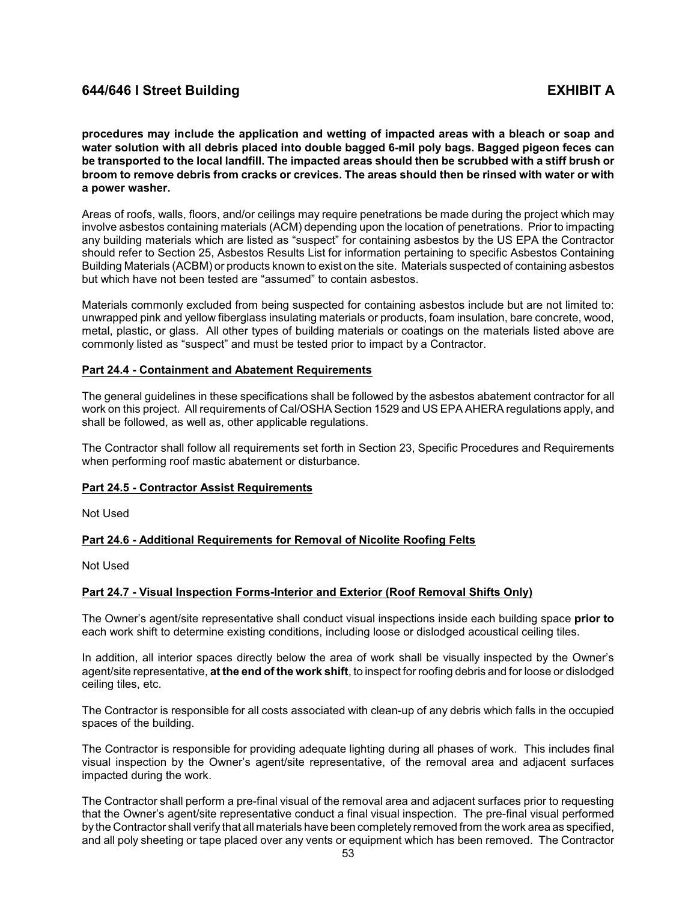**procedures may include the application and wetting of impacted areas with a bleach or soap and water solution with all debris placed into double bagged 6-mil poly bags. Bagged pigeon feces can be transported to the local landfill. The impacted areas should then be scrubbed with a stiff brush or broom to remove debris from cracks or crevices. The areas should then be rinsed with water or with a power washer.**

Areas of roofs, walls, floors, and/or ceilings may require penetrations be made during the project which may involve asbestos containing materials (ACM) depending upon the location of penetrations. Prior to impacting any building materials which are listed as "suspect" for containing asbestos by the US EPA the Contractor should refer to Section 25, Asbestos Results List for information pertaining to specific Asbestos Containing Building Materials (ACBM) or products known to exist on the site. Materials suspected of containing asbestos but which have not been tested are "assumed" to contain asbestos.

Materials commonly excluded from being suspected for containing asbestos include but are not limited to: unwrapped pink and yellow fiberglass insulating materials or products, foam insulation, bare concrete, wood, metal, plastic, or glass. All other types of building materials or coatings on the materials listed above are commonly listed as "suspect" and must be tested prior to impact by a Contractor.

### <span id="page-55-0"></span>**Part 24.4 - Containment and Abatement Requirements**

The general guidelines in these specifications shall be followed by the asbestos abatement contractor for all work on this project. All requirements of Cal/OSHA Section 1529 and US EPA AHERA regulations apply, and shall be followed, as well as, other applicable regulations.

The Contractor shall follow all requirements set forth in Section 23, Specific Procedures and Requirements when performing roof mastic abatement or disturbance.

## <span id="page-55-1"></span>**Part 24.5 - Contractor Assist Requirements**

Not Used

## <span id="page-55-2"></span>**Part 24.6 - Additional Requirements for Removal of Nicolite Roofing Felts**

Not Used

## <span id="page-55-3"></span>**Part 24.7 - Visual Inspection Forms-Interior and Exterior (Roof Removal Shifts Only)**

The Owner's agent/site representative shall conduct visual inspections inside each building space **prior to** each work shift to determine existing conditions, including loose or dislodged acoustical ceiling tiles.

In addition, all interior spaces directly below the area of work shall be visually inspected by the Owner's agent/site representative, **at the end of the work shift**, to inspect for roofing debris and for loose or dislodged ceiling tiles, etc.

The Contractor is responsible for all costs associated with clean-up of any debris which falls in the occupied spaces of the building.

The Contractor is responsible for providing adequate lighting during all phases of work. This includes final visual inspection by the Owner's agent/site representative, of the removal area and adjacent surfaces impacted during the work.

The Contractor shall perform a pre-final visual of the removal area and adjacent surfaces prior to requesting that the Owner's agent/site representative conduct a final visual inspection. The pre-final visual performed by the Contractor shall verify that all materials have been completely removed from the work area as specified, and all poly sheeting or tape placed over any vents or equipment which has been removed. The Contractor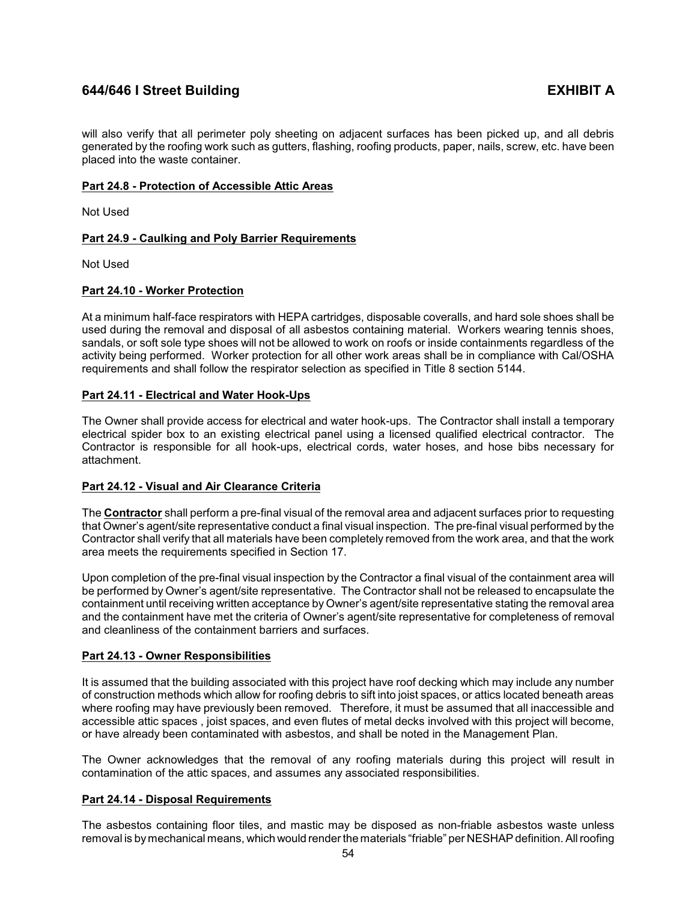will also verify that all perimeter poly sheeting on adjacent surfaces has been picked up, and all debris generated by the roofing work such as gutters, flashing, roofing products, paper, nails, screw, etc. have been placed into the waste container.

## <span id="page-56-0"></span>**Part 24.8 - Protection of Accessible Attic Areas**

Not Used

## <span id="page-56-1"></span>**Part 24.9 - Caulking and Poly Barrier Requirements**

Not Used

## <span id="page-56-2"></span>**Part 24.10 - Worker Protection**

At a minimum half-face respirators with HEPA cartridges, disposable coveralls, and hard sole shoes shall be used during the removal and disposal of all asbestos containing material. Workers wearing tennis shoes, sandals, or soft sole type shoes will not be allowed to work on roofs or inside containments regardless of the activity being performed. Worker protection for all other work areas shall be in compliance with Cal/OSHA requirements and shall follow the respirator selection as specified in Title 8 section 5144.

## <span id="page-56-3"></span>**Part 24.11 - Electrical and Water Hook-Ups**

The Owner shall provide access for electrical and water hook-ups. The Contractor shall install a temporary electrical spider box to an existing electrical panel using a licensed qualified electrical contractor. The Contractor is responsible for all hook-ups, electrical cords, water hoses, and hose bibs necessary for attachment.

# <span id="page-56-4"></span>**Part 24.12 - Visual and Air Clearance Criteria**

The **Contractor** shall perform a pre-final visual of the removal area and adjacent surfaces prior to requesting that Owner's agent/site representative conduct a final visual inspection. The pre-final visual performed by the Contractor shall verify that all materials have been completely removed from the work area, and that the work area meets the requirements specified in Section 17.

Upon completion of the pre-final visual inspection by the Contractor a final visual of the containment area will be performed by Owner's agent/site representative. The Contractor shall not be released to encapsulate the containment until receiving written acceptance by Owner's agent/site representative stating the removal area and the containment have met the criteria of Owner's agent/site representative for completeness of removal and cleanliness of the containment barriers and surfaces.

# <span id="page-56-5"></span>**Part 24.13 - Owner Responsibilities**

It is assumed that the building associated with this project have roof decking which may include any number of construction methods which allow for roofing debris to sift into joist spaces, or attics located beneath areas where roofing may have previously been removed. Therefore, it must be assumed that all inaccessible and accessible attic spaces , joist spaces, and even flutes of metal decks involved with this project will become, or have already been contaminated with asbestos, and shall be noted in the Management Plan.

The Owner acknowledges that the removal of any roofing materials during this project will result in contamination of the attic spaces, and assumes any associated responsibilities.

## <span id="page-56-6"></span>**Part 24.14 - Disposal Requirements**

The asbestos containing floor tiles, and mastic may be disposed as non-friable asbestos waste unless removal is bymechanical means, which would render the materials "friable" per NESHAP definition. Allroofing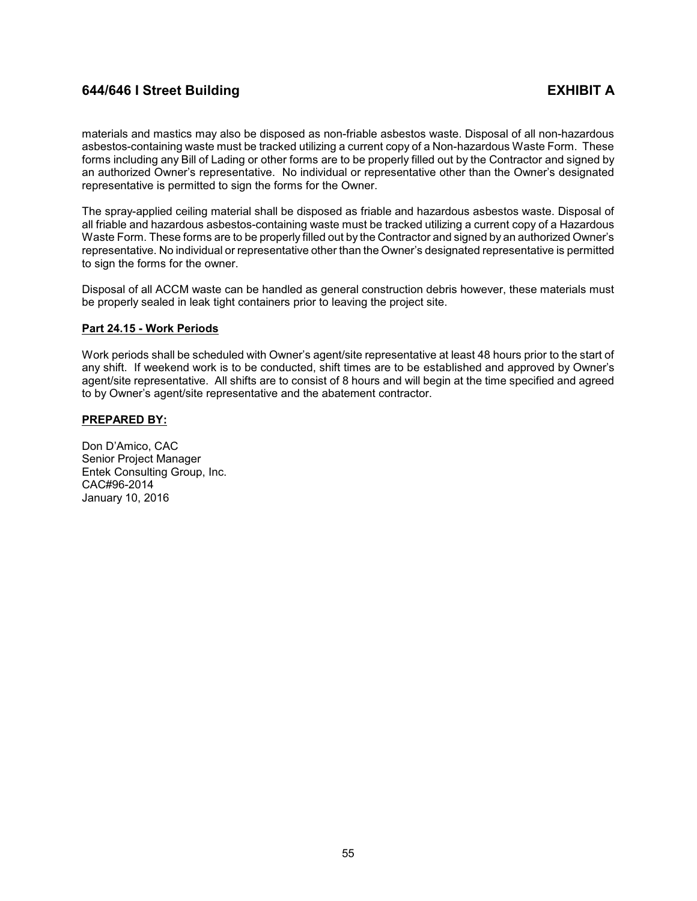materials and mastics may also be disposed as non-friable asbestos waste. Disposal of all non-hazardous asbestos-containing waste must be tracked utilizing a current copy of a Non-hazardous Waste Form. These forms including any Bill of Lading or other forms are to be properly filled out by the Contractor and signed by an authorized Owner's representative. No individual or representative other than the Owner's designated representative is permitted to sign the forms for the Owner.

The spray-applied ceiling material shall be disposed as friable and hazardous asbestos waste. Disposal of all friable and hazardous asbestos-containing waste must be tracked utilizing a current copy of a Hazardous Waste Form. These forms are to be properly filled out by the Contractor and signed by an authorized Owner's representative. No individual or representative other than the Owner's designated representative is permitted to sign the forms for the owner.

Disposal of all ACCM waste can be handled as general construction debris however, these materials must be properly sealed in leak tight containers prior to leaving the project site.

## <span id="page-57-0"></span>**Part 24.15 - Work Periods**

Work periods shall be scheduled with Owner's agent/site representative at least 48 hours prior to the start of any shift. If weekend work is to be conducted, shift times are to be established and approved by Owner's agent/site representative. All shifts are to consist of 8 hours and will begin at the time specified and agreed to by Owner's agent/site representative and the abatement contractor.

## **PREPARED BY:**

Don D'Amico, CAC Senior Project Manager Entek Consulting Group, Inc. CAC#96-2014 January 10, 2016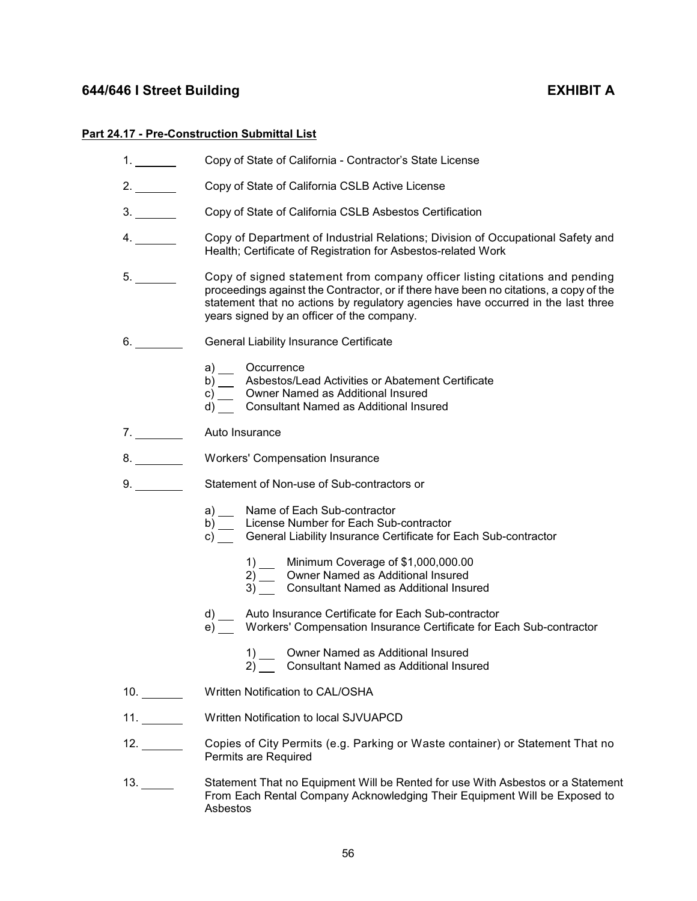# <span id="page-58-0"></span>**Part 24**

|                      | <b>4.17 - Pre-Construction Submittal List</b>                                                                                                                                                                                                                                                          |  |  |  |  |  |
|----------------------|--------------------------------------------------------------------------------------------------------------------------------------------------------------------------------------------------------------------------------------------------------------------------------------------------------|--|--|--|--|--|
| $1.$ $\qquad \qquad$ | Copy of State of California - Contractor's State License                                                                                                                                                                                                                                               |  |  |  |  |  |
| 2.                   | Copy of State of California CSLB Active License                                                                                                                                                                                                                                                        |  |  |  |  |  |
|                      | Copy of State of California CSLB Asbestos Certification                                                                                                                                                                                                                                                |  |  |  |  |  |
| 4.                   | Copy of Department of Industrial Relations; Division of Occupational Safety and<br>Health; Certificate of Registration for Asbestos-related Work                                                                                                                                                       |  |  |  |  |  |
| 5.                   | Copy of signed statement from company officer listing citations and pending<br>proceedings against the Contractor, or if there have been no citations, a copy of the<br>statement that no actions by regulatory agencies have occurred in the last three<br>years signed by an officer of the company. |  |  |  |  |  |
| 6.                   | General Liability Insurance Certificate                                                                                                                                                                                                                                                                |  |  |  |  |  |
|                      | a) __ Occurrence<br>b) __ Asbestos/Lead Activities or Abatement Certificate<br>c) __ Owner Named as Additional Insured<br>d) Consultant Named as Additional Insured                                                                                                                                    |  |  |  |  |  |
| 7.                   | Auto Insurance                                                                                                                                                                                                                                                                                         |  |  |  |  |  |
| 8.                   | <b>Workers' Compensation Insurance</b>                                                                                                                                                                                                                                                                 |  |  |  |  |  |
| 9.                   | Statement of Non-use of Sub-contractors or                                                                                                                                                                                                                                                             |  |  |  |  |  |
|                      | Name of Each Sub-contractor<br>License Number for Each Sub-contractor<br>b)<br>c) General Liability Insurance Certificate for Each Sub-contractor                                                                                                                                                      |  |  |  |  |  |
|                      | 1) __ Minimum Coverage of \$1,000,000.00<br>2) Owner Named as Additional Insured<br>3) Consultant Named as Additional Insured                                                                                                                                                                          |  |  |  |  |  |
|                      | Auto Insurance Certificate for Each Sub-contractor<br>d)<br>Workers' Compensation Insurance Certificate for Each Sub-contractor<br>e)                                                                                                                                                                  |  |  |  |  |  |
|                      | Owner Named as Additional Insured<br>1)<br>2) Consultant Named as Additional Insured                                                                                                                                                                                                                   |  |  |  |  |  |
| 10.                  | Written Notification to CAL/OSHA                                                                                                                                                                                                                                                                       |  |  |  |  |  |
| 11.                  | Written Notification to local SJVUAPCD                                                                                                                                                                                                                                                                 |  |  |  |  |  |
| 12.                  | Copies of City Permits (e.g. Parking or Waste container) or Statement That no<br>Permits are Required                                                                                                                                                                                                  |  |  |  |  |  |
|                      | Statement That no Equipment Will be Rented for use With Asbestos or a Statement<br>From Each Rental Company Acknowledging Their Equipment Will be Exposed to<br>Asbestos                                                                                                                               |  |  |  |  |  |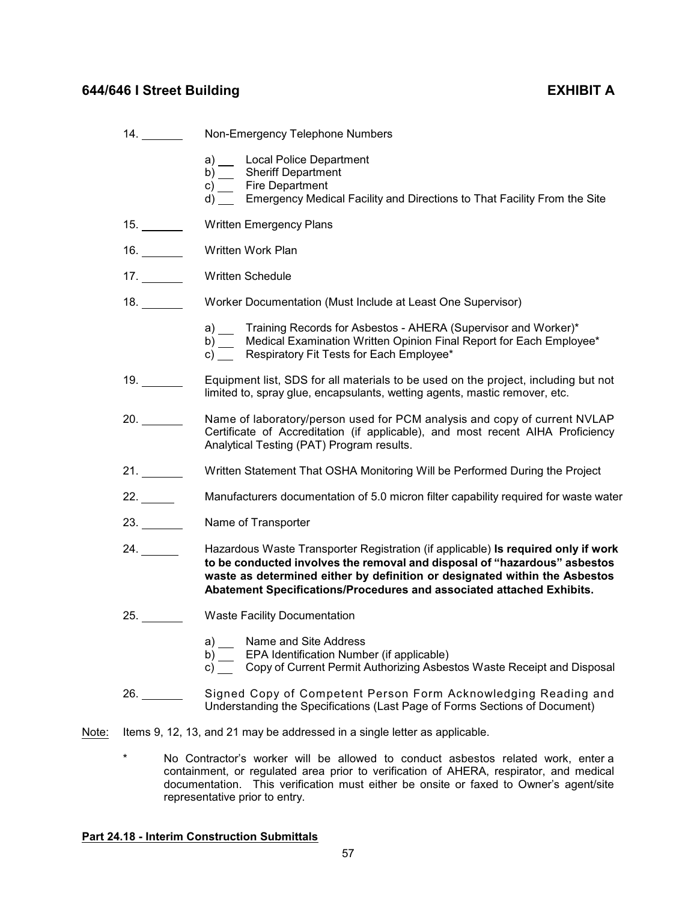|       | 14. | Non-Emergency Telephone Numbers                                                                                                                                                                                                                                                                                       |
|-------|-----|-----------------------------------------------------------------------------------------------------------------------------------------------------------------------------------------------------------------------------------------------------------------------------------------------------------------------|
|       |     | a) __ Local Police Department<br>b) __ Sheriff Department<br>c) __ Fire Department                                                                                                                                                                                                                                    |
|       |     | d) Emergency Medical Facility and Directions to That Facility From the Site                                                                                                                                                                                                                                           |
|       | 15. | <b>Written Emergency Plans</b>                                                                                                                                                                                                                                                                                        |
|       | 16. | Written Work Plan                                                                                                                                                                                                                                                                                                     |
|       |     | Written Schedule                                                                                                                                                                                                                                                                                                      |
|       | 18. | Worker Documentation (Must Include at Least One Supervisor)                                                                                                                                                                                                                                                           |
|       |     | a) __ Training Records for Asbestos - AHERA (Supervisor and Worker)*<br>b) __ Medical Examination Written Opinion Final Report for Each Employee*<br>c) Respiratory Fit Tests for Each Employee*                                                                                                                      |
|       |     | Equipment list, SDS for all materials to be used on the project, including but not<br>limited to, spray glue, encapsulants, wetting agents, mastic remover, etc.                                                                                                                                                      |
|       |     | Name of laboratory/person used for PCM analysis and copy of current NVLAP<br>Certificate of Accreditation (if applicable), and most recent AIHA Proficiency<br>Analytical Testing (PAT) Program results.                                                                                                              |
|       |     | Written Statement That OSHA Monitoring Will be Performed During the Project                                                                                                                                                                                                                                           |
|       | 22. | Manufacturers documentation of 5.0 micron filter capability required for waste water                                                                                                                                                                                                                                  |
|       | 23. | Name of Transporter                                                                                                                                                                                                                                                                                                   |
|       |     | Hazardous Waste Transporter Registration (if applicable) Is required only if work<br>to be conducted involves the removal and disposal of "hazardous" asbestos<br>waste as determined either by definition or designated within the Asbestos<br>Abatement Specifications/Procedures and associated attached Exhibits. |
|       | 25. | <b>Waste Facility Documentation</b>                                                                                                                                                                                                                                                                                   |
|       |     | Name and Site Address<br>a)<br>EPA Identification Number (if applicable)<br>b)<br>Copy of Current Permit Authorizing Asbestos Waste Receipt and Disposal<br>C)                                                                                                                                                        |
|       | 26. | Signed Copy of Competent Person Form Acknowledging Reading and<br>Understanding the Specifications (Last Page of Forms Sections of Document)                                                                                                                                                                          |
| Note: |     | Items 9, 12, 13, and 21 may be addressed in a single letter as applicable.                                                                                                                                                                                                                                            |

\* No Contractor's worker will be allowed to conduct asbestos related work, enter a containment, or regulated area prior to verification of AHERA, respirator, and medical documentation. This verification must either be onsite or faxed to Owner's agent/site representative prior to entry.

# <span id="page-59-0"></span>**Part 24.18 - Interim Construction Submittals**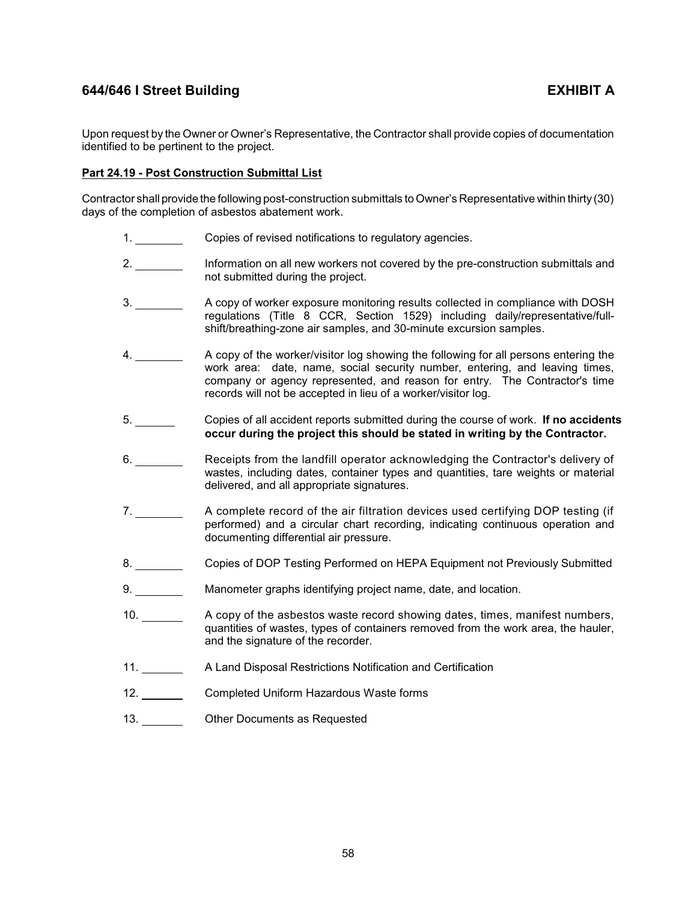Upon request by the Owner or Owner's Representative, the Contractor shall provide copies of documentation identified to be pertinent to the project.

## <span id="page-60-0"></span>**Part 24.19 - Post Construction Submittal List**

Contractor shall provide the following post-construction submittals to Owner's Representative within thirty (30) days of the completion of asbestos abatement work.

- 1. Copies of revised notifications to regulatory agencies.
- 2. Information on all new workers not covered by the pre-construction submittals and not submitted during the project.
- 3. A copy of worker exposure monitoring results collected in compliance with DOSH regulations (Title 8 CCR, Section 1529) including daily/representative/fullshift/breathing-zone air samples, and 30-minute excursion samples.
- 4. A copy of the worker/visitor log showing the following for all persons entering the work area: date, name, social security number, entering, and leaving times, company or agency represented, and reason for entry. The Contractor's time records will not be accepted in lieu of a worker/visitor log.
- 5. Copies of all accident reports submitted during the course of work. **If no accidents occur during the project this should be stated in writing by the Contractor.**
- 6. Receipts from the landfill operator acknowledging the Contractor's delivery of wastes, including dates, container types and quantities, tare weights or material delivered, and all appropriate signatures.
- 7. A complete record of the air filtration devices used certifying DOP testing (if performed) and a circular chart recording, indicating continuous operation and documenting differential air pressure.
- 8. Copies of DOP Testing Performed on HEPA Equipment not Previously Submitted
- 9. Manometer graphs identifying project name, date, and location.
- 10. A copy of the asbestos waste record showing dates, times, manifest numbers, quantities of wastes, types of containers removed from the work area, the hauler, and the signature of the recorder.
- 11. A Land Disposal Restrictions Notification and Certification
- 12. Completed Uniform Hazardous Waste forms
- 13. Other Documents as Requested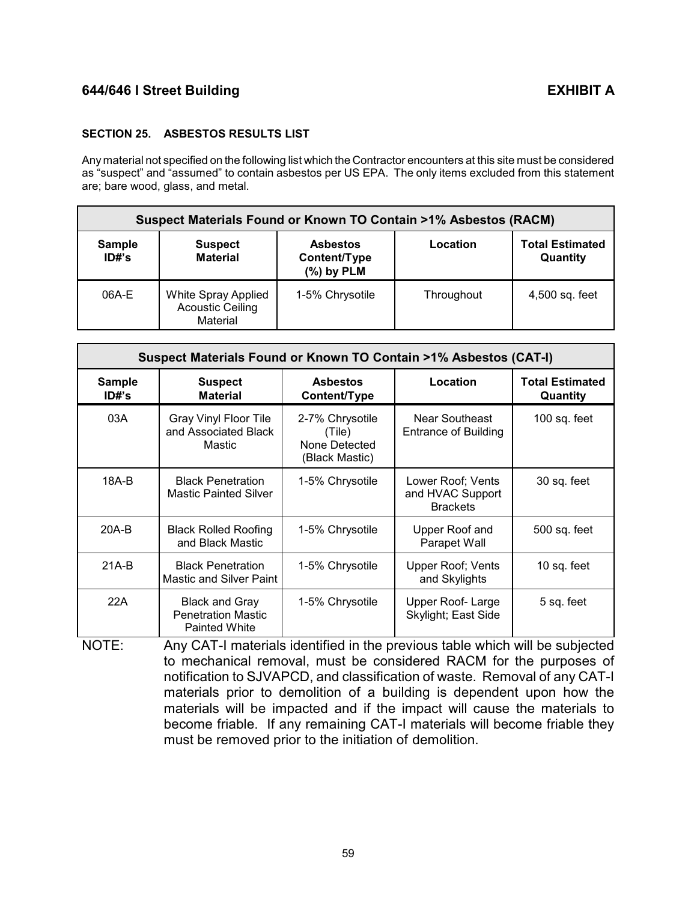# <span id="page-61-0"></span>**SECTION 25. ASBESTOS RESULTS LIST**

Any material not specified on the following list which the Contractor encounters at this site must be considered as "suspect" and "assumed" to contain asbestos per US EPA. The only items excluded from this statement are; bare wood, glass, and metal.

| <b>Suspect Materials Found or Known TO Contain &gt;1% Asbestos (RACM)</b> |                                                            |                                                 |            |                                    |  |  |
|---------------------------------------------------------------------------|------------------------------------------------------------|-------------------------------------------------|------------|------------------------------------|--|--|
| <b>Sample</b><br>ID#s                                                     | <b>Suspect</b><br><b>Material</b>                          | <b>Asbestos</b><br>Content/Type<br>$(%)$ by PLM | Location   | <b>Total Estimated</b><br>Quantity |  |  |
| 06A-E                                                                     | White Spray Applied<br><b>Acoustic Ceiling</b><br>Material | 1-5% Chrysotile                                 | Throughout | 4,500 sq. feet                     |  |  |

| Suspect Materials Found or Known TO Contain >1% Asbestos (CAT-I) |                                                                            |                                                              |                                                          |                                    |  |  |
|------------------------------------------------------------------|----------------------------------------------------------------------------|--------------------------------------------------------------|----------------------------------------------------------|------------------------------------|--|--|
| <b>Sample</b><br>ID#s                                            | <b>Suspect</b><br><b>Material</b>                                          | <b>Asbestos</b><br>Content/Type                              | Location                                                 | <b>Total Estimated</b><br>Quantity |  |  |
| 03A                                                              | Gray Vinyl Floor Tile<br>and Associated Black<br>Mastic                    | 2-7% Chrysotile<br>(Tile)<br>None Detected<br>(Black Mastic) | Near Southeast<br><b>Entrance of Building</b>            | 100 sq. feet                       |  |  |
| 18A-B                                                            | <b>Black Penetration</b><br><b>Mastic Painted Silver</b>                   | 1-5% Chrysotile                                              | Lower Roof; Vents<br>and HVAC Support<br><b>Brackets</b> | 30 sq. feet                        |  |  |
| $20A-B$                                                          | <b>Black Rolled Roofing</b><br>and Black Mastic                            | 1-5% Chrysotile                                              | Upper Roof and<br>Parapet Wall                           | 500 sq. feet                       |  |  |
| $21A-B$                                                          | <b>Black Penetration</b><br><b>Mastic and Silver Paint</b>                 | 1-5% Chrysotile                                              | <b>Upper Roof; Vents</b><br>and Skylights                | 10 sq. feet                        |  |  |
| 22A                                                              | <b>Black and Gray</b><br><b>Penetration Mastic</b><br><b>Painted White</b> | 1-5% Chrysotile                                              | Upper Roof-Large<br>Skylight; East Side                  | 5 sq. feet                         |  |  |

NOTE: Any CAT-I materials identified in the previous table which will be subjected to mechanical removal, must be considered RACM for the purposes of notification to SJVAPCD, and classification of waste. Removal of any CAT-I materials prior to demolition of a building is dependent upon how the materials will be impacted and if the impact will cause the materials to become friable. If any remaining CAT-I materials will become friable they must be removed prior to the initiation of demolition.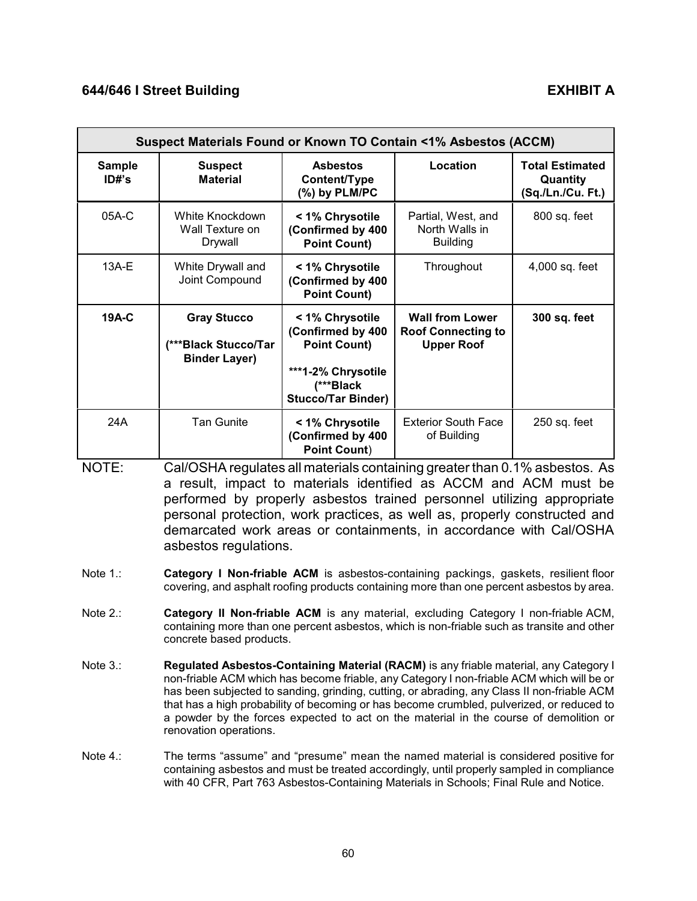| Suspect Materials Found or Known TO Contain <1% Asbestos (ACCM) |                                                                     |                                                                                                                             |                                                                          |                                                         |  |
|-----------------------------------------------------------------|---------------------------------------------------------------------|-----------------------------------------------------------------------------------------------------------------------------|--------------------------------------------------------------------------|---------------------------------------------------------|--|
| <b>Sample</b><br>ID#s                                           | <b>Suspect</b><br><b>Material</b>                                   | <b>Asbestos</b><br>Content/Type<br>(%) by PLM/PC                                                                            | Location                                                                 | <b>Total Estimated</b><br>Quantity<br>(Sq./Ln./Cu. Ft.) |  |
| 05A-C                                                           | White Knockdown<br>Wall Texture on<br>Drywall                       | < 1% Chrysotile<br>(Confirmed by 400<br><b>Point Count)</b>                                                                 | Partial, West, and<br>North Walls in<br><b>Building</b>                  | 800 sq. feet                                            |  |
| $13A-E$                                                         | White Drywall and<br>Joint Compound                                 | < 1% Chrysotile<br>(Confirmed by 400<br><b>Point Count)</b>                                                                 | Throughout                                                               | 4,000 sq. feet                                          |  |
| 19A-C                                                           | <b>Gray Stucco</b><br>(***Black Stucco/Tar)<br><b>Binder Layer)</b> | < 1% Chrysotile<br>(Confirmed by 400<br><b>Point Count)</b><br>***1-2% Chrysotile<br>(***Black<br><b>Stucco/Tar Binder)</b> | <b>Wall from Lower</b><br><b>Roof Connecting to</b><br><b>Upper Roof</b> | 300 sq. feet                                            |  |
| 24A                                                             | <b>Tan Gunite</b>                                                   | < 1% Chrysotile<br>(Confirmed by 400<br><b>Point Count)</b>                                                                 | <b>Exterior South Face</b><br>of Building                                | 250 sq. feet                                            |  |

NOTE: Cal/OSHA regulates all materials containing greater than 0.1% asbestos. As a result, impact to materials identified as ACCM and ACM must be performed by properly asbestos trained personnel utilizing appropriate personal protection, work practices, as well as, properly constructed and demarcated work areas or containments, in accordance with Cal/OSHA asbestos regulations.

- Note 1.: **Category I Non-friable ACM** is asbestos-containing packings, gaskets, resilient floor covering, and asphalt roofing products containing more than one percent asbestos by area.
- Note 2.: **Category II Non-friable ACM** is any material, excluding Category I non-friable ACM, containing more than one percent asbestos, which is non-friable such as transite and other concrete based products.
- Note 3.: **Regulated Asbestos-Containing Material (RACM)** is any friable material, any Category I non-friable ACM which has become friable, any Category I non-friable ACM which will be or has been subjected to sanding, grinding, cutting, or abrading, any Class II non-friable ACM that has a high probability of becoming or has become crumbled, pulverized, or reduced to a powder by the forces expected to act on the material in the course of demolition or renovation operations.
- Note 4.: The terms "assume" and "presume" mean the named material is considered positive for containing asbestos and must be treated accordingly, until properly sampled in compliance with 40 CFR, Part 763 Asbestos-Containing Materials in Schools; Final Rule and Notice.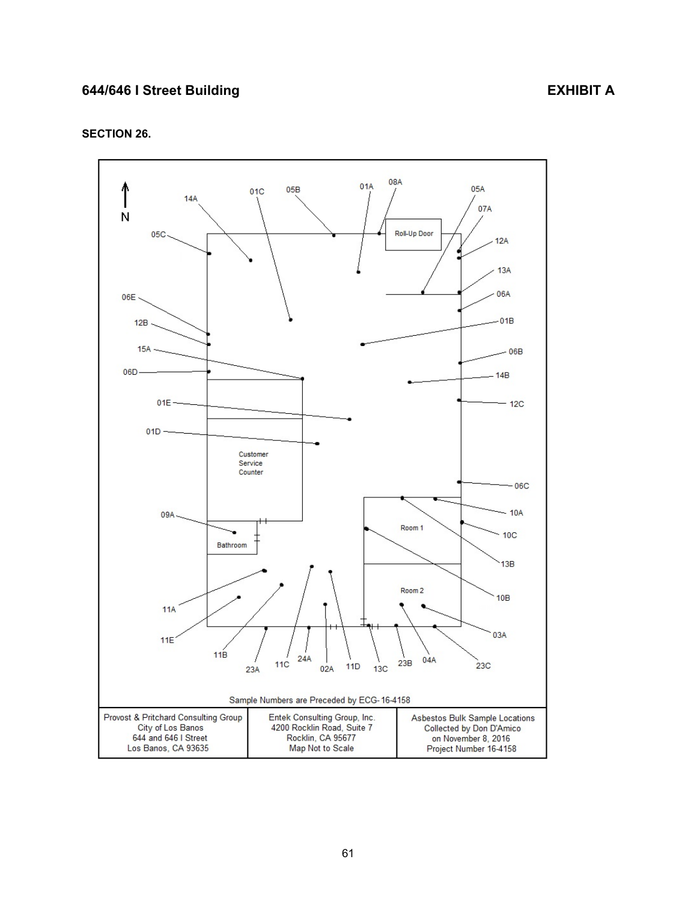# <span id="page-63-0"></span>**SECTION 26.**

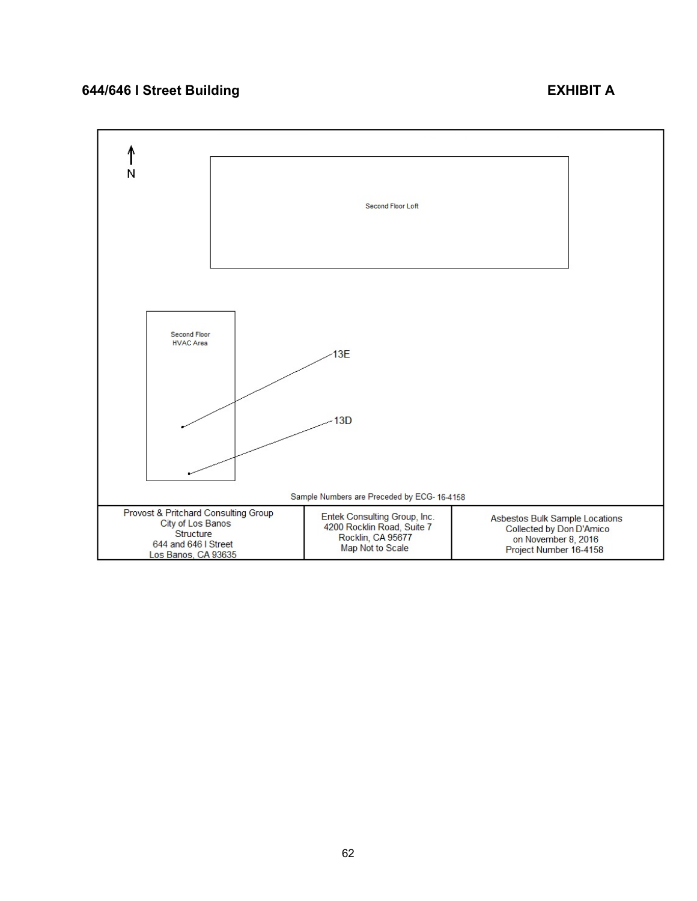